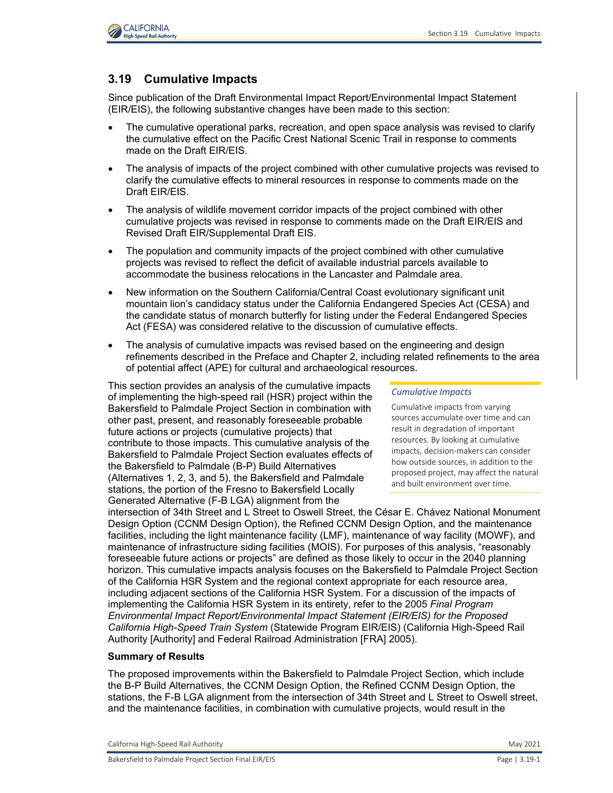

# **3.19 Cumulative Impacts**

Since publication of the Draft Environmental Impact Report/Environmental Impact Statement (EIR/EIS), the following substantive changes have been made to this section:

- The cumulative operational parks, recreation, and open space analysis was revised to clarify the cumulative effect on the Pacific Crest National Scenic Trail in response to comments made on the Draft EIR/EIS.
- The analysis of impacts of the project combined with other cumulative projects was revised to clarify the cumulative effects to mineral resources in response to comments made on the Draft EIR/EIS.
- The analysis of wildlife movement corridor impacts of the project combined with other cumulative projects was revised in response to comments made on the Draft EIR/EIS and Revised Draft EIR/Supplemental Draft EIS.
- The population and community impacts of the project combined with other cumulative projects was revised to reflect the deficit of available industrial parcels available to accommodate the business relocations in the Lancaster and Palmdale area.
- New information on the Southern California/Central Coast evolutionary significant unit mountain lion's candidacy status under the California Endangered Species Act (CESA) and the candidate status of monarch butterfly for listing under the Federal Endangered Species Act (FESA) was considered relative to the discussion of cumulative effects.
- The analysis of cumulative impacts was revised based on the engineering and design refinements described in the Preface and Chapter 2, including related refinements to the area of potential affect (APE) for cultural and archaeological resources.

This section provides an analysis of the cumulative impacts of implementing the high-speed rail (HSR) project within the Bakersfield to Palmdale Project Section in combination with other past, present, and reasonably foreseeable probable future actions or projects (cumulative projects) that contribute to those impacts. This cumulative analysis of the Bakersfield to Palmdale Project Section evaluates effects of the Bakersfield to Palmdale (B-P) Build Alternatives (Alternatives 1, 2, 3, and 5), the Bakersfield and Palmdale stations, the portion of the Fresno to Bakersfield Locally Generated Alternative (F-B LGA) alignment from the

#### *Cumulative Impacts*

Cumulative impacts from varying sources accumulate over time and can result in degradation of important resources. By looking at cumulative impacts, decision-makers can consider how outside sources, in addition to the proposed project, may affect the natural and built environment over time.

intersection of 34th Street and L Street to Oswell Street, the César E. Chávez National Monument Design Option (CCNM Design Option), the Refined CCNM Design Option, and the maintenance facilities, including the light maintenance facility (LMF), maintenance of way facility (MOWF), and maintenance of infrastructure siding facilities (MOIS). For purposes of this analysis, "reasonably foreseeable future actions or projects" are defined as those likely to occur in the 2040 planning horizon. This cumulative impacts analysis focuses on the Bakersfield to Palmdale Project Section of the California HSR System and the regional context appropriate for each resource area, including adjacent sections of the California HSR System. For a discussion of the impacts of implementing the California HSR System in its entirety, refer to the 2005 *Final Program Environmental Impact Report/Environmental Impact Statement (EIR/EIS) for the Proposed California High-Speed Train System* (Statewide Program EIR/EIS) (California High-Speed Rail Authority [Authority] and Federal Railroad Administration [FRA] 2005).

### **Summary of Results**

The proposed improvements within the Bakersfield to Palmdale Project Section, which include the B-P Build Alternatives, the CCNM Design Option, the Refined CCNM Design Option, the stations, the F-B LGA alignment from the intersection of 34th Street and L Street to Oswell street, and the maintenance facilities, in combination with cumulative projects, would result in the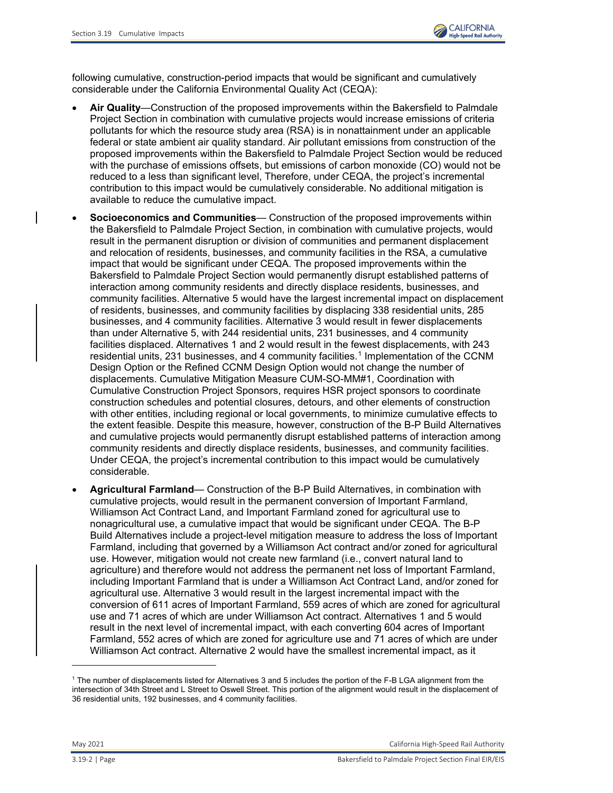

following cumulative, construction-period impacts that would be significant and cumulatively considerable under the California Environmental Quality Act (CEQA):

- **Air Quality**—Construction of the proposed improvements within the Bakersfield to Palmdale Project Section in combination with cumulative projects would increase emissions of criteria pollutants for which the resource study area (RSA) is in nonattainment under an applicable federal or state ambient air quality standard. Air pollutant emissions from construction of the proposed improvements within the Bakersfield to Palmdale Project Section would be reduced with the purchase of emissions offsets, but emissions of carbon monoxide (CO) would not be reduced to a less than significant level, Therefore, under CEQA, the project's incremental contribution to this impact would be cumulatively considerable. No additional mitigation is available to reduce the cumulative impact.
- **Socioeconomics and Communities** Construction of the proposed improvements within the Bakersfield to Palmdale Project Section, in combination with cumulative projects, would result in the permanent disruption or division of communities and permanent displacement and relocation of residents, businesses, and community facilities in the RSA, a cumulative impact that would be significant under CEQA. The proposed improvements within the Bakersfield to Palmdale Project Section would permanently disrupt established patterns of interaction among community residents and directly displace residents, businesses, and community facilities. Alternative 5 would have the largest incremental impact on displacement of residents, businesses, and community facilities by displacing 338 residential units, 285 businesses, and 4 community facilities. Alternative 3 would result in fewer displacements than under Alternative 5, with 244 residential units, 231 businesses, and 4 community facilities displaced. Alternatives 1 and 2 would result in the fewest displacements, with 243 residential units, 23[1](#page-1-0) businesses, and 4 community facilities.<sup>1</sup> Implementation of the CCNM Design Option or the Refined CCNM Design Option would not change the number of displacements. Cumulative Mitigation Measure CUM-SO-MM#1, Coordination with Cumulative Construction Project Sponsors, requires HSR project sponsors to coordinate construction schedules and potential closures, detours, and other elements of construction with other entities, including regional or local governments, to minimize cumulative effects to the extent feasible. Despite this measure, however, construction of the B-P Build Alternatives and cumulative projects would permanently disrupt established patterns of interaction among community residents and directly displace residents, businesses, and community facilities. Under CEQA, the project's incremental contribution to this impact would be cumulatively considerable.
- **Agricultural Farmland** Construction of the B-P Build Alternatives, in combination with cumulative projects, would result in the permanent conversion of Important Farmland, Williamson Act Contract Land, and Important Farmland zoned for agricultural use to nonagricultural use, a cumulative impact that would be significant under CEQA. The B-P Build Alternatives include a project-level mitigation measure to address the loss of Important Farmland, including that governed by a Williamson Act contract and/or zoned for agricultural use. However, mitigation would not create new farmland (i.e., convert natural land to agriculture) and therefore would not address the permanent net loss of Important Farmland, including Important Farmland that is under a Williamson Act Contract Land, and/or zoned for agricultural use. Alternative 3 would result in the largest incremental impact with the conversion of 611 acres of Important Farmland, 559 acres of which are zoned for agricultural use and 71 acres of which are under Williamson Act contract. Alternatives 1 and 5 would result in the next level of incremental impact, with each converting 604 acres of Important Farmland, 552 acres of which are zoned for agriculture use and 71 acres of which are under Williamson Act contract. Alternative 2 would have the smallest incremental impact, as it

<span id="page-1-0"></span><sup>1</sup> The number of displacements listed for Alternatives 3 and 5 includes the portion of the F-B LGA alignment from the intersection of 34th Street and L Street to Oswell Street. This portion of the alignment would result in the displacement of 36 residential units, 192 businesses, and 4 community facilities.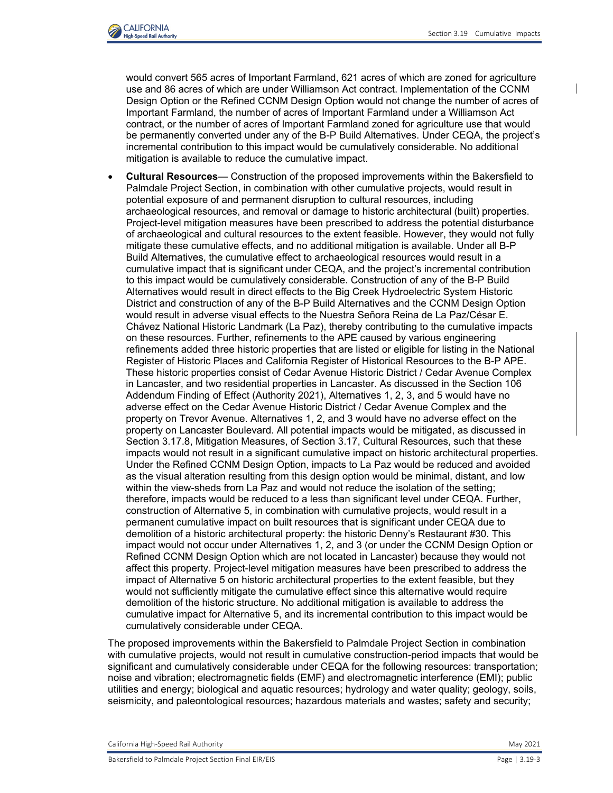

would convert 565 acres of Important Farmland, 621 acres of which are zoned for agriculture use and 86 acres of which are under Williamson Act contract. Implementation of the CCNM Design Option or the Refined CCNM Design Option would not change the number of acres of Important Farmland, the number of acres of Important Farmland under a Williamson Act contract, or the number of acres of Important Farmland zoned for agriculture use that would be permanently converted under any of the B-P Build Alternatives. Under CEQA, the project's incremental contribution to this impact would be cumulatively considerable. No additional mitigation is available to reduce the cumulative impact.

• **Cultural Resources**— Construction of the proposed improvements within the Bakersfield to Palmdale Project Section, in combination with other cumulative projects, would result in potential exposure of and permanent disruption to cultural resources, including archaeological resources, and removal or damage to historic architectural (built) properties. Project-level mitigation measures have been prescribed to address the potential disturbance of archaeological and cultural resources to the extent feasible. However, they would not fully mitigate these cumulative effects, and no additional mitigation is available. Under all B-P Build Alternatives, the cumulative effect to archaeological resources would result in a cumulative impact that is significant under CEQA, and the project's incremental contribution to this impact would be cumulatively considerable. Construction of any of the B-P Build Alternatives would result in direct effects to the Big Creek Hydroelectric System Historic District and construction of any of the B-P Build Alternatives and the CCNM Design Option would result in adverse visual effects to the Nuestra Señora Reina de La Paz/César E. Chávez National Historic Landmark (La Paz), thereby contributing to the cumulative impacts on these resources. Further, refinements to the APE caused by various engineering refinements added three historic properties that are listed or eligible for listing in the National Register of Historic Places and California Register of Historical Resources to the B-P APE. These historic properties consist of Cedar Avenue Historic District / Cedar Avenue Complex in Lancaster, and two residential properties in Lancaster. As discussed in the Section 106 Addendum Finding of Effect (Authority 2021), Alternatives 1, 2, 3, and 5 would have no adverse effect on the Cedar Avenue Historic District / Cedar Avenue Complex and the property on Trevor Avenue. Alternatives 1, 2, and 3 would have no adverse effect on the property on Lancaster Boulevard. All potential impacts would be mitigated, as discussed in Section 3.17.8, Mitigation Measures, of Section 3.17, Cultural Resources, such that these impacts would not result in a significant cumulative impact on historic architectural properties. Under the Refined CCNM Design Option, impacts to La Paz would be reduced and avoided as the visual alteration resulting from this design option would be minimal, distant, and low within the view-sheds from La Paz and would not reduce the isolation of the setting; therefore, impacts would be reduced to a less than significant level under CEQA. Further, construction of Alternative 5, in combination with cumulative projects, would result in a permanent cumulative impact on built resources that is significant under CEQA due to demolition of a historic architectural property: the historic Denny's Restaurant #30. This impact would not occur under Alternatives 1, 2, and 3 (or under the CCNM Design Option or Refined CCNM Design Option which are not located in Lancaster) because they would not affect this property. Project-level mitigation measures have been prescribed to address the impact of Alternative 5 on historic architectural properties to the extent feasible, but they would not sufficiently mitigate the cumulative effect since this alternative would require demolition of the historic structure. No additional mitigation is available to address the cumulative impact for Alternative 5, and its incremental contribution to this impact would be cumulatively considerable under CEQA.

The proposed improvements within the Bakersfield to Palmdale Project Section in combination with cumulative projects, would not result in cumulative construction-period impacts that would be significant and cumulatively considerable under CEQA for the following resources: transportation; noise and vibration; electromagnetic fields (EMF) and electromagnetic interference (EMI); public utilities and energy; biological and aquatic resources; hydrology and water quality; geology, soils, seismicity, and paleontological resources; hazardous materials and wastes; safety and security;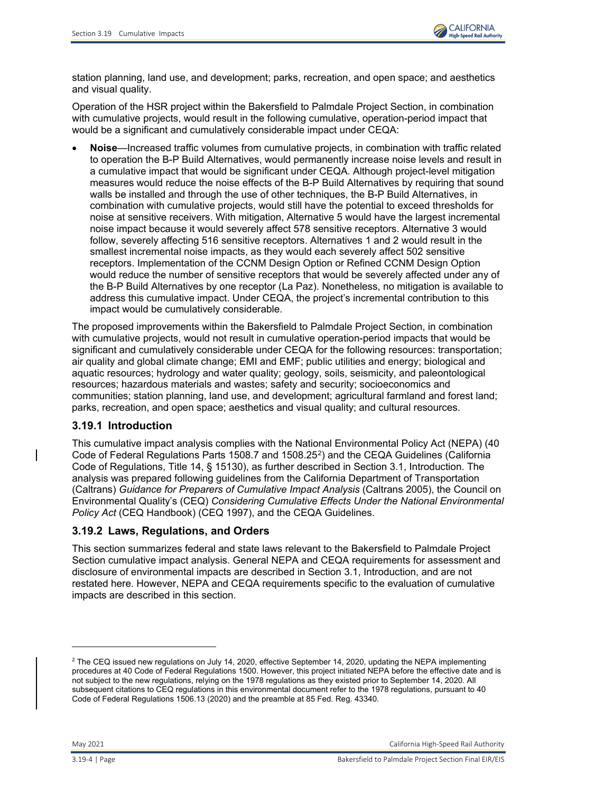

station planning, land use, and development; parks, recreation, and open space; and aesthetics and visual quality.

Operation of the HSR project within the Bakersfield to Palmdale Project Section, in combination with cumulative projects, would result in the following cumulative, operation-period impact that would be a significant and cumulatively considerable impact under CEQA:

• **Noise**—Increased traffic volumes from cumulative projects, in combination with traffic related to operation the B-P Build Alternatives, would permanently increase noise levels and result in a cumulative impact that would be significant under CEQA. Although project-level mitigation measures would reduce the noise effects of the B-P Build Alternatives by requiring that sound walls be installed and through the use of other techniques, the B-P Build Alternatives, in combination with cumulative projects, would still have the potential to exceed thresholds for noise at sensitive receivers. With mitigation, Alternative 5 would have the largest incremental noise impact because it would severely affect 578 sensitive receptors. Alternative 3 would follow, severely affecting 516 sensitive receptors. Alternatives 1 and 2 would result in the smallest incremental noise impacts, as they would each severely affect 502 sensitive receptors. Implementation of the CCNM Design Option or Refined CCNM Design Option would reduce the number of sensitive receptors that would be severely affected under any of the B-P Build Alternatives by one receptor (La Paz). Nonetheless, no mitigation is available to address this cumulative impact. Under CEQA, the project's incremental contribution to this impact would be cumulatively considerable.

The proposed improvements within the Bakersfield to Palmdale Project Section, in combination with cumulative projects, would not result in cumulative operation-period impacts that would be significant and cumulatively considerable under CEQA for the following resources: transportation; air quality and global climate change; EMI and EMF; public utilities and energy; biological and aquatic resources; hydrology and water quality; geology, soils, seismicity, and paleontological resources; hazardous materials and wastes; safety and security; socioeconomics and communities; station planning, land use, and development; agricultural farmland and forest land; parks, recreation, and open space; aesthetics and visual quality; and cultural resources.

### **3.19.1 Introduction**

This cumulative impact analysis complies with the National Environmental Policy Act (NEPA) (40 Code of Federal Regulations Parts 1508.7 and 1508.[2](#page-3-0)5<sup>2</sup>) and the CEQA Guidelines (California Code of Regulations, Title 14, § 15130), as further described in Section 3.1, Introduction. The analysis was prepared following guidelines from the California Department of Transportation (Caltrans) *Guidance for Preparers of Cumulative Impact Analysis* (Caltrans 2005), the Council on Environmental Quality's (CEQ) *Considering Cumulative Effects Under the National Environmental Policy Act* (CEQ Handbook) (CEQ 1997), and the CEQA Guidelines.

## **3.19.2 Laws, Regulations, and Orders**

This section summarizes federal and state laws relevant to the Bakersfield to Palmdale Project Section cumulative impact analysis. General NEPA and CEQA requirements for assessment and disclosure of environmental impacts are described in Section 3.1, Introduction, and are not restated here. However, NEPA and CEQA requirements specific to the evaluation of cumulative impacts are described in this section.

May 2021 California High-Speed Rail Authority

<span id="page-3-0"></span> $^2$  The CEQ issued new regulations on July 14, 2020, effective September 14, 2020, updating the NEPA implementing procedures at 40 Code of Federal Regulations 1500. However, this project initiated NEPA before the effective date and is not subject to the new regulations, relying on the 1978 regulations as they existed prior to September 14, 2020. All subsequent citations to CEQ regulations in this environmental document refer to the 1978 regulations, pursuant to 40 Code of Federal Regulations 1506.13 (2020) and the preamble at 85 Fed. Reg. 43340.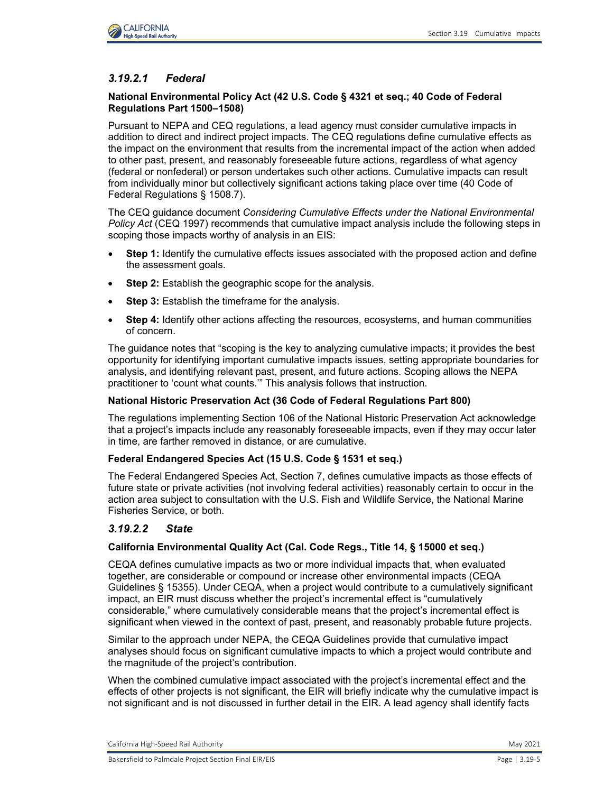# *3.19.2.1 Federal*

### **National Environmental Policy Act (42 U.S. Code § 4321 et seq.; 40 Code of Federal Regulations Part 1500–1508)**

Pursuant to NEPA and CEQ regulations, a lead agency must consider cumulative impacts in addition to direct and indirect project impacts. The CEQ regulations define cumulative effects as the impact on the environment that results from the incremental impact of the action when added to other past, present, and reasonably foreseeable future actions, regardless of what agency (federal or nonfederal) or person undertakes such other actions. Cumulative impacts can result from individually minor but collectively significant actions taking place over time (40 Code of Federal Regulations § 1508.7).

The CEQ guidance document *Considering Cumulative Effects under the National Environmental Policy Act* (CEQ 1997) recommends that cumulative impact analysis include the following steps in scoping those impacts worthy of analysis in an EIS:

- **Step 1:** Identify the cumulative effects issues associated with the proposed action and define the assessment goals.
- **Step 2:** Establish the geographic scope for the analysis.
- **Step 3:** Establish the timeframe for the analysis.
- **Step 4:** Identify other actions affecting the resources, ecosystems, and human communities of concern.

The guidance notes that "scoping is the key to analyzing cumulative impacts; it provides the best opportunity for identifying important cumulative impacts issues, setting appropriate boundaries for analysis, and identifying relevant past, present, and future actions. Scoping allows the NEPA practitioner to 'count what counts.'" This analysis follows that instruction.

### **National Historic Preservation Act (36 Code of Federal Regulations Part 800)**

The regulations implementing Section 106 of the National Historic Preservation Act acknowledge that a project's impacts include any reasonably foreseeable impacts, even if they may occur later in time, are farther removed in distance, or are cumulative.

### **Federal Endangered Species Act (15 U.S. Code § 1531 et seq.)**

The Federal Endangered Species Act, Section 7, defines cumulative impacts as those effects of future state or private activities (not involving federal activities) reasonably certain to occur in the action area subject to consultation with the U.S. Fish and Wildlife Service, the National Marine Fisheries Service, or both.

### *3.19.2.2 State*

### **California Environmental Quality Act (Cal. Code Regs., Title 14, § 15000 et seq.)**

CEQA defines cumulative impacts as two or more individual impacts that, when evaluated together, are considerable or compound or increase other environmental impacts (CEQA Guidelines § 15355). Under CEQA, when a project would contribute to a cumulatively significant impact, an EIR must discuss whether the project's incremental effect is "cumulatively considerable," where cumulatively considerable means that the project's incremental effect is significant when viewed in the context of past, present, and reasonably probable future projects.

Similar to the approach under NEPA, the CEQA Guidelines provide that cumulative impact analyses should focus on significant cumulative impacts to which a project would contribute and the magnitude of the project's contribution.

When the combined cumulative impact associated with the project's incremental effect and the effects of other projects is not significant, the EIR will briefly indicate why the cumulative impact is not significant and is not discussed in further detail in the EIR. A lead agency shall identify facts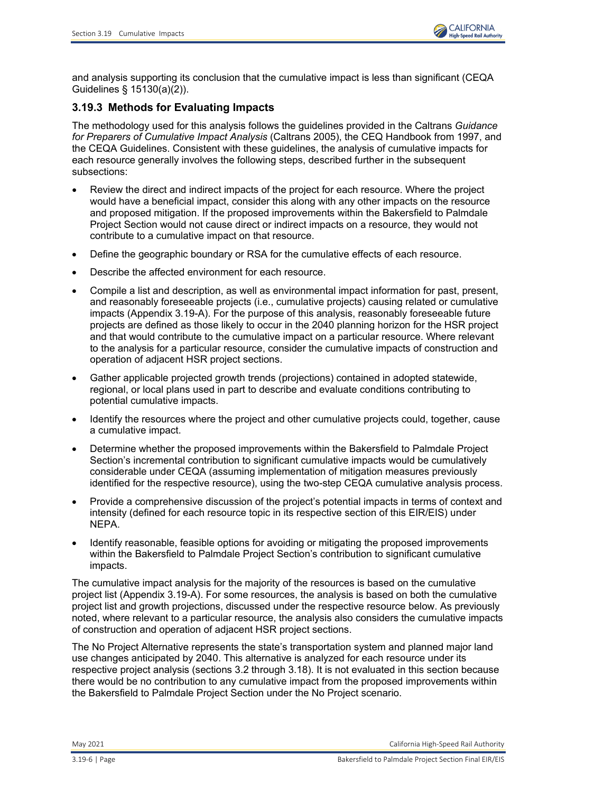

and analysis supporting its conclusion that the cumulative impact is less than significant (CEQA Guidelines § 15130(a)(2)).

# **3.19.3 Methods for Evaluating Impacts**

The methodology used for this analysis follows the guidelines provided in the Caltrans *Guidance for Preparers of Cumulative Impact Analysis* (Caltrans 2005), the CEQ Handbook from 1997, and the CEQA Guidelines. Consistent with these guidelines, the analysis of cumulative impacts for each resource generally involves the following steps, described further in the subsequent subsections:

- Review the direct and indirect impacts of the project for each resource. Where the project would have a beneficial impact, consider this along with any other impacts on the resource and proposed mitigation. If the proposed improvements within the Bakersfield to Palmdale Project Section would not cause direct or indirect impacts on a resource, they would not contribute to a cumulative impact on that resource.
- Define the geographic boundary or RSA for the cumulative effects of each resource.
- Describe the affected environment for each resource.
- Compile a list and description, as well as environmental impact information for past, present, and reasonably foreseeable projects (i.e., cumulative projects) causing related or cumulative impacts (Appendix 3.19-A). For the purpose of this analysis, reasonably foreseeable future projects are defined as those likely to occur in the 2040 planning horizon for the HSR project and that would contribute to the cumulative impact on a particular resource. Where relevant to the analysis for a particular resource, consider the cumulative impacts of construction and operation of adjacent HSR project sections.
- Gather applicable projected growth trends (projections) contained in adopted statewide, regional, or local plans used in part to describe and evaluate conditions contributing to potential cumulative impacts.
- Identify the resources where the project and other cumulative projects could, together, cause a cumulative impact.
- Determine whether the proposed improvements within the Bakersfield to Palmdale Project Section's incremental contribution to significant cumulative impacts would be cumulatively considerable under CEQA (assuming implementation of mitigation measures previously identified for the respective resource), using the two-step CEQA cumulative analysis process.
- Provide a comprehensive discussion of the project's potential impacts in terms of context and intensity (defined for each resource topic in its respective section of this EIR/EIS) under NEPA.
- Identify reasonable, feasible options for avoiding or mitigating the proposed improvements within the Bakersfield to Palmdale Project Section's contribution to significant cumulative impacts.

The cumulative impact analysis for the majority of the resources is based on the cumulative project list (Appendix 3.19-A). For some resources, the analysis is based on both the cumulative project list and growth projections, discussed under the respective resource below. As previously noted, where relevant to a particular resource, the analysis also considers the cumulative impacts of construction and operation of adjacent HSR project sections.

The No Project Alternative represents the state's transportation system and planned major land use changes anticipated by 2040. This alternative is analyzed for each resource under its respective project analysis (sections 3.2 through 3.18). It is not evaluated in this section because there would be no contribution to any cumulative impact from the proposed improvements within the Bakersfield to Palmdale Project Section under the No Project scenario.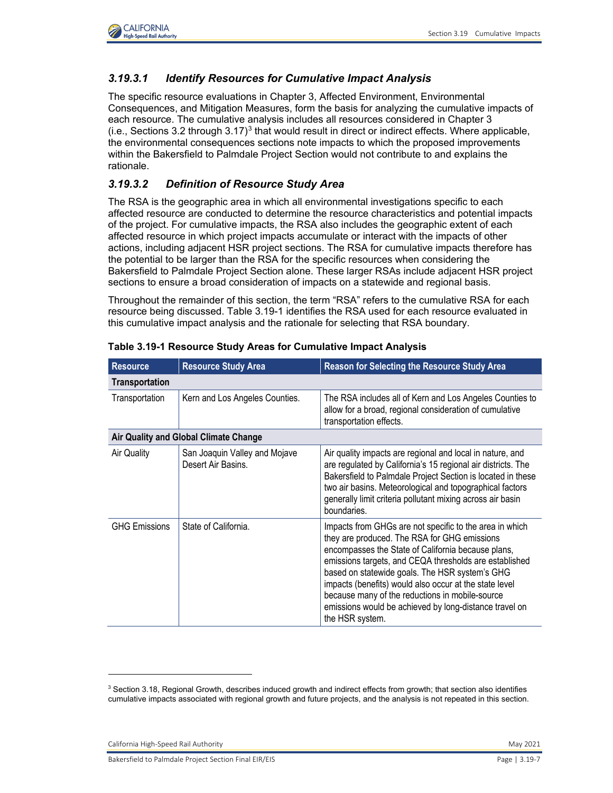

## *3.19.3.1 Identify Resources for Cumulative Impact Analysis*

The specific resource evaluations in Chapter 3, Affected Environment, Environmental Consequences, and Mitigation Measures, form the basis for analyzing the cumulative impacts of each resource. The cumulative analysis includes all resources considered in Chapter 3  $(i.e.,$  Sections [3](#page-6-1).2 through  $3.17$ <sup>3</sup> that would result in direct or indirect effects. Where applicable, the environmental consequences sections note impacts to which the proposed improvements within the Bakersfield to Palmdale Project Section would not contribute to and explains the rationale.

## <span id="page-6-2"></span>*3.19.3.2 Definition of Resource Study Area*

The RSA is the geographic area in which all environmental investigations specific to each affected resource are conducted to determine the resource characteristics and potential impacts of the project. For cumulative impacts, the RSA also includes the geographic extent of each affected resource in which project impacts accumulate or interact with the impacts of other actions, including adjacent HSR project sections. The RSA for cumulative impacts therefore has the potential to be larger than the RSA for the specific resources when considering the Bakersfield to Palmdale Project Section alone. These larger RSAs include adjacent HSR project sections to ensure a broad consideration of impacts on a statewide and regional basis.

Throughout the remainder of this section, the term "RSA" refers to the cumulative RSA for each resource being discussed. [Table 3.19-1](#page-6-0) identifies the RSA used for each resource evaluated in this cumulative impact analysis and the rationale for selecting that RSA boundary.

| <b>Resource</b>       | <b>Resource Study Area</b>                          | <b>Reason for Selecting the Resource Study Area</b>                                                                                                                                                                                                                                                                                                                                                                                                                 |
|-----------------------|-----------------------------------------------------|---------------------------------------------------------------------------------------------------------------------------------------------------------------------------------------------------------------------------------------------------------------------------------------------------------------------------------------------------------------------------------------------------------------------------------------------------------------------|
| <b>Transportation</b> |                                                     |                                                                                                                                                                                                                                                                                                                                                                                                                                                                     |
| Transportation        | Kern and Los Angeles Counties.                      | The RSA includes all of Kern and Los Angeles Counties to<br>allow for a broad, regional consideration of cumulative<br>transportation effects.                                                                                                                                                                                                                                                                                                                      |
|                       | Air Quality and Global Climate Change               |                                                                                                                                                                                                                                                                                                                                                                                                                                                                     |
| Air Quality           | San Joaquin Valley and Mojave<br>Desert Air Basins. | Air quality impacts are regional and local in nature, and<br>are regulated by California's 15 regional air districts. The<br>Bakersfield to Palmdale Project Section is located in these<br>two air basins. Meteorological and topographical factors<br>generally limit criteria pollutant mixing across air basin<br>boundaries.                                                                                                                                   |
| <b>GHG Emissions</b>  | State of California.                                | Impacts from GHGs are not specific to the area in which<br>they are produced. The RSA for GHG emissions<br>encompasses the State of California because plans,<br>emissions targets, and CEQA thresholds are established<br>based on statewide goals. The HSR system's GHG<br>impacts (benefits) would also occur at the state level<br>because many of the reductions in mobile-source<br>emissions would be achieved by long-distance travel on<br>the HSR system. |

<span id="page-6-0"></span>

|  | Table 3.19-1 Resource Study Areas for Cumulative Impact Analysis |  |  |  |  |
|--|------------------------------------------------------------------|--|--|--|--|
|--|------------------------------------------------------------------|--|--|--|--|

<span id="page-6-1"></span> $^3$  Section 3.18, Regional Growth, describes induced growth and indirect effects from growth; that section also identifies cumulative impacts associated with regional growth and future projects, and the analysis is not repeated in this section.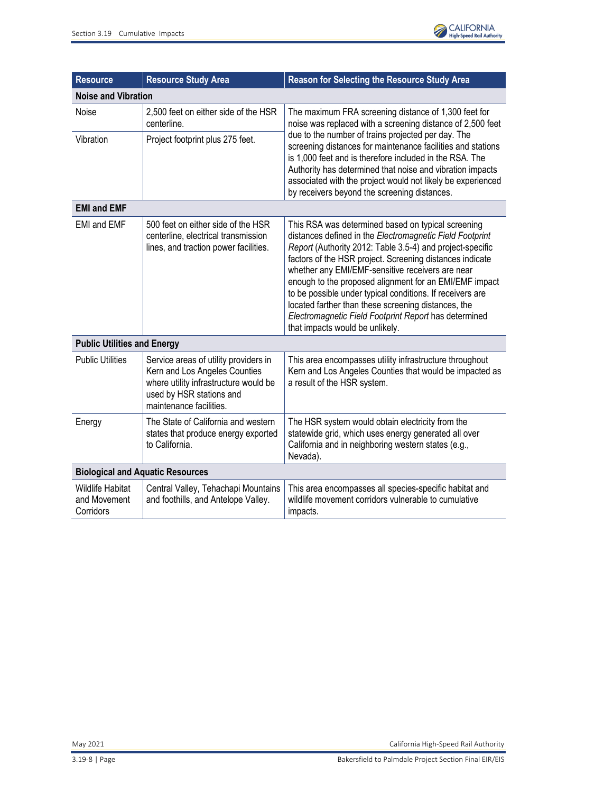

| <b>Resource</b>                                      | <b>Resource Study Area</b>                                                                                                                                             | <b>Reason for Selecting the Resource Study Area</b>                                                                                                                                                                                                                                                                                                                                                                                                                                                                                                                   |
|------------------------------------------------------|------------------------------------------------------------------------------------------------------------------------------------------------------------------------|-----------------------------------------------------------------------------------------------------------------------------------------------------------------------------------------------------------------------------------------------------------------------------------------------------------------------------------------------------------------------------------------------------------------------------------------------------------------------------------------------------------------------------------------------------------------------|
| <b>Noise and Vibration</b>                           |                                                                                                                                                                        |                                                                                                                                                                                                                                                                                                                                                                                                                                                                                                                                                                       |
| Noise                                                | 2,500 feet on either side of the HSR<br>centerline.                                                                                                                    | The maximum FRA screening distance of 1,300 feet for<br>noise was replaced with a screening distance of 2,500 feet                                                                                                                                                                                                                                                                                                                                                                                                                                                    |
| Vibration                                            | Project footprint plus 275 feet.                                                                                                                                       | due to the number of trains projected per day. The<br>screening distances for maintenance facilities and stations<br>is 1,000 feet and is therefore included in the RSA. The<br>Authority has determined that noise and vibration impacts<br>associated with the project would not likely be experienced<br>by receivers beyond the screening distances.                                                                                                                                                                                                              |
| <b>EMI and EMF</b>                                   |                                                                                                                                                                        |                                                                                                                                                                                                                                                                                                                                                                                                                                                                                                                                                                       |
| <b>EMI and EMF</b>                                   | 500 feet on either side of the HSR<br>centerline, electrical transmission<br>lines, and traction power facilities.                                                     | This RSA was determined based on typical screening<br>distances defined in the Electromagnetic Field Footprint<br>Report (Authority 2012: Table 3.5-4) and project-specific<br>factors of the HSR project. Screening distances indicate<br>whether any EMI/EMF-sensitive receivers are near<br>enough to the proposed alignment for an EMI/EMF impact<br>to be possible under typical conditions. If receivers are<br>located farther than these screening distances, the<br>Electromagnetic Field Footprint Report has determined<br>that impacts would be unlikely. |
| <b>Public Utilities and Energy</b>                   |                                                                                                                                                                        |                                                                                                                                                                                                                                                                                                                                                                                                                                                                                                                                                                       |
| <b>Public Utilities</b>                              | Service areas of utility providers in<br>Kern and Los Angeles Counties<br>where utility infrastructure would be<br>used by HSR stations and<br>maintenance facilities. | This area encompasses utility infrastructure throughout<br>Kern and Los Angeles Counties that would be impacted as<br>a result of the HSR system.                                                                                                                                                                                                                                                                                                                                                                                                                     |
| Energy                                               | The State of California and western<br>states that produce energy exported<br>to California.                                                                           | The HSR system would obtain electricity from the<br>statewide grid, which uses energy generated all over<br>California and in neighboring western states (e.g.,<br>Nevada).                                                                                                                                                                                                                                                                                                                                                                                           |
| <b>Biological and Aquatic Resources</b>              |                                                                                                                                                                        |                                                                                                                                                                                                                                                                                                                                                                                                                                                                                                                                                                       |
| <b>Wildlife Habitat</b><br>and Movement<br>Corridors | Central Valley, Tehachapi Mountains<br>and foothills, and Antelope Valley.                                                                                             | This area encompasses all species-specific habitat and<br>wildlife movement corridors vulnerable to cumulative<br>impacts.                                                                                                                                                                                                                                                                                                                                                                                                                                            |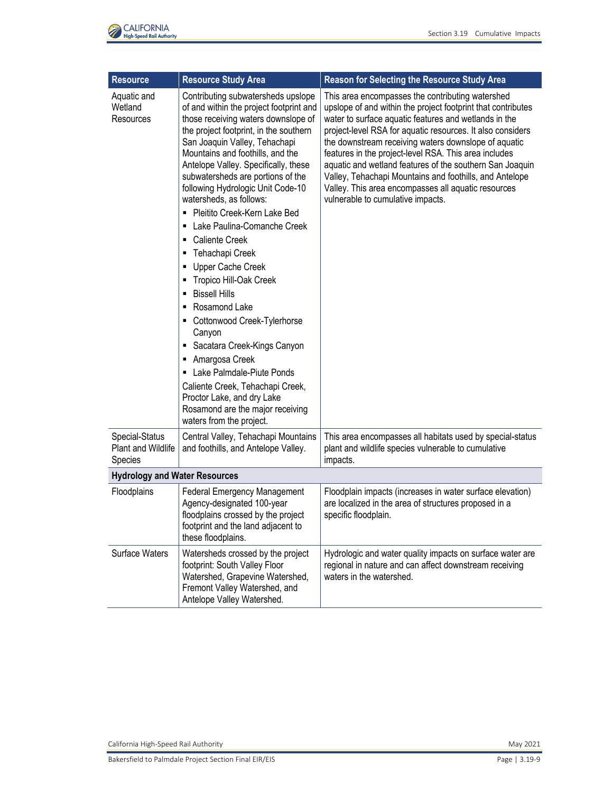

| <b>Resource</b>                                        | <b>Resource Study Area</b>                                                                                                                                                                                                                                                                                                                                                                                                                                                                                                                                                                                                                                                                                                                                                                                                                                                                | <b>Reason for Selecting the Resource Study Area</b>                                                                                                                                                                                                                                                                                                                                                                                                                                                                                                                         |
|--------------------------------------------------------|-------------------------------------------------------------------------------------------------------------------------------------------------------------------------------------------------------------------------------------------------------------------------------------------------------------------------------------------------------------------------------------------------------------------------------------------------------------------------------------------------------------------------------------------------------------------------------------------------------------------------------------------------------------------------------------------------------------------------------------------------------------------------------------------------------------------------------------------------------------------------------------------|-----------------------------------------------------------------------------------------------------------------------------------------------------------------------------------------------------------------------------------------------------------------------------------------------------------------------------------------------------------------------------------------------------------------------------------------------------------------------------------------------------------------------------------------------------------------------------|
| Aquatic and<br>Wetland<br>Resources                    | Contributing subwatersheds upslope<br>of and within the project footprint and<br>those receiving waters downslope of<br>the project footprint, in the southern<br>San Joaquin Valley, Tehachapi<br>Mountains and foothills, and the<br>Antelope Valley. Specifically, these<br>subwatersheds are portions of the<br>following Hydrologic Unit Code-10<br>watersheds, as follows:<br>Pleitito Creek-Kern Lake Bed<br>Lake Paulina-Comanche Creek<br>٠<br><b>Caliente Creek</b><br>٠<br>Tehachapi Creek<br>٠<br>Upper Cache Creek<br>Tropico Hill-Oak Creek<br>п<br><b>Bissell Hills</b><br>٠<br>Rosamond Lake<br>٠<br>Cottonwood Creek-Tylerhorse<br>Canyon<br>Sacatara Creek-Kings Canyon<br>ш<br>Amargosa Creek<br>٠<br>Lake Palmdale-Piute Ponds<br>п<br>Caliente Creek, Tehachapi Creek,<br>Proctor Lake, and dry Lake<br>Rosamond are the major receiving<br>waters from the project. | This area encompasses the contributing watershed<br>upslope of and within the project footprint that contributes<br>water to surface aquatic features and wetlands in the<br>project-level RSA for aquatic resources. It also considers<br>the downstream receiving waters downslope of aquatic<br>features in the project-level RSA. This area includes<br>aquatic and wetland features of the southern San Joaquin<br>Valley, Tehachapi Mountains and foothills, and Antelope<br>Valley. This area encompasses all aquatic resources<br>vulnerable to cumulative impacts. |
| Special-Status<br><b>Plant and Wildlife</b><br>Species | Central Valley, Tehachapi Mountains<br>and foothills, and Antelope Valley.                                                                                                                                                                                                                                                                                                                                                                                                                                                                                                                                                                                                                                                                                                                                                                                                                | This area encompasses all habitats used by special-status<br>plant and wildlife species vulnerable to cumulative<br>impacts.                                                                                                                                                                                                                                                                                                                                                                                                                                                |
| <b>Hydrology and Water Resources</b>                   |                                                                                                                                                                                                                                                                                                                                                                                                                                                                                                                                                                                                                                                                                                                                                                                                                                                                                           |                                                                                                                                                                                                                                                                                                                                                                                                                                                                                                                                                                             |
| Floodplains                                            | <b>Federal Emergency Management</b><br>Agency-designated 100-year<br>floodplains crossed by the project<br>footprint and the land adjacent to<br>these floodplains.                                                                                                                                                                                                                                                                                                                                                                                                                                                                                                                                                                                                                                                                                                                       | Floodplain impacts (increases in water surface elevation)<br>are localized in the area of structures proposed in a<br>specific floodplain.                                                                                                                                                                                                                                                                                                                                                                                                                                  |
| <b>Surface Waters</b>                                  | Watersheds crossed by the project<br>footprint: South Valley Floor<br>Watershed, Grapevine Watershed,<br>Fremont Valley Watershed, and<br>Antelope Valley Watershed.                                                                                                                                                                                                                                                                                                                                                                                                                                                                                                                                                                                                                                                                                                                      | Hydrologic and water quality impacts on surface water are<br>regional in nature and can affect downstream receiving<br>waters in the watershed.                                                                                                                                                                                                                                                                                                                                                                                                                             |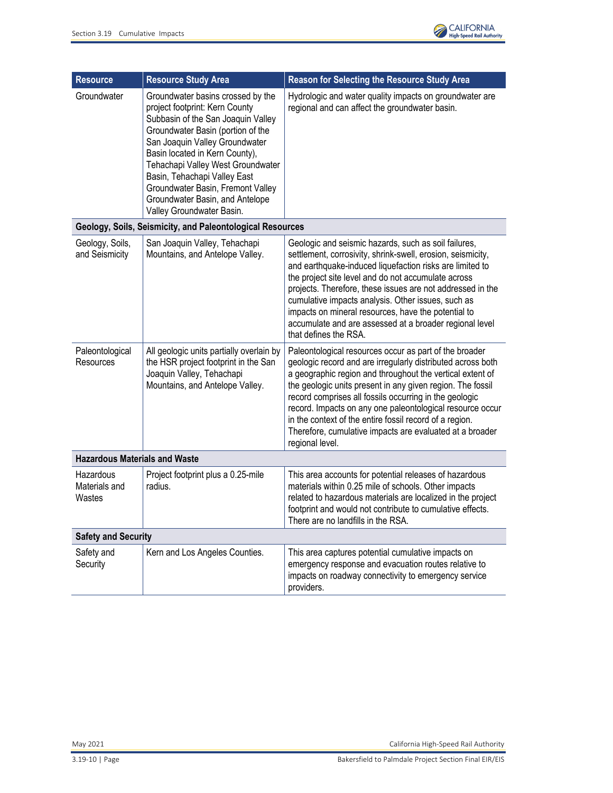

| <b>Resource</b>                      | <b>Resource Study Area</b>                                                                                                                                                                                                                                                                                                                                                                   | <b>Reason for Selecting the Resource Study Area</b>                                                                                                                                                                                                                                                                                                                                                                                                                                                               |
|--------------------------------------|----------------------------------------------------------------------------------------------------------------------------------------------------------------------------------------------------------------------------------------------------------------------------------------------------------------------------------------------------------------------------------------------|-------------------------------------------------------------------------------------------------------------------------------------------------------------------------------------------------------------------------------------------------------------------------------------------------------------------------------------------------------------------------------------------------------------------------------------------------------------------------------------------------------------------|
| Groundwater                          | Groundwater basins crossed by the<br>project footprint: Kern County<br>Subbasin of the San Joaquin Valley<br>Groundwater Basin (portion of the<br>San Joaquin Valley Groundwater<br>Basin located in Kern County),<br>Tehachapi Valley West Groundwater<br>Basin, Tehachapi Valley East<br>Groundwater Basin, Fremont Valley<br>Groundwater Basin, and Antelope<br>Valley Groundwater Basin. | Hydrologic and water quality impacts on groundwater are<br>regional and can affect the groundwater basin.                                                                                                                                                                                                                                                                                                                                                                                                         |
|                                      | Geology, Soils, Seismicity, and Paleontological Resources                                                                                                                                                                                                                                                                                                                                    |                                                                                                                                                                                                                                                                                                                                                                                                                                                                                                                   |
| Geology, Soils,<br>and Seismicity    | San Joaquin Valley, Tehachapi<br>Mountains, and Antelope Valley.                                                                                                                                                                                                                                                                                                                             | Geologic and seismic hazards, such as soil failures,<br>settlement, corrosivity, shrink-swell, erosion, seismicity,<br>and earthquake-induced liquefaction risks are limited to<br>the project site level and do not accumulate across<br>projects. Therefore, these issues are not addressed in the<br>cumulative impacts analysis. Other issues, such as<br>impacts on mineral resources, have the potential to<br>accumulate and are assessed at a broader regional level<br>that defines the RSA.             |
| Paleontological<br>Resources         | All geologic units partially overlain by<br>the HSR project footprint in the San<br>Joaquin Valley, Tehachapi<br>Mountains, and Antelope Valley.                                                                                                                                                                                                                                             | Paleontological resources occur as part of the broader<br>geologic record and are irregularly distributed across both<br>a geographic region and throughout the vertical extent of<br>the geologic units present in any given region. The fossil<br>record comprises all fossils occurring in the geologic<br>record. Impacts on any one paleontological resource occur<br>in the context of the entire fossil record of a region.<br>Therefore, cumulative impacts are evaluated at a broader<br>regional level. |
| <b>Hazardous Materials and Waste</b> |                                                                                                                                                                                                                                                                                                                                                                                              |                                                                                                                                                                                                                                                                                                                                                                                                                                                                                                                   |
| Hazardous<br>Materials and<br>Wastes | Project footprint plus a 0.25-mile<br>radius.                                                                                                                                                                                                                                                                                                                                                | This area accounts for potential releases of hazardous<br>materials within 0.25 mile of schools. Other impacts<br>related to hazardous materials are localized in the project<br>footprint and would not contribute to cumulative effects.<br>There are no landfills in the RSA.                                                                                                                                                                                                                                  |
| <b>Safety and Security</b>           |                                                                                                                                                                                                                                                                                                                                                                                              |                                                                                                                                                                                                                                                                                                                                                                                                                                                                                                                   |
| Safety and<br>Security               | Kern and Los Angeles Counties.                                                                                                                                                                                                                                                                                                                                                               | This area captures potential cumulative impacts on<br>emergency response and evacuation routes relative to<br>impacts on roadway connectivity to emergency service<br>providers.                                                                                                                                                                                                                                                                                                                                  |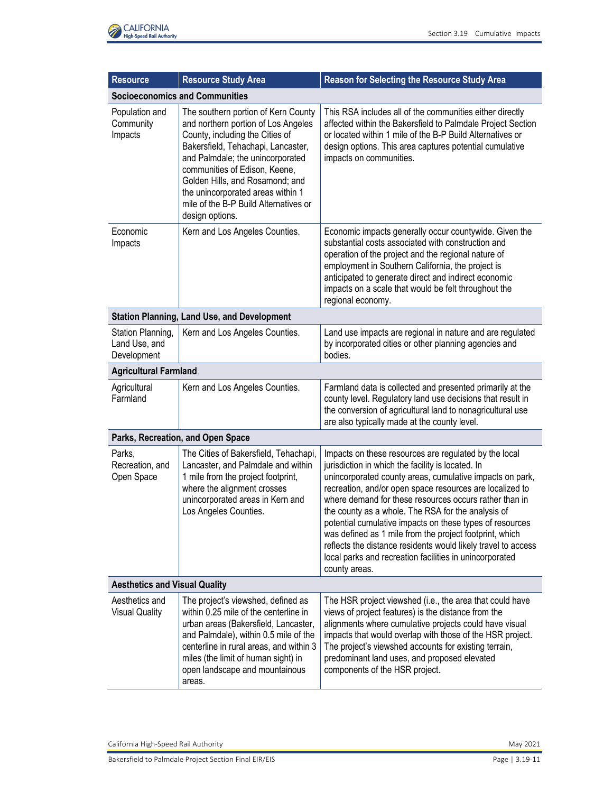

| <b>Resource</b>                                   | <b>Resource Study Area</b>                                                                                                                                                                                                                                                                                                                                   | <b>Reason for Selecting the Resource Study Area</b>                                                                                                                                                                                                                                                                                                                                                                                                                                                                                                                                                                    |  |
|---------------------------------------------------|--------------------------------------------------------------------------------------------------------------------------------------------------------------------------------------------------------------------------------------------------------------------------------------------------------------------------------------------------------------|------------------------------------------------------------------------------------------------------------------------------------------------------------------------------------------------------------------------------------------------------------------------------------------------------------------------------------------------------------------------------------------------------------------------------------------------------------------------------------------------------------------------------------------------------------------------------------------------------------------------|--|
|                                                   | <b>Socioeconomics and Communities</b>                                                                                                                                                                                                                                                                                                                        |                                                                                                                                                                                                                                                                                                                                                                                                                                                                                                                                                                                                                        |  |
| Population and<br>Community<br>Impacts            | The southern portion of Kern County<br>and northern portion of Los Angeles<br>County, including the Cities of<br>Bakersfield, Tehachapi, Lancaster,<br>and Palmdale; the unincorporated<br>communities of Edison, Keene,<br>Golden Hills, and Rosamond; and<br>the unincorporated areas within 1<br>mile of the B-P Build Alternatives or<br>design options. | This RSA includes all of the communities either directly<br>affected within the Bakersfield to Palmdale Project Section<br>or located within 1 mile of the B-P Build Alternatives or<br>design options. This area captures potential cumulative<br>impacts on communities.                                                                                                                                                                                                                                                                                                                                             |  |
| Economic<br>Impacts                               | Kern and Los Angeles Counties.                                                                                                                                                                                                                                                                                                                               | Economic impacts generally occur countywide. Given the<br>substantial costs associated with construction and<br>operation of the project and the regional nature of<br>employment in Southern California, the project is<br>anticipated to generate direct and indirect economic<br>impacts on a scale that would be felt throughout the<br>regional economy.                                                                                                                                                                                                                                                          |  |
|                                                   | <b>Station Planning, Land Use, and Development</b>                                                                                                                                                                                                                                                                                                           |                                                                                                                                                                                                                                                                                                                                                                                                                                                                                                                                                                                                                        |  |
| Station Planning,<br>Land Use, and<br>Development | Kern and Los Angeles Counties.                                                                                                                                                                                                                                                                                                                               | Land use impacts are regional in nature and are regulated<br>by incorporated cities or other planning agencies and<br>bodies.                                                                                                                                                                                                                                                                                                                                                                                                                                                                                          |  |
| <b>Agricultural Farmland</b>                      |                                                                                                                                                                                                                                                                                                                                                              |                                                                                                                                                                                                                                                                                                                                                                                                                                                                                                                                                                                                                        |  |
| Agricultural<br>Farmland                          | Kern and Los Angeles Counties.                                                                                                                                                                                                                                                                                                                               | Farmland data is collected and presented primarily at the<br>county level. Regulatory land use decisions that result in<br>the conversion of agricultural land to nonagricultural use<br>are also typically made at the county level.                                                                                                                                                                                                                                                                                                                                                                                  |  |
|                                                   | Parks, Recreation, and Open Space                                                                                                                                                                                                                                                                                                                            |                                                                                                                                                                                                                                                                                                                                                                                                                                                                                                                                                                                                                        |  |
| Parks,<br>Recreation, and<br>Open Space           | The Cities of Bakersfield, Tehachapi,<br>Lancaster, and Palmdale and within<br>1 mile from the project footprint,<br>where the alignment crosses<br>unincorporated areas in Kern and<br>Los Angeles Counties.                                                                                                                                                | Impacts on these resources are regulated by the local<br>jurisdiction in which the facility is located. In<br>unincorporated county areas, cumulative impacts on park,<br>recreation, and/or open space resources are localized to<br>where demand for these resources occurs rather than in<br>the county as a whole. The RSA for the analysis of<br>potential cumulative impacts on these types of resources<br>was defined as 1 mile from the project footprint, which<br>reflects the distance residents would likely travel to access<br>local parks and recreation facilities in unincorporated<br>county areas. |  |
| <b>Aesthetics and Visual Quality</b>              |                                                                                                                                                                                                                                                                                                                                                              |                                                                                                                                                                                                                                                                                                                                                                                                                                                                                                                                                                                                                        |  |
| Aesthetics and<br><b>Visual Quality</b>           | The project's viewshed, defined as<br>within 0.25 mile of the centerline in<br>urban areas (Bakersfield, Lancaster,<br>and Palmdale), within 0.5 mile of the<br>centerline in rural areas, and within 3<br>miles (the limit of human sight) in<br>open landscape and mountainous<br>areas.                                                                   | The HSR project viewshed (i.e., the area that could have<br>views of project features) is the distance from the<br>alignments where cumulative projects could have visual<br>impacts that would overlap with those of the HSR project.<br>The project's viewshed accounts for existing terrain,<br>predominant land uses, and proposed elevated<br>components of the HSR project.                                                                                                                                                                                                                                      |  |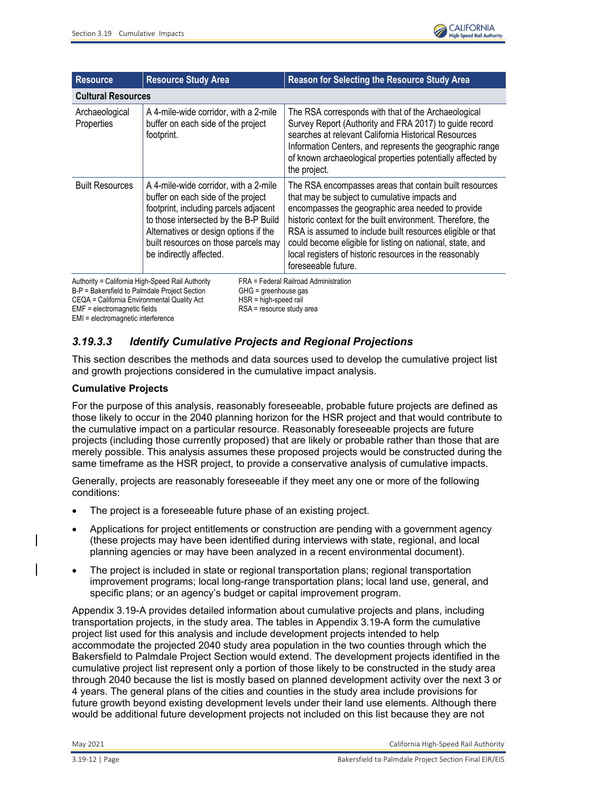

| <b>Resource</b>                                                                           | <b>Resource Study Area</b>                                                                                                                                                                                                                                                | <b>Reason for Selecting the Resource Study Area</b>                                                                                                                                                                                                                                                                                                                                                                                     |  |
|-------------------------------------------------------------------------------------------|---------------------------------------------------------------------------------------------------------------------------------------------------------------------------------------------------------------------------------------------------------------------------|-----------------------------------------------------------------------------------------------------------------------------------------------------------------------------------------------------------------------------------------------------------------------------------------------------------------------------------------------------------------------------------------------------------------------------------------|--|
| <b>Cultural Resources</b>                                                                 |                                                                                                                                                                                                                                                                           |                                                                                                                                                                                                                                                                                                                                                                                                                                         |  |
| Archaeological<br>Properties                                                              | A 4-mile-wide corridor, with a 2-mile<br>buffer on each side of the project<br>footprint.                                                                                                                                                                                 | The RSA corresponds with that of the Archaeological<br>Survey Report (Authority and FRA 2017) to guide record<br>searches at relevant California Historical Resources<br>Information Centers, and represents the geographic range<br>of known archaeological properties potentially affected by<br>the project.                                                                                                                         |  |
| <b>Built Resources</b>                                                                    | A 4-mile-wide corridor, with a 2-mile<br>buffer on each side of the project<br>footprint, including parcels adjacent<br>to those intersected by the B-P Build<br>Alternatives or design options if the<br>built resources on those parcels may<br>be indirectly affected. | The RSA encompasses areas that contain built resources<br>that may be subject to cumulative impacts and<br>encompasses the geographic area needed to provide<br>historic context for the built environment. Therefore, the<br>RSA is assumed to include built resources eligible or that<br>could become eligible for listing on national, state, and<br>local registers of historic resources in the reasonably<br>foreseeable future. |  |
| Authority = California High-Speed Rail Authority<br>FRA = Federal Railroad Administration |                                                                                                                                                                                                                                                                           |                                                                                                                                                                                                                                                                                                                                                                                                                                         |  |

B-P = Bakersfield to Palmdale Project Section GHG = greenhouse gas CEQA = California Environmental Quality Act HSR = high-speed rail<br>EMF = electromagnetic fields exercing RSA = resource study area  $EMF =$  electromagnetic fields EMI = electromagnetic interference

# *3.19.3.3 Identify Cumulative Projects and Regional Projections*

This section describes the methods and data sources used to develop the cumulative project list and growth projections considered in the cumulative impact analysis.

## **Cumulative Projects**

For the purpose of this analysis, reasonably foreseeable, probable future projects are defined as those likely to occur in the 2040 planning horizon for the HSR project and that would contribute to the cumulative impact on a particular resource. Reasonably foreseeable projects are future projects (including those currently proposed) that are likely or probable rather than those that are merely possible. This analysis assumes these proposed projects would be constructed during the same timeframe as the HSR project, to provide a conservative analysis of cumulative impacts.

Generally, projects are reasonably foreseeable if they meet any one or more of the following conditions:

- The project is a foreseeable future phase of an existing project.
- Applications for project entitlements or construction are pending with a government agency (these projects may have been identified during interviews with state, regional, and local planning agencies or may have been analyzed in a recent environmental document).
- The project is included in state or regional transportation plans; regional transportation improvement programs; local long-range transportation plans; local land use, general, and specific plans; or an agency's budget or capital improvement program.

Appendix 3.19-A provides detailed information about cumulative projects and plans, including transportation projects, in the study area. The tables in Appendix 3.19-A form the cumulative project list used for this analysis and include development projects intended to help accommodate the projected 2040 study area population in the two counties through which the Bakersfield to Palmdale Project Section would extend. The development projects identified in the cumulative project list represent only a portion of those likely to be constructed in the study area through 2040 because the list is mostly based on planned development activity over the next 3 or 4 years. The general plans of the cities and counties in the study area include provisions for future growth beyond existing development levels under their land use elements. Although there would be additional future development projects not included on this list because they are not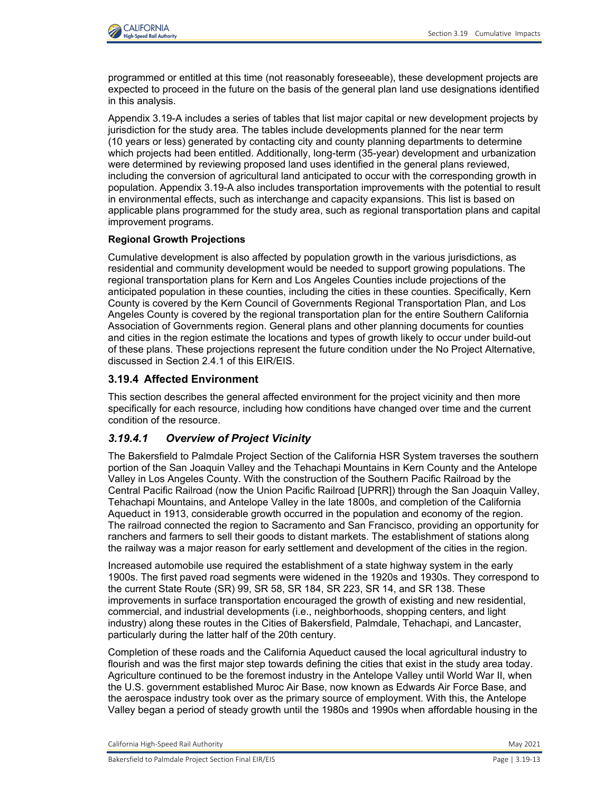

programmed or entitled at this time (not reasonably foreseeable), these development projects are expected to proceed in the future on the basis of the general plan land use designations identified in this analysis.

Appendix 3.19-A includes a series of tables that list major capital or new development projects by jurisdiction for the study area. The tables include developments planned for the near term (10 years or less) generated by contacting city and county planning departments to determine which projects had been entitled. Additionally, long-term (35-year) development and urbanization were determined by reviewing proposed land uses identified in the general plans reviewed, including the conversion of agricultural land anticipated to occur with the corresponding growth in population. Appendix 3.19-A also includes transportation improvements with the potential to result in environmental effects, such as interchange and capacity expansions. This list is based on applicable plans programmed for the study area, such as regional transportation plans and capital improvement programs.

### **Regional Growth Projections**

Cumulative development is also affected by population growth in the various jurisdictions, as residential and community development would be needed to support growing populations. The regional transportation plans for Kern and Los Angeles Counties include projections of the anticipated population in these counties, including the cities in these counties. Specifically, Kern County is covered by the Kern Council of Governments Regional Transportation Plan, and Los Angeles County is covered by the regional transportation plan for the entire Southern California Association of Governments region. General plans and other planning documents for counties and cities in the region estimate the locations and types of growth likely to occur under build-out of these plans. These projections represent the future condition under the No Project Alternative, discussed in Section 2.4.1 of this EIR/EIS.

## <span id="page-12-0"></span>**3.19.4 Affected Environment**

This section describes the general affected environment for the project vicinity and then more specifically for each resource, including how conditions have changed over time and the current condition of the resource.

## *3.19.4.1 Overview of Project Vicinity*

The Bakersfield to Palmdale Project Section of the California HSR System traverses the southern portion of the San Joaquin Valley and the Tehachapi Mountains in Kern County and the Antelope Valley in Los Angeles County. With the construction of the Southern Pacific Railroad by the Central Pacific Railroad (now the Union Pacific Railroad [UPRR]) through the San Joaquin Valley, Tehachapi Mountains, and Antelope Valley in the late 1800s, and completion of the California Aqueduct in 1913, considerable growth occurred in the population and economy of the region. The railroad connected the region to Sacramento and San Francisco, providing an opportunity for ranchers and farmers to sell their goods to distant markets. The establishment of stations along the railway was a major reason for early settlement and development of the cities in the region.

Increased automobile use required the establishment of a state highway system in the early 1900s. The first paved road segments were widened in the 1920s and 1930s. They correspond to the current State Route (SR) 99, SR 58, SR 184, SR 223, SR 14, and SR 138. These improvements in surface transportation encouraged the growth of existing and new residential, commercial, and industrial developments (i.e., neighborhoods, shopping centers, and light industry) along these routes in the Cities of Bakersfield, Palmdale, Tehachapi, and Lancaster, particularly during the latter half of the 20th century.

Completion of these roads and the California Aqueduct caused the local agricultural industry to flourish and was the first major step towards defining the cities that exist in the study area today. Agriculture continued to be the foremost industry in the Antelope Valley until World War II, when the U.S. government established Muroc Air Base, now known as Edwards Air Force Base, and the aerospace industry took over as the primary source of employment. With this, the Antelope Valley began a period of steady growth until the 1980s and 1990s when affordable housing in the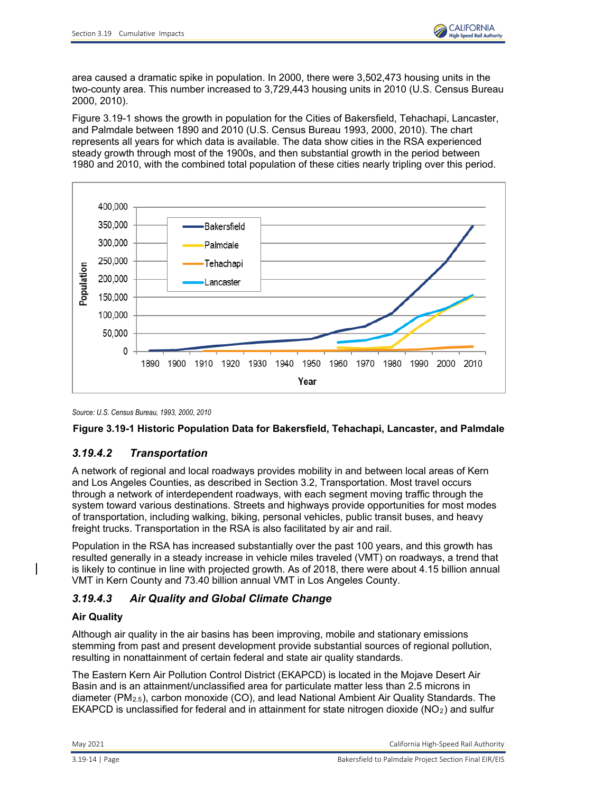

area caused a dramatic spike in population. In 2000, there were 3,502,473 housing units in the two-county area. This number increased to 3,729,443 housing units in 2010 (U.S. Census Bureau 2000, 2010).

[Figure 3.19-1](#page-13-0) shows the growth in population for the Cities of Bakersfield, Tehachapi, Lancaster, and Palmdale between 1890 and 2010 (U.S. Census Bureau 1993, 2000, 2010). The chart represents all years for which data is available. The data show cities in the RSA experienced steady growth through most of the 1900s, and then substantial growth in the period between 1980 and 2010, with the combined total population of these cities nearly tripling over this period.



*Source: U.S. Census Bureau, 1993, 2000, 2010*

## <span id="page-13-0"></span>**Figure 3.19-1 Historic Population Data for Bakersfield, Tehachapi, Lancaster, and Palmdale**

# *3.19.4.2 Transportation*

A network of regional and local roadways provides mobility in and between local areas of Kern and Los Angeles Counties, as described in Section 3.2, Transportation. Most travel occurs through a network of interdependent roadways, with each segment moving traffic through the system toward various destinations. Streets and highways provide opportunities for most modes of transportation, including walking, biking, personal vehicles, public transit buses, and heavy freight trucks. Transportation in the RSA is also facilitated by air and rail.

Population in the RSA has increased substantially over the past 100 years, and this growth has resulted generally in a steady increase in vehicle miles traveled (VMT) on roadways, a trend that is likely to continue in line with projected growth. As of 2018, there were about 4.15 billion annual VMT in Kern County and 73.40 billion annual VMT in Los Angeles County.

# *3.19.4.3 Air Quality and Global Climate Change*

## **Air Quality**

Although air quality in the air basins has been improving, mobile and stationary emissions stemming from past and present development provide substantial sources of regional pollution, resulting in nonattainment of certain federal and state air quality standards.

The Eastern Kern Air Pollution Control District (EKAPCD) is located in the Mojave Desert Air Basin and is an attainment/unclassified area for particulate matter less than 2.5 microns in diameter (PM2.5), carbon monoxide (CO), and lead National Ambient Air Quality Standards. The EKAPCD is unclassified for federal and in attainment for state nitrogen dioxide ( $NO<sub>2</sub>$ ) and sulfur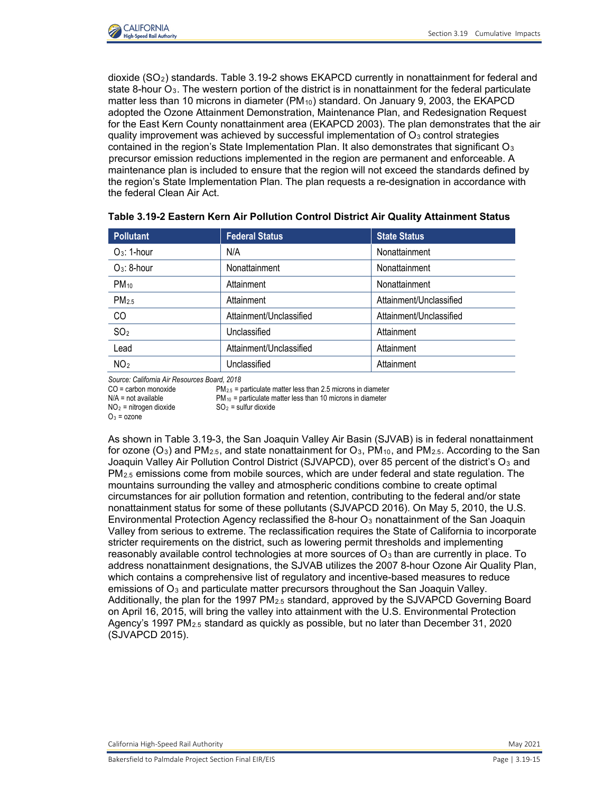

dioxide (SO2) standards. Table 3.19-2 shows EKAPCD currently in nonattainment for federal and state 8-hour  $O_3$ . The western portion of the district is in nonattainment for the federal particulate matter less than 10 microns in diameter  $(PM_{10})$  standard. On January 9, 2003, the EKAPCD adopted the Ozone Attainment Demonstration, Maintenance Plan, and Redesignation Request for the East Kern County nonattainment area (EKAPCD 2003). The plan demonstrates that the air quality improvement was achieved by successful implementation of  $O<sub>3</sub>$  control strategies contained in the region's State Implementation Plan. It also demonstrates that significant  $O_3$ precursor emission reductions implemented in the region are permanent and enforceable. A maintenance plan is included to ensure that the region will not exceed the standards defined by the region's State Implementation Plan. The plan requests a re-designation in accordance with the federal Clean Air Act.

| <b>Pollutant</b>  | <b>Federal Status</b>   | <b>State Status</b>     |
|-------------------|-------------------------|-------------------------|
| $O_3$ : 1-hour    | N/A                     | Nonattainment           |
| $O_3$ : 8-hour    | Nonattainment           | Nonattainment           |
| $PM_{10}$         | Attainment              | Nonattainment           |
| PM <sub>2.5</sub> | Attainment              | Attainment/Unclassified |
| CO                | Attainment/Unclassified | Attainment/Unclassified |
| SO <sub>2</sub>   | Unclassified            | Attainment              |
| Lead              | Attainment/Unclassified | Attainment              |
| NO <sub>2</sub>   | Unclassified            | Attainment              |

| Table 3.19-2 Eastern Kern Air Pollution Control District Air Quality Attainment Status |  |  |  |
|----------------------------------------------------------------------------------------|--|--|--|
|----------------------------------------------------------------------------------------|--|--|--|

*Source: California Air Resources Board, 2018*

 $CO =$  carbon monoxide PM<sub>2.5</sub> = particulate matter less than 2.5 microns in diameter

 $N/A$  = not available  $P M_{10}$  = particulate matter less than 10 microns in diameter  $NO_2$  = nitrogen dioxide  $SO_2$  = sulfur dioxide

 $NO<sub>2</sub>$  = nitrogen dioxide

 $Q_3$  = ozone

As shown in Table 3.19-3, the San Joaquin Valley Air Basin (SJVAB) is in federal nonattainment for ozone ( $O_3$ ) and PM<sub>2.5</sub>, and state nonattainment for  $O_3$ , PM<sub>10</sub>, and PM<sub>2.5</sub>. According to the San Joaquin Valley Air Pollution Control District (SJVAPCD), over 85 percent of the district's O<sub>3</sub> and PM2.5 emissions come from mobile sources, which are under federal and state regulation. The mountains surrounding the valley and atmospheric conditions combine to create optimal circumstances for air pollution formation and retention, contributing to the federal and/or state nonattainment status for some of these pollutants (SJVAPCD 2016). On May 5, 2010, the U.S. Environmental Protection Agency reclassified the 8-hour O<sub>3</sub> nonattainment of the San Joaquin Valley from serious to extreme. The reclassification requires the State of California to incorporate stricter requirements on the district, such as lowering permit thresholds and implementing reasonably available control technologies at more sources of  $O<sub>3</sub>$  than are currently in place. To address nonattainment designations, the SJVAB utilizes the 2007 8-hour Ozone Air Quality Plan, which contains a comprehensive list of regulatory and incentive-based measures to reduce emissions of  $O_3$  and particulate matter precursors throughout the San Joaquin Valley. Additionally, the plan for the 1997 PM2.5 standard, approved by the SJVAPCD Governing Board on April 16, 2015, will bring the valley into attainment with the U.S. Environmental Protection Agency's 1997 PM2.5 standard as quickly as possible, but no later than December 31, 2020 (SJVAPCD 2015).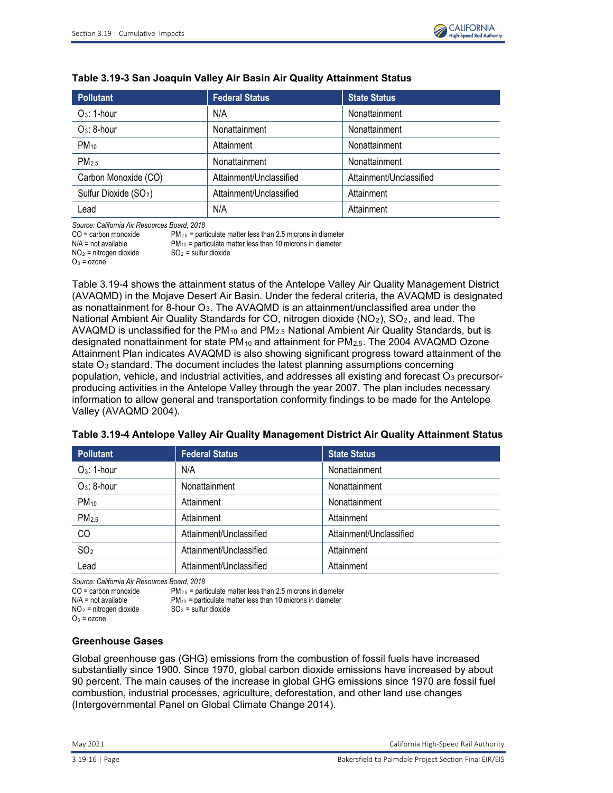

| <b>Pollutant</b>                  | <b>Federal Status</b>   | <b>State Status</b>     |
|-----------------------------------|-------------------------|-------------------------|
| $Q_3$ : 1-hour                    | N/A                     | Nonattainment           |
| $O_3$ : 8-hour                    | Nonattainment           | Nonattainment           |
| $PM_{10}$                         | Attainment              | Nonattainment           |
| PM <sub>25</sub>                  | Nonattainment           | Nonattainment           |
| Carbon Monoxide (CO)              | Attainment/Unclassified | Attainment/Unclassified |
| Sulfur Dioxide (SO <sub>2</sub> ) | Attainment/Unclassified | Attainment              |
| Lead                              | N/A                     | Attainment              |

### **Table 3.19-3 San Joaquin Valley Air Basin Air Quality Attainment Status**

*Source: California Air Resources Board, 2018*

| CO = carbon monoxide     | $PM_{2.5}$ = particulate matter less than 2.5 microns in diameter |
|--------------------------|-------------------------------------------------------------------|
| N/A = not available      | $PM_{10}$ = particulate matter less than 10 microns in diameter   |
| $NO2$ = nitrogen dioxide | $SO2$ = sulfur dioxide                                            |
| $O_3$ = ozone            |                                                                   |

Table [3.19-4](#page-15-0) shows the attainment status of the Antelope Valley Air Quality Management District (AVAQMD) in the Mojave Desert Air Basin. Under the federal criteria, the AVAQMD is designated as nonattainment for 8-hour O3. The AVAQMD is an attainment/unclassified area under the National Ambient Air Quality Standards for CO, nitrogen dioxide (NO<sub>2</sub>), SO<sub>2</sub>, and lead. The AVAQMD is unclassified for the  $PM_{10}$  and  $PM_{2.5}$  National Ambient Air Quality Standards, but is designated nonattainment for state PM<sub>10</sub> and attainment for PM<sub>2.5</sub>. The 2004 AVAQMD Ozone Attainment Plan indicates AVAQMD is also showing significant progress toward attainment of the state  $O_3$  standard. The document includes the latest planning assumptions concerning population, vehicle, and industrial activities, and addresses all existing and forecast  $O_3$  precursorproducing activities in the Antelope Valley through the year 2007. The plan includes necessary information to allow general and transportation conformity findings to be made for the Antelope Valley (AVAQMD 2004).

| <b>Pollutant</b>  | <b>Federal Status</b>   | <b>State Status</b>     |
|-------------------|-------------------------|-------------------------|
| $O_3$ : 1-hour    | N/A                     | Nonattainment           |
| $O_3$ : 8-hour    | Nonattainment           | Nonattainment           |
| $PM_{10}$         | Attainment              | Nonattainment           |
| PM <sub>2.5</sub> | Attainment              | Attainment              |
| CO                | Attainment/Unclassified | Attainment/Unclassified |
| SO <sub>2</sub>   | Attainment/Unclassified | Attainment              |
| Lead              | Attainment/Unclassified | Attainment              |

<span id="page-15-0"></span>

|  |  |  | Table 3.19-4 Antelope Valley Air Quality Management District Air Quality Attainment Status |
|--|--|--|--------------------------------------------------------------------------------------------|
|--|--|--|--------------------------------------------------------------------------------------------|

*Source: California Air Resources Board, 2018*

CO = carbon monoxide PM<sub>2.5</sub> = particulate matter less than 2.5 microns in diameter N/A = not available PM<sub>10</sub> = particulate matter less than 10 microns in diameter

PM<sub>10</sub> = particulate matter less than 10 microns in diameter  $SO_2$  = sulfur dioxide

 $NO<sub>2</sub>$  = nitrogen dioxide

 $O_3$  = ozone

### **Greenhouse Gases**

Global greenhouse gas (GHG) emissions from the combustion of fossil fuels have increased substantially since 1900. Since 1970, global carbon dioxide emissions have increased by about 90 percent. The main causes of the increase in global GHG emissions since 1970 are fossil fuel combustion, industrial processes, agriculture, deforestation, and other land use changes (Intergovernmental Panel on Global Climate Change 2014).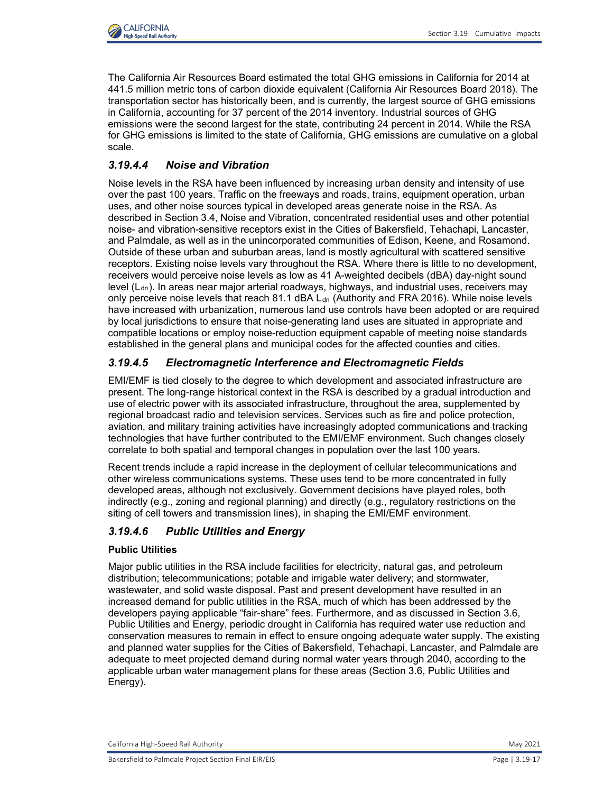

The California Air Resources Board estimated the total GHG emissions in California for 2014 at 441.5 million metric tons of carbon dioxide equivalent (California Air Resources Board 2018). The transportation sector has historically been, and is currently, the largest source of GHG emissions in California, accounting for 37 percent of the 2014 inventory. Industrial sources of GHG emissions were the second largest for the state, contributing 24 percent in 2014. While the RSA for GHG emissions is limited to the state of California, GHG emissions are cumulative on a global scale.

# *3.19.4.4 Noise and Vibration*

Noise levels in the RSA have been influenced by increasing urban density and intensity of use over the past 100 years. Traffic on the freeways and roads, trains, equipment operation, urban uses, and other noise sources typical in developed areas generate noise in the RSA. As described in Section 3.4, Noise and Vibration, concentrated residential uses and other potential noise- and vibration-sensitive receptors exist in the Cities of Bakersfield, Tehachapi, Lancaster, and Palmdale, as well as in the unincorporated communities of Edison, Keene, and Rosamond. Outside of these urban and suburban areas, land is mostly agricultural with scattered sensitive receptors. Existing noise levels vary throughout the RSA. Where there is little to no development, receivers would perceive noise levels as low as 41 A-weighted decibels (dBA) day-night sound level  $(L<sub>dn</sub>)$ . In areas near major arterial roadways, highways, and industrial uses, receivers may only perceive noise levels that reach  $81.1$  dBA  $L<sub>dn</sub>$  (Authority and FRA 2016). While noise levels have increased with urbanization, numerous land use controls have been adopted or are required by local jurisdictions to ensure that noise-generating land uses are situated in appropriate and compatible locations or employ noise-reduction equipment capable of meeting noise standards established in the general plans and municipal codes for the affected counties and cities.

# *3.19.4.5 Electromagnetic Interference and Electromagnetic Fields*

EMI/EMF is tied closely to the degree to which development and associated infrastructure are present. The long-range historical context in the RSA is described by a gradual introduction and use of electric power with its associated infrastructure, throughout the area, supplemented by regional broadcast radio and television services. Services such as fire and police protection, aviation, and military training activities have increasingly adopted communications and tracking technologies that have further contributed to the EMI/EMF environment. Such changes closely correlate to both spatial and temporal changes in population over the last 100 years.

Recent trends include a rapid increase in the deployment of cellular telecommunications and other wireless communications systems. These uses tend to be more concentrated in fully developed areas, although not exclusively. Government decisions have played roles, both indirectly (e.g., zoning and regional planning) and directly (e.g., regulatory restrictions on the siting of cell towers and transmission lines), in shaping the EMI/EMF environment.

# *3.19.4.6 Public Utilities and Energy*

### **Public Utilities**

Major public utilities in the RSA include facilities for electricity, natural gas, and petroleum distribution; telecommunications; potable and irrigable water delivery; and stormwater, wastewater, and solid waste disposal. Past and present development have resulted in an increased demand for public utilities in the RSA, much of which has been addressed by the developers paying applicable "fair-share" fees. Furthermore, and as discussed in Section 3.6, Public Utilities and Energy, periodic drought in California has required water use reduction and conservation measures to remain in effect to ensure ongoing adequate water supply. The existing and planned water supplies for the Cities of Bakersfield, Tehachapi, Lancaster, and Palmdale are adequate to meet projected demand during normal water years through 2040, according to the applicable urban water management plans for these areas (Section 3.6, Public Utilities and Energy).

California High-Speed Rail Authority May 2021 and Separate School and School and School and School and School and School and School and School and School and School and School and School and School and School and School an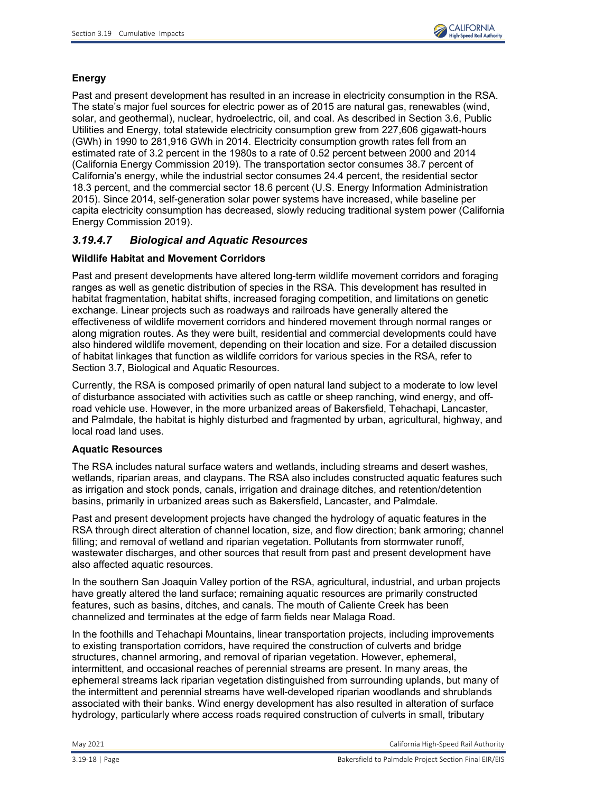

# **Energy**

Past and present development has resulted in an increase in electricity consumption in the RSA. The state's major fuel sources for electric power as of 2015 are natural gas, renewables (wind, solar, and geothermal), nuclear, hydroelectric, oil, and coal. As described in Section 3.6, Public Utilities and Energy, total statewide electricity consumption grew from 227,606 gigawatt-hours (GWh) in 1990 to 281,916 GWh in 2014. Electricity consumption growth rates fell from an estimated rate of 3.2 percent in the 1980s to a rate of 0.52 percent between 2000 and 2014 (California Energy Commission 2019). The transportation sector consumes 38.7 percent of California's energy, while the industrial sector consumes 24.4 percent, the residential sector 18.3 percent, and the commercial sector 18.6 percent (U.S. Energy Information Administration 2015). Since 2014, self-generation solar power systems have increased, while baseline per capita electricity consumption has decreased, slowly reducing traditional system power (California Energy Commission 2019).

# *3.19.4.7 Biological and Aquatic Resources*

## **Wildlife Habitat and Movement Corridors**

Past and present developments have altered long-term wildlife movement corridors and foraging ranges as well as genetic distribution of species in the RSA. This development has resulted in habitat fragmentation, habitat shifts, increased foraging competition, and limitations on genetic exchange. Linear projects such as roadways and railroads have generally altered the effectiveness of wildlife movement corridors and hindered movement through normal ranges or along migration routes. As they were built, residential and commercial developments could have also hindered wildlife movement, depending on their location and size. For a detailed discussion of habitat linkages that function as wildlife corridors for various species in the RSA, refer to Section 3.7, Biological and Aquatic Resources.

Currently, the RSA is composed primarily of open natural land subject to a moderate to low level of disturbance associated with activities such as cattle or sheep ranching, wind energy, and offroad vehicle use. However, in the more urbanized areas of Bakersfield, Tehachapi, Lancaster, and Palmdale, the habitat is highly disturbed and fragmented by urban, agricultural, highway, and local road land uses.

### **Aquatic Resources**

The RSA includes natural surface waters and wetlands, including streams and desert washes, wetlands, riparian areas, and claypans. The RSA also includes constructed aquatic features such as irrigation and stock ponds, canals, irrigation and drainage ditches, and retention/detention basins, primarily in urbanized areas such as Bakersfield, Lancaster, and Palmdale.

Past and present development projects have changed the hydrology of aquatic features in the RSA through direct alteration of channel location, size, and flow direction; bank armoring; channel filling; and removal of wetland and riparian vegetation. Pollutants from stormwater runoff, wastewater discharges, and other sources that result from past and present development have also affected aquatic resources.

In the southern San Joaquin Valley portion of the RSA, agricultural, industrial, and urban projects have greatly altered the land surface; remaining aquatic resources are primarily constructed features, such as basins, ditches, and canals. The mouth of Caliente Creek has been channelized and terminates at the edge of farm fields near Malaga Road.

In the foothills and Tehachapi Mountains, linear transportation projects, including improvements to existing transportation corridors, have required the construction of culverts and bridge structures, channel armoring, and removal of riparian vegetation. However, ephemeral, intermittent, and occasional reaches of perennial streams are present. In many areas, the ephemeral streams lack riparian vegetation distinguished from surrounding uplands, but many of the intermittent and perennial streams have well-developed riparian woodlands and shrublands associated with their banks. Wind energy development has also resulted in alteration of surface hydrology, particularly where access roads required construction of culverts in small, tributary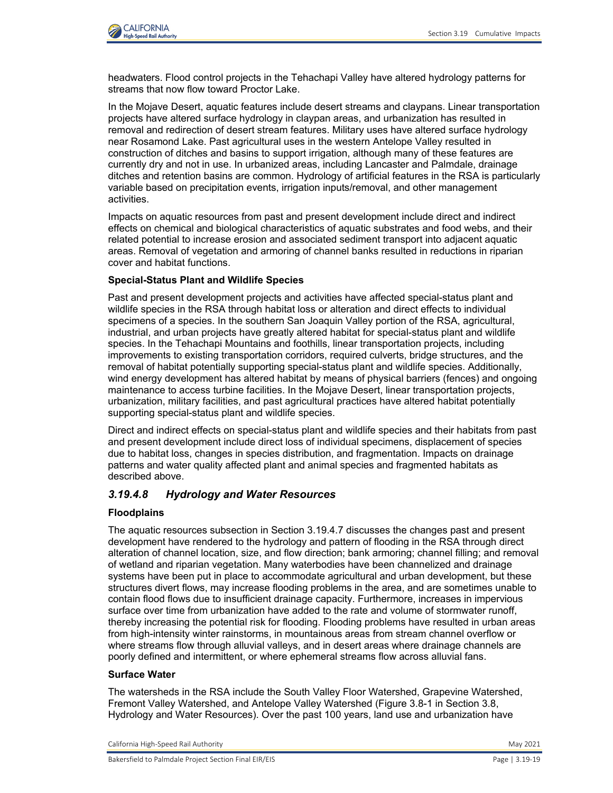

headwaters. Flood control projects in the Tehachapi Valley have altered hydrology patterns for streams that now flow toward Proctor Lake.

In the Mojave Desert, aquatic features include desert streams and claypans. Linear transportation projects have altered surface hydrology in claypan areas, and urbanization has resulted in removal and redirection of desert stream features. Military uses have altered surface hydrology near Rosamond Lake. Past agricultural uses in the western Antelope Valley resulted in construction of ditches and basins to support irrigation, although many of these features are currently dry and not in use. In urbanized areas, including Lancaster and Palmdale, drainage ditches and retention basins are common. Hydrology of artificial features in the RSA is particularly variable based on precipitation events, irrigation inputs/removal, and other management activities.

Impacts on aquatic resources from past and present development include direct and indirect effects on chemical and biological characteristics of aquatic substrates and food webs, and their related potential to increase erosion and associated sediment transport into adjacent aquatic areas. Removal of vegetation and armoring of channel banks resulted in reductions in riparian cover and habitat functions.

#### **Special-Status Plant and Wildlife Species**

Past and present development projects and activities have affected special-status plant and wildlife species in the RSA through habitat loss or alteration and direct effects to individual specimens of a species. In the southern San Joaquin Valley portion of the RSA, agricultural, industrial, and urban projects have greatly altered habitat for special-status plant and wildlife species. In the Tehachapi Mountains and foothills, linear transportation projects, including improvements to existing transportation corridors, required culverts, bridge structures, and the removal of habitat potentially supporting special-status plant and wildlife species. Additionally, wind energy development has altered habitat by means of physical barriers (fences) and ongoing maintenance to access turbine facilities. In the Mojave Desert, linear transportation projects, urbanization, military facilities, and past agricultural practices have altered habitat potentially supporting special-status plant and wildlife species.

Direct and indirect effects on special-status plant and wildlife species and their habitats from past and present development include direct loss of individual specimens, displacement of species due to habitat loss, changes in species distribution, and fragmentation. Impacts on drainage patterns and water quality affected plant and animal species and fragmented habitats as described above.

## *3.19.4.8 Hydrology and Water Resources*

### **Floodplains**

The aquatic resources subsection in Section 3.19.4.7 discusses the changes past and present development have rendered to the hydrology and pattern of flooding in the RSA through direct alteration of channel location, size, and flow direction; bank armoring; channel filling; and removal of wetland and riparian vegetation. Many waterbodies have been channelized and drainage systems have been put in place to accommodate agricultural and urban development, but these structures divert flows, may increase flooding problems in the area, and are sometimes unable to contain flood flows due to insufficient drainage capacity. Furthermore, increases in impervious surface over time from urbanization have added to the rate and volume of stormwater runoff, thereby increasing the potential risk for flooding. Flooding problems have resulted in urban areas from high-intensity winter rainstorms, in mountainous areas from stream channel overflow or where streams flow through alluvial valleys, and in desert areas where drainage channels are poorly defined and intermittent, or where ephemeral streams flow across alluvial fans.

### **Surface Water**

The watersheds in the RSA include the South Valley Floor Watershed, Grapevine Watershed, Fremont Valley Watershed, and Antelope Valley Watershed (Figure 3.8-1 in Section 3.8, Hydrology and Water Resources). Over the past 100 years, land use and urbanization have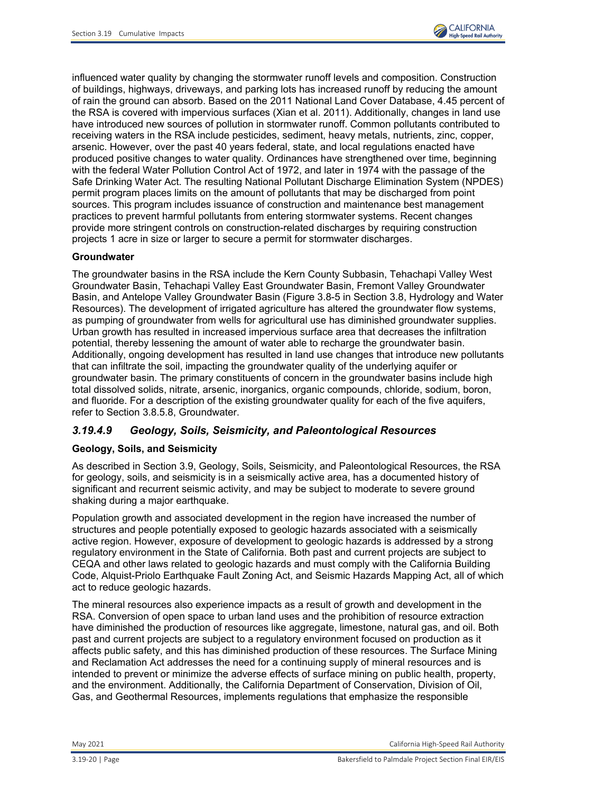

influenced water quality by changing the stormwater runoff levels and composition. Construction of buildings, highways, driveways, and parking lots has increased runoff by reducing the amount of rain the ground can absorb. Based on the 2011 National Land Cover Database, 4.45 percent of the RSA is covered with impervious surfaces (Xian et al. 2011). Additionally, changes in land use have introduced new sources of pollution in stormwater runoff. Common pollutants contributed to receiving waters in the RSA include pesticides, sediment, heavy metals, nutrients, zinc, copper, arsenic. However, over the past 40 years federal, state, and local regulations enacted have produced positive changes to water quality. Ordinances have strengthened over time, beginning with the federal Water Pollution Control Act of 1972, and later in 1974 with the passage of the Safe Drinking Water Act. The resulting National Pollutant Discharge Elimination System (NPDES) permit program places limits on the amount of pollutants that may be discharged from point sources. This program includes issuance of construction and maintenance best management practices to prevent harmful pollutants from entering stormwater systems. Recent changes provide more stringent controls on construction-related discharges by requiring construction projects 1 acre in size or larger to secure a permit for stormwater discharges.

## **Groundwater**

The groundwater basins in the RSA include the Kern County Subbasin, Tehachapi Valley West Groundwater Basin, Tehachapi Valley East Groundwater Basin, Fremont Valley Groundwater Basin, and Antelope Valley Groundwater Basin (Figure 3.8-5 in Section 3.8, Hydrology and Water Resources). The development of irrigated agriculture has altered the groundwater flow systems, as pumping of groundwater from wells for agricultural use has diminished groundwater supplies. Urban growth has resulted in increased impervious surface area that decreases the infiltration potential, thereby lessening the amount of water able to recharge the groundwater basin. Additionally, ongoing development has resulted in land use changes that introduce new pollutants that can infiltrate the soil, impacting the groundwater quality of the underlying aquifer or groundwater basin. The primary constituents of concern in the groundwater basins include high total dissolved solids, nitrate, arsenic, inorganics, organic compounds, chloride, sodium, boron, and fluoride. For a description of the existing groundwater quality for each of the five aquifers, refer to Section 3.8.5.8, Groundwater.

## *3.19.4.9 Geology, Soils, Seismicity, and Paleontological Resources*

## **Geology, Soils, and Seismicity**

As described in Section 3.9, Geology, Soils, Seismicity, and Paleontological Resources, the RSA for geology, soils, and seismicity is in a seismically active area, has a documented history of significant and recurrent seismic activity, and may be subject to moderate to severe ground shaking during a major earthquake.

Population growth and associated development in the region have increased the number of structures and people potentially exposed to geologic hazards associated with a seismically active region. However, exposure of development to geologic hazards is addressed by a strong regulatory environment in the State of California. Both past and current projects are subject to CEQA and other laws related to geologic hazards and must comply with the California Building Code, Alquist-Priolo Earthquake Fault Zoning Act, and Seismic Hazards Mapping Act, all of which act to reduce geologic hazards.

The mineral resources also experience impacts as a result of growth and development in the RSA. Conversion of open space to urban land uses and the prohibition of resource extraction have diminished the production of resources like aggregate, limestone, natural gas, and oil. Both past and current projects are subject to a regulatory environment focused on production as it affects public safety, and this has diminished production of these resources. The Surface Mining and Reclamation Act addresses the need for a continuing supply of mineral resources and is intended to prevent or minimize the adverse effects of surface mining on public health, property, and the environment. Additionally, the California Department of Conservation, Division of Oil, Gas, and Geothermal Resources, implements regulations that emphasize the responsible

May 2021 California High-Speed Rail Authority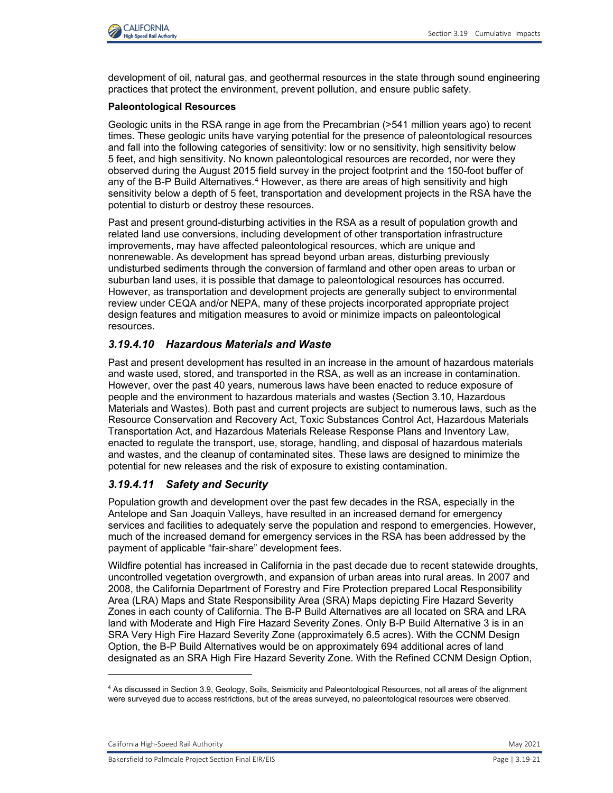

development of oil, natural gas, and geothermal resources in the state through sound engineering practices that protect the environment, prevent pollution, and ensure public safety.

### **Paleontological Resources**

Geologic units in the RSA range in age from the Precambrian (>541 million years ago) to recent times. These geologic units have varying potential for the presence of paleontological resources and fall into the following categories of sensitivity: low or no sensitivity, high sensitivity below 5 feet, and high sensitivity. No known paleontological resources are recorded, nor were they observed during the August 2015 field survey in the project footprint and the 150-foot buffer of any of the B-P Build Alternatives.<sup>[4](#page-20-0)</sup> However, as there are areas of high sensitivity and high sensitivity below a depth of 5 feet, transportation and development projects in the RSA have the potential to disturb or destroy these resources.

Past and present ground-disturbing activities in the RSA as a result of population growth and related land use conversions, including development of other transportation infrastructure improvements, may have affected paleontological resources, which are unique and nonrenewable. As development has spread beyond urban areas, disturbing previously undisturbed sediments through the conversion of farmland and other open areas to urban or suburban land uses, it is possible that damage to paleontological resources has occurred. However, as transportation and development projects are generally subject to environmental review under CEQA and/or NEPA, many of these projects incorporated appropriate project design features and mitigation measures to avoid or minimize impacts on paleontological resources.

# *3.19.4.10 Hazardous Materials and Waste*

Past and present development has resulted in an increase in the amount of hazardous materials and waste used, stored, and transported in the RSA, as well as an increase in contamination. However, over the past 40 years, numerous laws have been enacted to reduce exposure of people and the environment to hazardous materials and wastes (Section 3.10, Hazardous Materials and Wastes). Both past and current projects are subject to numerous laws, such as the Resource Conservation and Recovery Act, Toxic Substances Control Act, Hazardous Materials Transportation Act, and Hazardous Materials Release Response Plans and Inventory Law, enacted to regulate the transport, use, storage, handling, and disposal of hazardous materials and wastes, and the cleanup of contaminated sites. These laws are designed to minimize the potential for new releases and the risk of exposure to existing contamination.

# *3.19.4.11 Safety and Security*

Population growth and development over the past few decades in the RSA, especially in the Antelope and San Joaquin Valleys, have resulted in an increased demand for emergency services and facilities to adequately serve the population and respond to emergencies. However, much of the increased demand for emergency services in the RSA has been addressed by the payment of applicable "fair-share" development fees.

Wildfire potential has increased in California in the past decade due to recent statewide droughts, uncontrolled vegetation overgrowth, and expansion of urban areas into rural areas. In 2007 and 2008, the California Department of Forestry and Fire Protection prepared Local Responsibility Area (LRA) Maps and State Responsibility Area (SRA) Maps depicting Fire Hazard Severity Zones in each county of California. The B-P Build Alternatives are all located on SRA and LRA land with Moderate and High Fire Hazard Severity Zones. Only B-P Build Alternative 3 is in an SRA Very High Fire Hazard Severity Zone (approximately 6.5 acres). With the CCNM Design Option, the B-P Build Alternatives would be on approximately 694 additional acres of land designated as an SRA High Fire Hazard Severity Zone. With the Refined CCNM Design Option,

<span id="page-20-0"></span><sup>4</sup> As discussed in Section 3.9, Geology, Soils, Seismicity and Paleontological Resources, not all areas of the alignment were surveyed due to access restrictions, but of the areas surveyed, no paleontological resources were observed.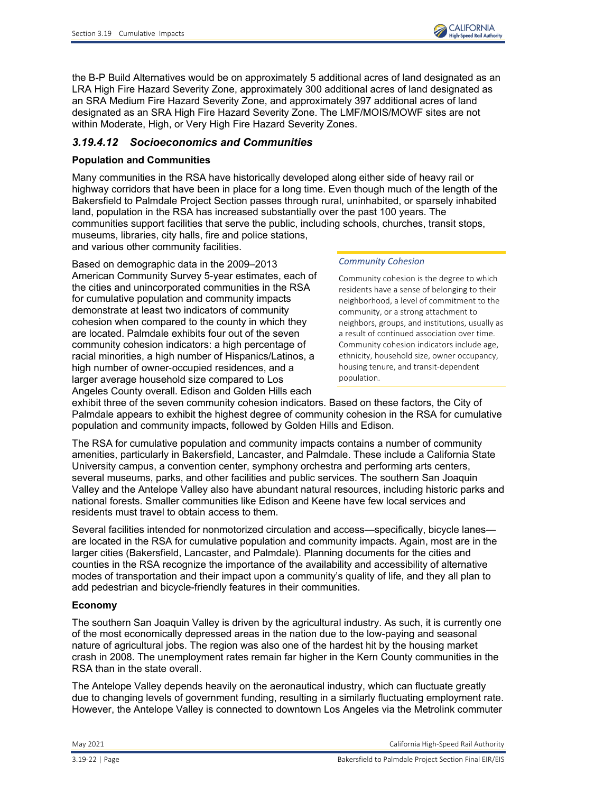

the B-P Build Alternatives would be on approximately 5 additional acres of land designated as an LRA High Fire Hazard Severity Zone, approximately 300 additional acres of land designated as an SRA Medium Fire Hazard Severity Zone, and approximately 397 additional acres of land designated as an SRA High Fire Hazard Severity Zone. The LMF/MOIS/MOWF sites are not within Moderate, High, or Very High Fire Hazard Severity Zones.

# *3.19.4.12 Socioeconomics and Communities*

## **Population and Communities**

Many communities in the RSA have historically developed along either side of heavy rail or highway corridors that have been in place for a long time. Even though much of the length of the Bakersfield to Palmdale Project Section passes through rural, uninhabited, or sparsely inhabited land, population in the RSA has increased substantially over the past 100 years. The communities support facilities that serve the public, including schools, churches, transit stops, museums, libraries, city halls, fire and police stations,

and various other community facilities.

Based on demographic data in the 2009–2013 American Community Survey 5-year estimates, each of the cities and unincorporated communities in the RSA for cumulative population and community impacts demonstrate at least two indicators of community cohesion when compared to the county in which they are located. Palmdale exhibits four out of the seven community cohesion indicators: a high percentage of racial minorities, a high number of Hispanics/Latinos, a high number of owner‐occupied residences, and a larger average household size compared to Los Angeles County overall. Edison and Golden Hills each

#### *Community Cohesion*

Community cohesion is the degree to which residents have a sense of belonging to their neighborhood, a level of commitment to the community, or a strong attachment to neighbors, groups, and institutions, usually as a result of continued association over time. Community cohesion indicators include age, ethnicity, household size, owner occupancy, housing tenure, and transit-dependent population.

exhibit three of the seven community cohesion indicators. Based on these factors, the City of Palmdale appears to exhibit the highest degree of community cohesion in the RSA for cumulative population and community impacts, followed by Golden Hills and Edison.

The RSA for cumulative population and community impacts contains a number of community amenities, particularly in Bakersfield, Lancaster, and Palmdale. These include a California State University campus, a convention center, symphony orchestra and performing arts centers, several museums, parks, and other facilities and public services. The southern San Joaquin Valley and the Antelope Valley also have abundant natural resources, including historic parks and national forests. Smaller communities like Edison and Keene have few local services and residents must travel to obtain access to them.

Several facilities intended for nonmotorized circulation and access—specifically, bicycle lanes are located in the RSA for cumulative population and community impacts. Again, most are in the larger cities (Bakersfield, Lancaster, and Palmdale). Planning documents for the cities and counties in the RSA recognize the importance of the availability and accessibility of alternative modes of transportation and their impact upon a community's quality of life, and they all plan to add pedestrian and bicycle-friendly features in their communities.

## **Economy**

The southern San Joaquin Valley is driven by the agricultural industry. As such, it is currently one of the most economically depressed areas in the nation due to the low-paying and seasonal nature of agricultural jobs. The region was also one of the hardest hit by the housing market crash in 2008. The unemployment rates remain far higher in the Kern County communities in the RSA than in the state overall.

The Antelope Valley depends heavily on the aeronautical industry, which can fluctuate greatly due to changing levels of government funding, resulting in a similarly fluctuating employment rate. However, the Antelope Valley is connected to downtown Los Angeles via the Metrolink commuter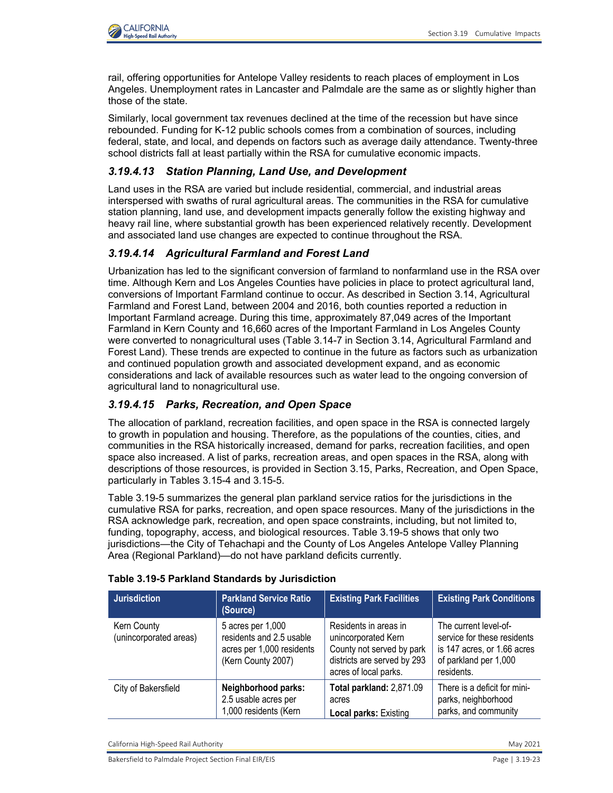

rail, offering opportunities for Antelope Valley residents to reach places of employment in Los Angeles. Unemployment rates in Lancaster and Palmdale are the same as or slightly higher than those of the state.

Similarly, local government tax revenues declined at the time of the recession but have since rebounded. Funding for K-12 public schools comes from a combination of sources, including federal, state, and local, and depends on factors such as average daily attendance. Twenty-three school districts fall at least partially within the RSA for cumulative economic impacts.

## *3.19.4.13 Station Planning, Land Use, and Development*

Land uses in the RSA are varied but include residential, commercial, and industrial areas interspersed with swaths of rural agricultural areas. The communities in the RSA for cumulative station planning, land use, and development impacts generally follow the existing highway and heavy rail line, where substantial growth has been experienced relatively recently. Development and associated land use changes are expected to continue throughout the RSA.

# *3.19.4.14 Agricultural Farmland and Forest Land*

Urbanization has led to the significant conversion of farmland to nonfarmland use in the RSA over time. Although Kern and Los Angeles Counties have policies in place to protect agricultural land, conversions of Important Farmland continue to occur. As described in Section 3.14, Agricultural Farmland and Forest Land, between 2004 and 2016, both counties reported a reduction in Important Farmland acreage. During this time, approximately 87,049 acres of the Important Farmland in Kern County and 16,660 acres of the Important Farmland in Los Angeles County were converted to nonagricultural uses (Table 3.14-7 in Section 3.14, Agricultural Farmland and Forest Land). These trends are expected to continue in the future as factors such as urbanization and continued population growth and associated development expand, and as economic considerations and lack of available resources such as water lead to the ongoing conversion of agricultural land to nonagricultural use.

## *3.19.4.15 Parks, Recreation, and Open Space*

The allocation of parkland, recreation facilities, and open space in the RSA is connected largely to growth in population and housing. Therefore, as the populations of the counties, cities, and communities in the RSA historically increased, demand for parks, recreation facilities, and open space also increased. A list of parks, recreation areas, and open spaces in the RSA, along with descriptions of those resources, is provided in Section 3.15, Parks, Recreation, and Open Space, particularly in Tables 3.15-4 and 3.15-5.

[Table 3.19-5](#page-22-0) summarizes the general plan parkland service ratios for the jurisdictions in the cumulative RSA for parks, recreation, and open space resources. Many of the jurisdictions in the RSA acknowledge park, recreation, and open space constraints, including, but not limited to, funding, topography, access, and biological resources. [Table 3.19-5](#page-22-0) shows that only two jurisdictions—the City of Tehachapi and the County of Los Angeles Antelope Valley Planning Area (Regional Parkland)—do not have parkland deficits currently.

| <b>Jurisdiction</b>                   | <b>Parkland Service Ratio</b><br>(Source)                                                        | <b>Existing Park Facilities</b>                                                                                                   | <b>Existing Park Conditions</b>                                                                                            |
|---------------------------------------|--------------------------------------------------------------------------------------------------|-----------------------------------------------------------------------------------------------------------------------------------|----------------------------------------------------------------------------------------------------------------------------|
| Kern County<br>(unincorporated areas) | 5 acres per 1,000<br>residents and 2.5 usable<br>acres per 1,000 residents<br>(Kern County 2007) | Residents in areas in<br>unincorporated Kern<br>County not served by park<br>districts are served by 293<br>acres of local parks. | The current level-of-<br>service for these residents<br>is 147 acres, or 1.66 acres<br>of parkland per 1,000<br>residents. |
| City of Bakersfield                   | Neighborhood parks:<br>2.5 usable acres per<br>1,000 residents (Kern                             | Total parkland: 2,871.09<br>acres<br>Local parks: Existing                                                                        | There is a deficit for mini-<br>parks, neighborhood<br>parks, and community                                                |

### <span id="page-22-0"></span>**Table 3.19-5 Parkland Standards by Jurisdiction**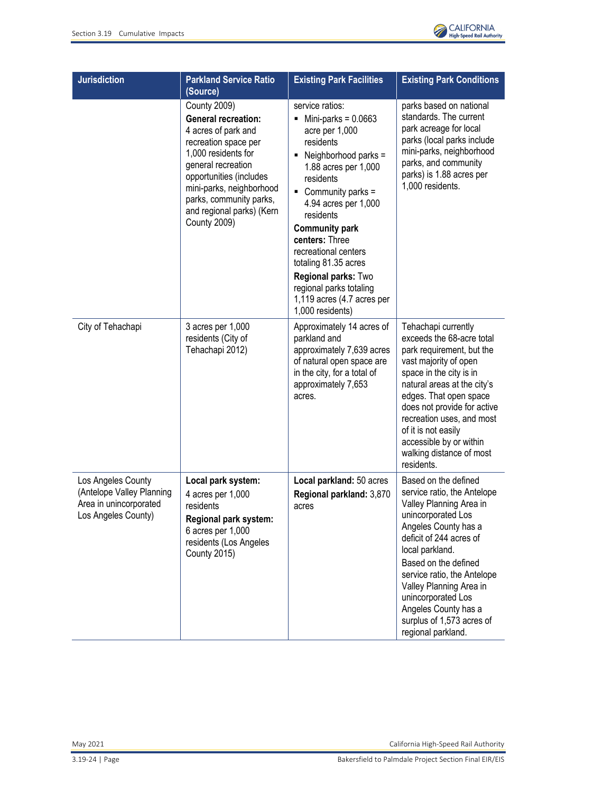

| <b>Jurisdiction</b>                                                                              | <b>Parkland Service Ratio</b><br>(Source)                                                                                                                                                                                                                                           | <b>Existing Park Facilities</b>                                                                                                                                                                                                                                                                                                                                                               | <b>Existing Park Conditions</b>                                                                                                                                                                                                                                                                                                                               |
|--------------------------------------------------------------------------------------------------|-------------------------------------------------------------------------------------------------------------------------------------------------------------------------------------------------------------------------------------------------------------------------------------|-----------------------------------------------------------------------------------------------------------------------------------------------------------------------------------------------------------------------------------------------------------------------------------------------------------------------------------------------------------------------------------------------|---------------------------------------------------------------------------------------------------------------------------------------------------------------------------------------------------------------------------------------------------------------------------------------------------------------------------------------------------------------|
|                                                                                                  | <b>County 2009)</b><br><b>General recreation:</b><br>4 acres of park and<br>recreation space per<br>1,000 residents for<br>general recreation<br>opportunities (includes<br>mini-parks, neighborhood<br>parks, community parks,<br>and regional parks) (Kern<br><b>County 2009)</b> | service ratios:<br>Mini-parks = $0.0663$<br>acre per 1,000<br>residents<br>Neighborhood parks =<br>1.88 acres per 1,000<br>residents<br>Community parks =<br>4.94 acres per 1,000<br>residents<br><b>Community park</b><br>centers: Three<br>recreational centers<br>totaling 81.35 acres<br>Regional parks: Two<br>regional parks totaling<br>1,119 acres (4.7 acres per<br>1,000 residents) | parks based on national<br>standards. The current<br>park acreage for local<br>parks (local parks include<br>mini-parks, neighborhood<br>parks, and community<br>parks) is 1.88 acres per<br>1,000 residents.                                                                                                                                                 |
| City of Tehachapi                                                                                | 3 acres per 1,000<br>residents (City of<br>Tehachapi 2012)                                                                                                                                                                                                                          | Approximately 14 acres of<br>parkland and<br>approximately 7,639 acres<br>of natural open space are<br>in the city, for a total of<br>approximately 7,653<br>acres.                                                                                                                                                                                                                           | Tehachapi currently<br>exceeds the 68-acre total<br>park requirement, but the<br>vast majority of open<br>space in the city is in<br>natural areas at the city's<br>edges. That open space<br>does not provide for active<br>recreation uses, and most<br>of it is not easily<br>accessible by or within<br>walking distance of most<br>residents.            |
| Los Angeles County<br>(Antelope Valley Planning<br>Area in unincorporated<br>Los Angeles County) | Local park system:<br>4 acres per 1,000<br>residents<br>Regional park system:<br>6 acres per 1,000<br>residents (Los Angeles<br><b>County 2015)</b>                                                                                                                                 | Local parkland: 50 acres<br>Regional parkland: 3,870<br>acres                                                                                                                                                                                                                                                                                                                                 | Based on the defined<br>service ratio, the Antelope<br>Valley Planning Area in<br>unincorporated Los<br>Angeles County has a<br>deficit of 244 acres of<br>local parkland.<br>Based on the defined<br>service ratio, the Antelope<br>Valley Planning Area in<br>unincorporated Los<br>Angeles County has a<br>surplus of 1,573 acres of<br>regional parkland. |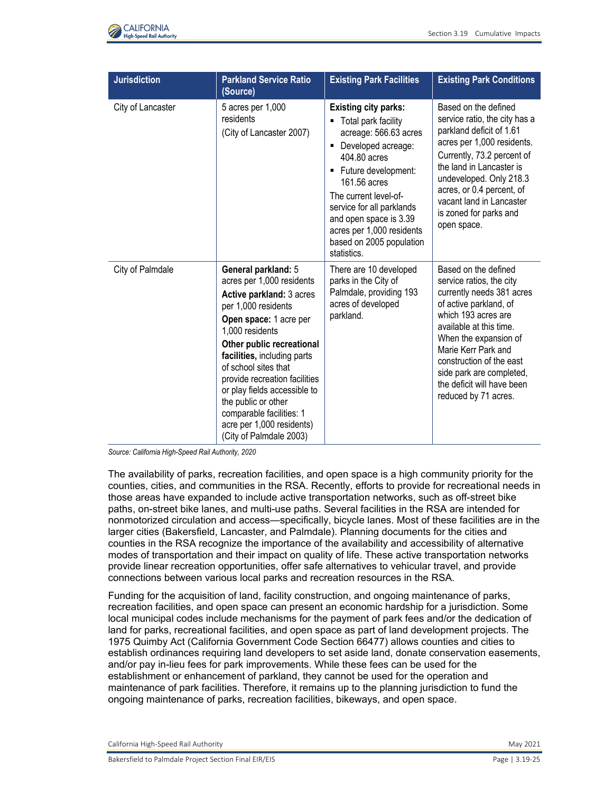

| <b>Jurisdiction</b> | <b>Parkland Service Ratio</b><br>(Source)                                                                                                                                                                                                                                                                                                                                                                        | <b>Existing Park Facilities</b>                                                                                                                                                                                                                                                                                                 | <b>Existing Park Conditions</b>                                                                                                                                                                                                                                                                                         |
|---------------------|------------------------------------------------------------------------------------------------------------------------------------------------------------------------------------------------------------------------------------------------------------------------------------------------------------------------------------------------------------------------------------------------------------------|---------------------------------------------------------------------------------------------------------------------------------------------------------------------------------------------------------------------------------------------------------------------------------------------------------------------------------|-------------------------------------------------------------------------------------------------------------------------------------------------------------------------------------------------------------------------------------------------------------------------------------------------------------------------|
| City of Lancaster   | 5 acres per 1,000<br>residents<br>(City of Lancaster 2007)                                                                                                                                                                                                                                                                                                                                                       | <b>Existing city parks:</b><br>Total park facility<br>٠<br>acreage: 566.63 acres<br>Developed acreage:<br>Ξ<br>404.80 acres<br>Future development:<br>٠<br>161.56 acres<br>The current level-of-<br>service for all parklands<br>and open space is 3.39<br>acres per 1,000 residents<br>based on 2005 population<br>statistics. | Based on the defined<br>service ratio, the city has a<br>parkland deficit of 1.61<br>acres per 1,000 residents.<br>Currently, 73.2 percent of<br>the land in Lancaster is<br>undeveloped. Only 218.3<br>acres, or 0.4 percent, of<br>vacant land in Lancaster<br>is zoned for parks and<br>open space.                  |
| City of Palmdale    | General parkland: 5<br>acres per 1,000 residents<br>Active parkland: 3 acres<br>per 1,000 residents<br>Open space: 1 acre per<br>1,000 residents<br>Other public recreational<br>facilities, including parts<br>of school sites that<br>provide recreation facilities<br>or play fields accessible to<br>the public or other<br>comparable facilities: 1<br>acre per 1,000 residents)<br>(City of Palmdale 2003) | There are 10 developed<br>parks in the City of<br>Palmdale, providing 193<br>acres of developed<br>parkland.                                                                                                                                                                                                                    | Based on the defined<br>service ratios, the city<br>currently needs 381 acres<br>of active parkland, of<br>which 193 acres are<br>available at this time.<br>When the expansion of<br>Marie Kerr Park and<br>construction of the east<br>side park are completed,<br>the deficit will have been<br>reduced by 71 acres. |

*Source: California High-Speed Rail Authority, 2020*

The availability of parks, recreation facilities, and open space is a high community priority for the counties, cities, and communities in the RSA. Recently, efforts to provide for recreational needs in those areas have expanded to include active transportation networks, such as off-street bike paths, on-street bike lanes, and multi-use paths. Several facilities in the RSA are intended for nonmotorized circulation and access—specifically, bicycle lanes. Most of these facilities are in the larger cities (Bakersfield, Lancaster, and Palmdale). Planning documents for the cities and counties in the RSA recognize the importance of the availability and accessibility of alternative modes of transportation and their impact on quality of life. These active transportation networks provide linear recreation opportunities, offer safe alternatives to vehicular travel, and provide connections between various local parks and recreation resources in the RSA.

Funding for the acquisition of land, facility construction, and ongoing maintenance of parks, recreation facilities, and open space can present an economic hardship for a jurisdiction. Some local municipal codes include mechanisms for the payment of park fees and/or the dedication of land for parks, recreational facilities, and open space as part of land development projects. The 1975 Quimby Act (California Government Code Section 66477) allows counties and cities to establish ordinances requiring land developers to set aside land, donate conservation easements, and/or pay in-lieu fees for park improvements. While these fees can be used for the establishment or enhancement of parkland, they cannot be used for the operation and maintenance of park facilities. Therefore, it remains up to the planning jurisdiction to fund the ongoing maintenance of parks, recreation facilities, bikeways, and open space.

California High-Speed Rail Authority May 2021 and Separate School and School and School and School and School and School and School and School and School and School and School and School and School and School and School an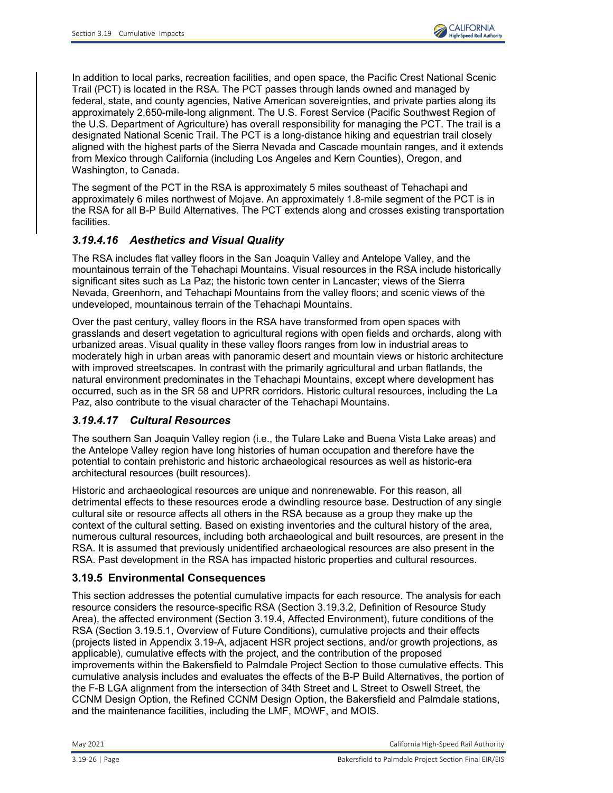In addition to local parks, recreation facilities, and open space, the Pacific Crest National Scenic Trail (PCT) is located in the RSA. The PCT passes through lands owned and managed by federal, state, and county agencies, Native American sovereignties, and private parties along its approximately 2,650-mile-long alignment. The U.S. Forest Service (Pacific Southwest Region of the U.S. Department of Agriculture) has overall responsibility for managing the PCT. The trail is a designated National Scenic Trail. The PCT is a long-distance hiking and equestrian trail closely aligned with the highest parts of the Sierra Nevada and Cascade mountain ranges, and it extends from Mexico through California (including Los Angeles and Kern Counties), Oregon, and Washington, to Canada.

The segment of the PCT in the RSA is approximately 5 miles southeast of Tehachapi and approximately 6 miles northwest of Mojave. An approximately 1.8-mile segment of the PCT is in the RSA for all B-P Build Alternatives. The PCT extends along and crosses existing transportation facilities.

# *3.19.4.16 Aesthetics and Visual Quality*

The RSA includes flat valley floors in the San Joaquin Valley and Antelope Valley, and the mountainous terrain of the Tehachapi Mountains. Visual resources in the RSA include historically significant sites such as La Paz; the historic town center in Lancaster; views of the Sierra Nevada, Greenhorn, and Tehachapi Mountains from the valley floors; and scenic views of the undeveloped, mountainous terrain of the Tehachapi Mountains.

Over the past century, valley floors in the RSA have transformed from open spaces with grasslands and desert vegetation to agricultural regions with open fields and orchards, along with urbanized areas. Visual quality in these valley floors ranges from low in industrial areas to moderately high in urban areas with panoramic desert and mountain views or historic architecture with improved streetscapes. In contrast with the primarily agricultural and urban flatlands, the natural environment predominates in the Tehachapi Mountains, except where development has occurred, such as in the SR 58 and UPRR corridors. Historic cultural resources, including the La Paz, also contribute to the visual character of the Tehachapi Mountains.

# *3.19.4.17 Cultural Resources*

The southern San Joaquin Valley region (i.e., the Tulare Lake and Buena Vista Lake areas) and the Antelope Valley region have long histories of human occupation and therefore have the potential to contain prehistoric and historic archaeological resources as well as historic-era architectural resources (built resources).

Historic and archaeological resources are unique and nonrenewable. For this reason, all detrimental effects to these resources erode a dwindling resource base. Destruction of any single cultural site or resource affects all others in the RSA because as a group they make up the context of the cultural setting. Based on existing inventories and the cultural history of the area, numerous cultural resources, including both archaeological and built resources, are present in the RSA. It is assumed that previously unidentified archaeological resources are also present in the RSA. Past development in the RSA has impacted historic properties and cultural resources.

# **3.19.5 Environmental Consequences**

This section addresses the potential cumulative impacts for each resource. The analysis for each resource considers the resource-specific RSA (Section [3.19.3.2,](#page-6-2) Definition of [Resource Study](#page-6-2)  [Area\)](#page-6-2), the affected environment (Section [3.19.4, Affected Environment\)](#page-12-0), future conditions of the RSA (Section [3.19.5.1, Overview of Future Conditions\)](#page-26-0), cumulative projects and their effects (projects listed in Appendix 3.19-A, adjacent HSR project sections, and/or growth projections, as applicable), cumulative effects with the project, and the contribution of the proposed improvements within the Bakersfield to Palmdale Project Section to those cumulative effects. This cumulative analysis includes and evaluates the effects of the B-P Build Alternatives, the portion of the F-B LGA alignment from the intersection of 34th Street and L Street to Oswell Street, the CCNM Design Option, the Refined CCNM Design Option, the Bakersfield and Palmdale stations, and the maintenance facilities, including the LMF, MOWF, and MOIS.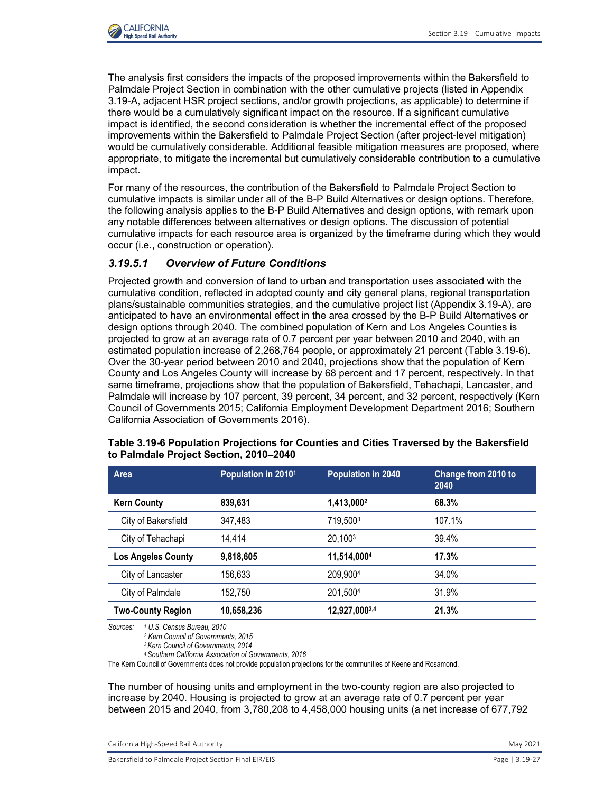

The analysis first considers the impacts of the proposed improvements within the Bakersfield to Palmdale Project Section in combination with the other cumulative projects (listed in Appendix 3.19-A, adjacent HSR project sections, and/or growth projections, as applicable) to determine if there would be a cumulatively significant impact on the resource. If a significant cumulative impact is identified, the second consideration is whether the incremental effect of the proposed improvements within the Bakersfield to Palmdale Project Section (after project-level mitigation) would be cumulatively considerable. Additional feasible mitigation measures are proposed, where appropriate, to mitigate the incremental but cumulatively considerable contribution to a cumulative impact.

For many of the resources, the contribution of the Bakersfield to Palmdale Project Section to cumulative impacts is similar under all of the B-P Build Alternatives or design options. Therefore, the following analysis applies to the B-P Build Alternatives and design options, with remark upon any notable differences between alternatives or design options. The discussion of potential cumulative impacts for each resource area is organized by the timeframe during which they would occur (i.e., construction or operation).

# <span id="page-26-0"></span>*3.19.5.1 Overview of Future Conditions*

Projected growth and conversion of land to urban and transportation uses associated with the cumulative condition, reflected in adopted county and city general plans, regional transportation plans/sustainable communities strategies, and the cumulative project list (Appendix 3.19-A), are anticipated to have an environmental effect in the area crossed by the B-P Build Alternatives or design options through 2040. The combined population of Kern and Los Angeles Counties is projected to grow at an average rate of 0.7 percent per year between 2010 and 2040, with an estimated population increase of 2,268,764 people, or approximately 21 percent [\(Table 3.19-6\)](#page-26-1). Over the 30-year period between 2010 and 2040, projections show that the population of Kern County and Los Angeles County will increase by 68 percent and 17 percent, respectively. In that same timeframe, projections show that the population of Bakersfield, Tehachapi, Lancaster, and Palmdale will increase by 107 percent, 39 percent, 34 percent, and 32 percent, respectively (Kern Council of Governments 2015; California Employment Development Department 2016; Southern California Association of Governments 2016).

| Area                      | Population in 20101 | <b>Population in 2040</b> | Change from 2010 to<br>2040 |
|---------------------------|---------------------|---------------------------|-----------------------------|
| <b>Kern County</b>        | 839,631             | 1,413,0002                | 68.3%                       |
| City of Bakersfield       | 347,483             | 719,5003                  | 107.1%                      |
| City of Tehachapi         | 14,414              | 20,1003                   | 39.4%                       |
| <b>Los Angeles County</b> | 9,818,605           | 11,514,0004               | 17.3%                       |
| City of Lancaster         | 156,633             | 209,9004                  | 34.0%                       |
| City of Palmdale          | 152,750             | 201,5004                  | 31.9%                       |
| <b>Two-County Region</b>  | 10,658,236          | 12,927,0002,4             | 21.3%                       |

### <span id="page-26-1"></span>**Table 3.19-6 Population Projections for Counties and Cities Traversed by the Bakersfield to Palmdale Project Section, 2010–2040**

*Sources: 1 U.S. Census Bureau, 2010 2 Kern Council of Governments, 2015*

*3 Kern Council of Governments, 2014 4 Southern California Association of Governments, 2016*

The Kern Council of Governments does not provide population projections for the communities of Keene and Rosamond.

The number of housing units and employment in the two-county region are also projected to increase by 2040. Housing is projected to grow at an average rate of 0.7 percent per year between 2015 and 2040, from 3,780,208 to 4,458,000 housing units (a net increase of 677,792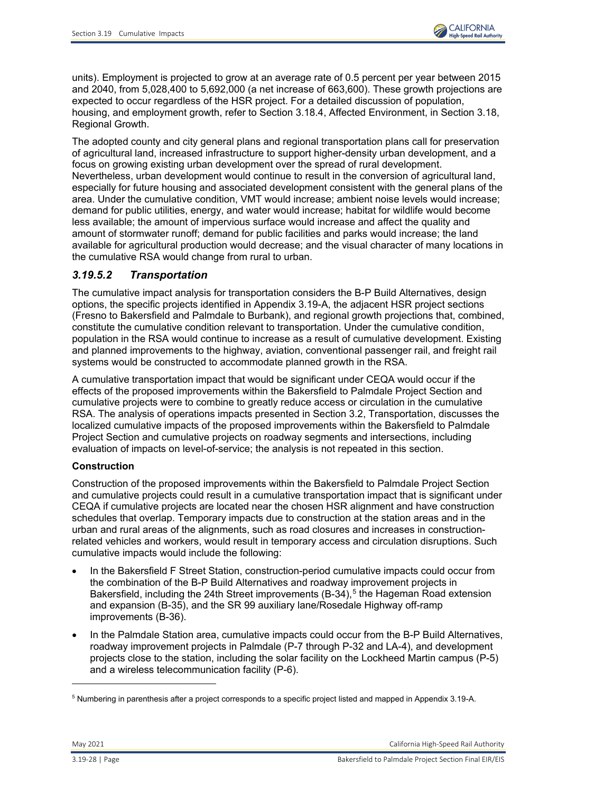

units). Employment is projected to grow at an average rate of 0.5 percent per year between 2015 and 2040, from 5,028,400 to 5,692,000 (a net increase of 663,600). These growth projections are expected to occur regardless of the HSR project. For a detailed discussion of population, housing, and employment growth, refer to Section 3.18.4, Affected Environment, in Section 3.18, Regional Growth.

The adopted county and city general plans and regional transportation plans call for preservation of agricultural land, increased infrastructure to support higher-density urban development, and a focus on growing existing urban development over the spread of rural development. Nevertheless, urban development would continue to result in the conversion of agricultural land, especially for future housing and associated development consistent with the general plans of the area. Under the cumulative condition, VMT would increase; ambient noise levels would increase; demand for public utilities, energy, and water would increase; habitat for wildlife would become less available; the amount of impervious surface would increase and affect the quality and amount of stormwater runoff; demand for public facilities and parks would increase; the land available for agricultural production would decrease; and the visual character of many locations in the cumulative RSA would change from rural to urban.

# *3.19.5.2 Transportation*

The cumulative impact analysis for transportation considers the B-P Build Alternatives, design options, the specific projects identified in Appendix 3.19-A, the adjacent HSR project sections (Fresno to Bakersfield and Palmdale to Burbank), and regional growth projections that, combined, constitute the cumulative condition relevant to transportation. Under the cumulative condition, population in the RSA would continue to increase as a result of cumulative development. Existing and planned improvements to the highway, aviation, conventional passenger rail, and freight rail systems would be constructed to accommodate planned growth in the RSA.

A cumulative transportation impact that would be significant under CEQA would occur if the effects of the proposed improvements within the Bakersfield to Palmdale Project Section and cumulative projects were to combine to greatly reduce access or circulation in the cumulative RSA. The analysis of operations impacts presented in Section 3.2, Transportation, discusses the localized cumulative impacts of the proposed improvements within the Bakersfield to Palmdale Project Section and cumulative projects on roadway segments and intersections, including evaluation of impacts on level-of-service; the analysis is not repeated in this section.

## **Construction**

Construction of the proposed improvements within the Bakersfield to Palmdale Project Section and cumulative projects could result in a cumulative transportation impact that is significant under CEQA if cumulative projects are located near the chosen HSR alignment and have construction schedules that overlap. Temporary impacts due to construction at the station areas and in the urban and rural areas of the alignments, such as road closures and increases in constructionrelated vehicles and workers, would result in temporary access and circulation disruptions. Such cumulative impacts would include the following:

- In the Bakersfield F Street Station, construction-period cumulative impacts could occur from the combination of the B-P Build Alternatives and roadway improvement projects in Bakersfield, including the 24th Street improvements  $(B-34),$ <sup>[5](#page-27-0)</sup> the Hageman Road extension and expansion (B-35), and the SR 99 auxiliary lane/Rosedale Highway off-ramp improvements (B-36).
- In the Palmdale Station area, cumulative impacts could occur from the B-P Build Alternatives, roadway improvement projects in Palmdale (P-7 through P-32 and LA-4), and development projects close to the station, including the solar facility on the Lockheed Martin campus (P-5) and a wireless telecommunication facility (P-6).

-

<span id="page-27-0"></span> $^{\rm 5}$  Numbering in parenthesis after a project corresponds to a specific project listed and mapped in Appendix 3.19-A.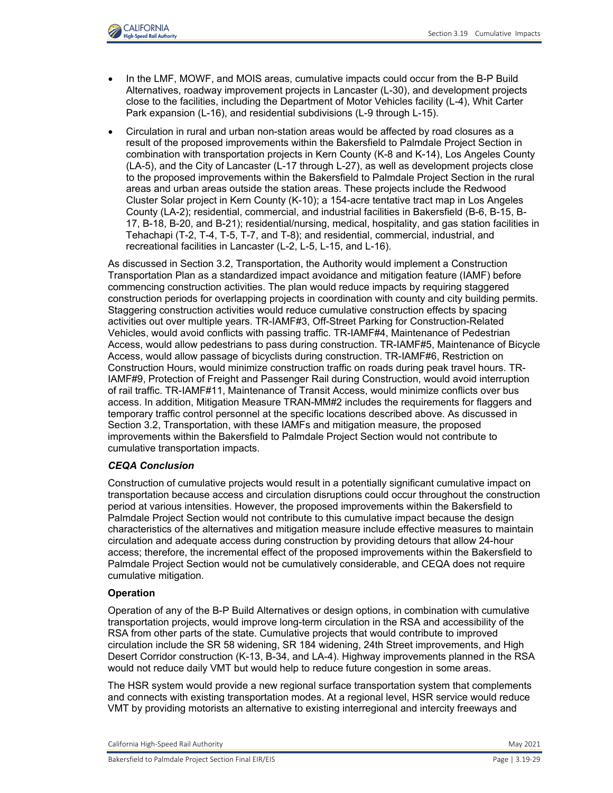

- In the LMF, MOWF, and MOIS areas, cumulative impacts could occur from the B-P Build Alternatives, roadway improvement projects in Lancaster (L-30), and development projects close to the facilities, including the Department of Motor Vehicles facility (L-4), Whit Carter Park expansion (L-16), and residential subdivisions (L-9 through L-15).
- Circulation in rural and urban non-station areas would be affected by road closures as a result of the proposed improvements within the Bakersfield to Palmdale Project Section in combination with transportation projects in Kern County (K-8 and K-14), Los Angeles County (LA-5), and the City of Lancaster (L-17 through L-27), as well as development projects close to the proposed improvements within the Bakersfield to Palmdale Project Section in the rural areas and urban areas outside the station areas. These projects include the Redwood Cluster Solar project in Kern County (K-10); a 154-acre tentative tract map in Los Angeles County (LA-2); residential, commercial, and industrial facilities in Bakersfield (B-6, B-15, B-17, B-18, B-20, and B-21); residential/nursing, medical, hospitality, and gas station facilities in Tehachapi (T-2, T-4, T-5, T-7, and T-8); and residential, commercial, industrial, and recreational facilities in Lancaster (L-2, L-5, L-15, and L-16).

As discussed in Section 3.2, Transportation, the Authority would implement a Construction Transportation Plan as a standardized impact avoidance and mitigation feature (IAMF) before commencing construction activities. The plan would reduce impacts by requiring staggered construction periods for overlapping projects in coordination with county and city building permits. Staggering construction activities would reduce cumulative construction effects by spacing activities out over multiple years. TR-IAMF#3, Off-Street Parking for Construction-Related Vehicles, would avoid conflicts with passing traffic. TR-IAMF#4, Maintenance of Pedestrian Access, would allow pedestrians to pass during construction. TR-IAMF#5, Maintenance of Bicycle Access, would allow passage of bicyclists during construction. TR-IAMF#6, Restriction on Construction Hours, would minimize construction traffic on roads during peak travel hours. TR-IAMF#9, Protection of Freight and Passenger Rail during Construction, would avoid interruption of rail traffic. TR-IAMF#11, Maintenance of Transit Access, would minimize conflicts over bus access. In addition, Mitigation Measure TRAN-MM#2 includes the requirements for flaggers and temporary traffic control personnel at the specific locations described above. As discussed in Section 3.2, Transportation, with these IAMFs and mitigation measure, the proposed improvements within the Bakersfield to Palmdale Project Section would not contribute to cumulative transportation impacts.

### *CEQA Conclusion*

Construction of cumulative projects would result in a potentially significant cumulative impact on transportation because access and circulation disruptions could occur throughout the construction period at various intensities. However, the proposed improvements within the Bakersfield to Palmdale Project Section would not contribute to this cumulative impact because the design characteristics of the alternatives and mitigation measure include effective measures to maintain circulation and adequate access during construction by providing detours that allow 24-hour access; therefore, the incremental effect of the proposed improvements within the Bakersfield to Palmdale Project Section would not be cumulatively considerable, and CEQA does not require cumulative mitigation.

### **Operation**

Operation of any of the B-P Build Alternatives or design options, in combination with cumulative transportation projects, would improve long-term circulation in the RSA and accessibility of the RSA from other parts of the state. Cumulative projects that would contribute to improved circulation include the SR 58 widening, SR 184 widening, 24th Street improvements, and High Desert Corridor construction (K-13, B-34, and LA-4). Highway improvements planned in the RSA would not reduce daily VMT but would help to reduce future congestion in some areas.

The HSR system would provide a new regional surface transportation system that complements and connects with existing transportation modes. At a regional level, HSR service would reduce VMT by providing motorists an alternative to existing interregional and intercity freeways and

California High-Speed Rail Authority May 2021 and Separate School and School and School and School and School and School and School and School and School and School and School and School and School and School and School an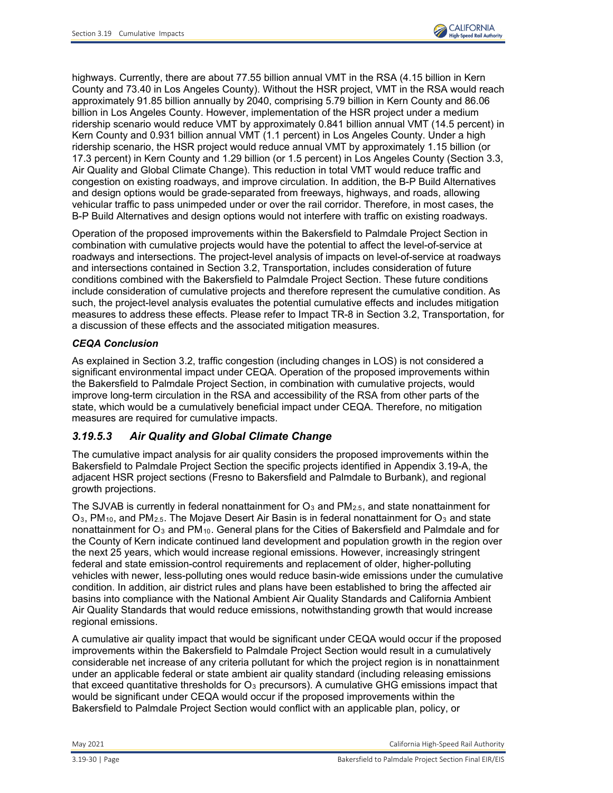

highways. Currently, there are about 77.55 billion annual VMT in the RSA (4.15 billion in Kern County and 73.40 in Los Angeles County). Without the HSR project, VMT in the RSA would reach approximately 91.85 billion annually by 2040, comprising 5.79 billion in Kern County and 86.06 billion in Los Angeles County. However, implementation of the HSR project under a medium ridership scenario would reduce VMT by approximately 0.841 billion annual VMT (14.5 percent) in Kern County and 0.931 billion annual VMT (1.1 percent) in Los Angeles County. Under a high ridership scenario, the HSR project would reduce annual VMT by approximately 1.15 billion (or 17.3 percent) in Kern County and 1.29 billion (or 1.5 percent) in Los Angeles County (Section 3.3, Air Quality and Global Climate Change). This reduction in total VMT would reduce traffic and congestion on existing roadways, and improve circulation. In addition, the B-P Build Alternatives and design options would be grade-separated from freeways, highways, and roads, allowing vehicular traffic to pass unimpeded under or over the rail corridor. Therefore, in most cases, the B-P Build Alternatives and design options would not interfere with traffic on existing roadways.

Operation of the proposed improvements within the Bakersfield to Palmdale Project Section in combination with cumulative projects would have the potential to affect the level-of-service at roadways and intersections. The project-level analysis of impacts on level-of-service at roadways and intersections contained in Section 3.2, Transportation, includes consideration of future conditions combined with the Bakersfield to Palmdale Project Section. These future conditions include consideration of cumulative projects and therefore represent the cumulative condition. As such, the project-level analysis evaluates the potential cumulative effects and includes mitigation measures to address these effects. Please refer to Impact TR-8 in Section 3.2, Transportation, for a discussion of these effects and the associated mitigation measures.

## *CEQA Conclusion*

As explained in Section 3.2, traffic congestion (including changes in LOS) is not considered a significant environmental impact under CEQA. Operation of the proposed improvements within the Bakersfield to Palmdale Project Section, in combination with cumulative projects, would improve long-term circulation in the RSA and accessibility of the RSA from other parts of the state, which would be a cumulatively beneficial impact under CEQA. Therefore, no mitigation measures are required for cumulative impacts.

# *3.19.5.3 Air Quality and Global Climate Change*

The cumulative impact analysis for air quality considers the proposed improvements within the Bakersfield to Palmdale Project Section the specific projects identified in Appendix 3.19-A, the adjacent HSR project sections (Fresno to Bakersfield and Palmdale to Burbank), and regional growth projections.

The SJVAB is currently in federal nonattainment for  $O_3$  and  $PM_{2.5}$ , and state nonattainment for  $O_3$ , PM<sub>10</sub>, and PM<sub>2.5</sub>. The Mojave Desert Air Basin is in federal nonattainment for  $O_3$  and state nonattainment for O<sub>3</sub> and PM<sub>10</sub>. General plans for the Cities of Bakersfield and Palmdale and for the County of Kern indicate continued land development and population growth in the region over the next 25 years, which would increase regional emissions. However, increasingly stringent federal and state emission-control requirements and replacement of older, higher-polluting vehicles with newer, less-polluting ones would reduce basin-wide emissions under the cumulative condition. In addition, air district rules and plans have been established to bring the affected air basins into compliance with the National Ambient Air Quality Standards and California Ambient Air Quality Standards that would reduce emissions, notwithstanding growth that would increase regional emissions.

A cumulative air quality impact that would be significant under CEQA would occur if the proposed improvements within the Bakersfield to Palmdale Project Section would result in a cumulatively considerable net increase of any criteria pollutant for which the project region is in nonattainment under an applicable federal or state ambient air quality standard (including releasing emissions that exceed quantitative thresholds for  $O_3$  precursors). A cumulative GHG emissions impact that would be significant under CEQA would occur if the proposed improvements within the Bakersfield to Palmdale Project Section would conflict with an applicable plan, policy, or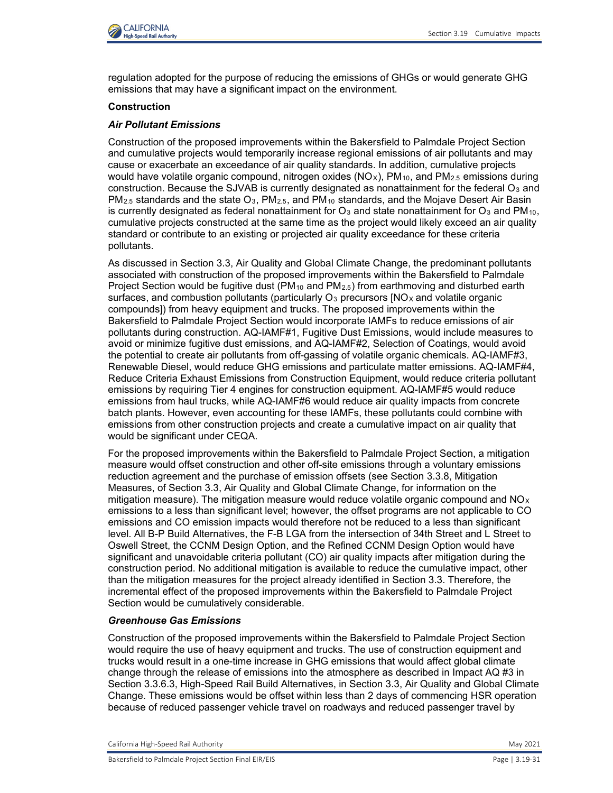

regulation adopted for the purpose of reducing the emissions of GHGs or would generate GHG emissions that may have a significant impact on the environment.

### **Construction**

### *Air Pollutant Emissions*

Construction of the proposed improvements within the Bakersfield to Palmdale Project Section and cumulative projects would temporarily increase regional emissions of air pollutants and may cause or exacerbate an exceedance of air quality standards. In addition, cumulative projects would have volatile organic compound, nitrogen oxides ( $NO<sub>X</sub>$ ), PM<sub>10</sub>, and PM<sub>2.5</sub> emissions during construction. Because the SJVAB is currently designated as nonattainment for the federal  $O_3$  and  $PM_{2.5}$  standards and the state O<sub>3</sub>,  $PM_{2.5}$ , and  $PM_{10}$  standards, and the Mojave Desert Air Basin is currently designated as federal nonattainment for  $O_3$  and state nonattainment for  $O_3$  and PM<sub>10</sub>, cumulative projects constructed at the same time as the project would likely exceed an air quality standard or contribute to an existing or projected air quality exceedance for these criteria pollutants.

As discussed in Section 3.3, Air Quality and Global Climate Change, the predominant pollutants associated with construction of the proposed improvements within the Bakersfield to Palmdale Project Section would be fugitive dust (PM<sub>10</sub> and PM<sub>2.5</sub>) from earthmoving and disturbed earth surfaces, and combustion pollutants (particularly  $O_3$  precursors [NO<sub>x</sub> and volatile organic compounds]) from heavy equipment and trucks. The proposed improvements within the Bakersfield to Palmdale Project Section would incorporate IAMFs to reduce emissions of air pollutants during construction. AQ-IAMF#1, Fugitive Dust Emissions, would include measures to avoid or minimize fugitive dust emissions, and AQ-IAMF#2, Selection of Coatings, would avoid the potential to create air pollutants from off-gassing of volatile organic chemicals. AQ-IAMF#3, Renewable Diesel, would reduce GHG emissions and particulate matter emissions. AQ-IAMF#4, Reduce Criteria Exhaust Emissions from Construction Equipment, would reduce criteria pollutant emissions by requiring Tier 4 engines for construction equipment. AQ-IAMF#5 would reduce emissions from haul trucks, while AQ-IAMF#6 would reduce air quality impacts from concrete batch plants. However, even accounting for these IAMFs, these pollutants could combine with emissions from other construction projects and create a cumulative impact on air quality that would be significant under CEQA.

For the proposed improvements within the Bakersfield to Palmdale Project Section, a mitigation measure would offset construction and other off-site emissions through a voluntary emissions reduction agreement and the purchase of emission offsets (see Section 3.3.8, Mitigation Measures, of Section 3.3, Air Quality and Global Climate Change, for information on the mitigation measure). The mitigation measure would reduce volatile organic compound and  $NO_X$ emissions to a less than significant level; however, the offset programs are not applicable to CO emissions and CO emission impacts would therefore not be reduced to a less than significant level. All B-P Build Alternatives, the F-B LGA from the intersection of 34th Street and L Street to Oswell Street, the CCNM Design Option, and the Refined CCNM Design Option would have significant and unavoidable criteria pollutant (CO) air quality impacts after mitigation during the construction period. No additional mitigation is available to reduce the cumulative impact, other than the mitigation measures for the project already identified in Section 3.3. Therefore, the incremental effect of the proposed improvements within the Bakersfield to Palmdale Project Section would be cumulatively considerable.

### *Greenhouse Gas Emissions*

Construction of the proposed improvements within the Bakersfield to Palmdale Project Section would require the use of heavy equipment and trucks. The use of construction equipment and trucks would result in a one-time increase in GHG emissions that would affect global climate change through the release of emissions into the atmosphere as described in Impact AQ #3 in Section 3.3.6.3, High-Speed Rail Build Alternatives, in Section 3.3, Air Quality and Global Climate Change. These emissions would be offset within less than 2 days of commencing HSR operation because of reduced passenger vehicle travel on roadways and reduced passenger travel by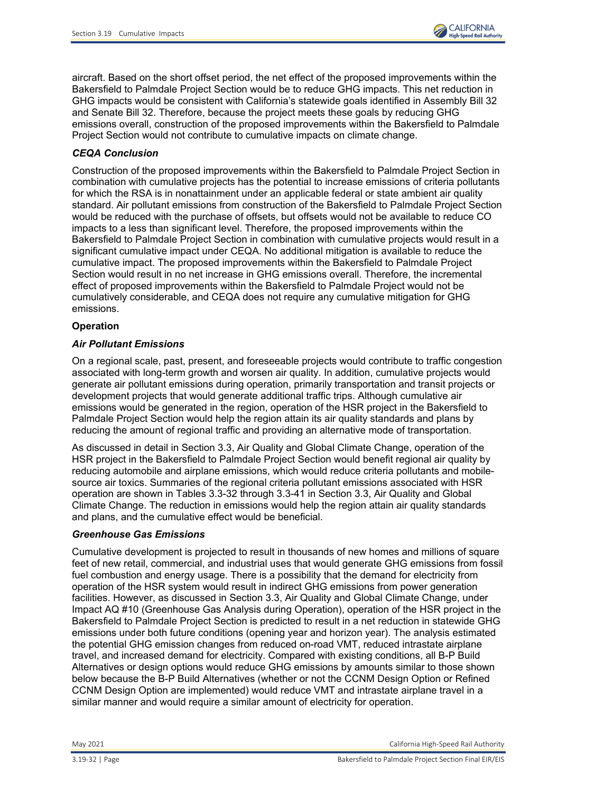

aircraft. Based on the short offset period, the net effect of the proposed improvements within the Bakersfield to Palmdale Project Section would be to reduce GHG impacts. This net reduction in GHG impacts would be consistent with California's statewide goals identified in Assembly Bill 32 and Senate Bill 32. Therefore, because the project meets these goals by reducing GHG emissions overall, construction of the proposed improvements within the Bakersfield to Palmdale Project Section would not contribute to cumulative impacts on climate change.

## *CEQA Conclusion*

Construction of the proposed improvements within the Bakersfield to Palmdale Project Section in combination with cumulative projects has the potential to increase emissions of criteria pollutants for which the RSA is in nonattainment under an applicable federal or state ambient air quality standard. Air pollutant emissions from construction of the Bakersfield to Palmdale Project Section would be reduced with the purchase of offsets, but offsets would not be available to reduce CO impacts to a less than significant level. Therefore, the proposed improvements within the Bakersfield to Palmdale Project Section in combination with cumulative projects would result in a significant cumulative impact under CEQA. No additional mitigation is available to reduce the cumulative impact. The proposed improvements within the Bakersfield to Palmdale Project Section would result in no net increase in GHG emissions overall. Therefore, the incremental effect of proposed improvements within the Bakersfield to Palmdale Project would not be cumulatively considerable, and CEQA does not require any cumulative mitigation for GHG emissions.

## **Operation**

### *Air Pollutant Emissions*

On a regional scale, past, present, and foreseeable projects would contribute to traffic congestion associated with long-term growth and worsen air quality. In addition, cumulative projects would generate air pollutant emissions during operation, primarily transportation and transit projects or development projects that would generate additional traffic trips. Although cumulative air emissions would be generated in the region, operation of the HSR project in the Bakersfield to Palmdale Project Section would help the region attain its air quality standards and plans by reducing the amount of regional traffic and providing an alternative mode of transportation.

As discussed in detail in Section 3.3, Air Quality and Global Climate Change, operation of the HSR project in the Bakersfield to Palmdale Project Section would benefit regional air quality by reducing automobile and airplane emissions, which would reduce criteria pollutants and mobilesource air toxics. Summaries of the regional criteria pollutant emissions associated with HSR operation are shown in Tables 3.3-32 through 3.3-41 in Section 3.3, Air Quality and Global Climate Change. The reduction in emissions would help the region attain air quality standards and plans, and the cumulative effect would be beneficial.

## *Greenhouse Gas Emissions*

Cumulative development is projected to result in thousands of new homes and millions of square feet of new retail, commercial, and industrial uses that would generate GHG emissions from fossil fuel combustion and energy usage. There is a possibility that the demand for electricity from operation of the HSR system would result in indirect GHG emissions from power generation facilities. However, as discussed in Section 3.3, Air Quality and Global Climate Change, under Impact AQ #10 (Greenhouse Gas Analysis during Operation), operation of the HSR project in the Bakersfield to Palmdale Project Section is predicted to result in a net reduction in statewide GHG emissions under both future conditions (opening year and horizon year). The analysis estimated the potential GHG emission changes from reduced on-road VMT, reduced intrastate airplane travel, and increased demand for electricity. Compared with existing conditions, all B-P Build Alternatives or design options would reduce GHG emissions by amounts similar to those shown below because the B-P Build Alternatives (whether or not the CCNM Design Option or Refined CCNM Design Option are implemented) would reduce VMT and intrastate airplane travel in a similar manner and would require a similar amount of electricity for operation.

May 2021 California High-Speed Rail Authority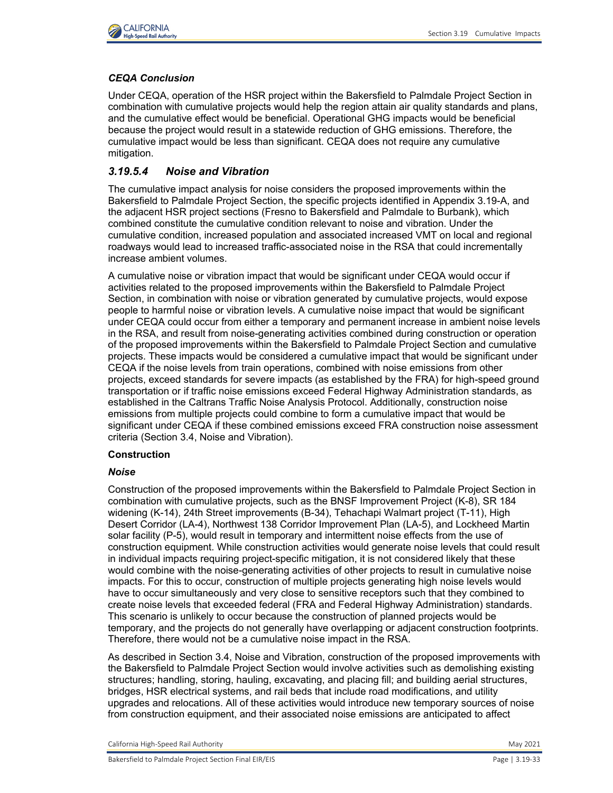

## *CEQA Conclusion*

Under CEQA, operation of the HSR project within the Bakersfield to Palmdale Project Section in combination with cumulative projects would help the region attain air quality standards and plans, and the cumulative effect would be beneficial. Operational GHG impacts would be beneficial because the project would result in a statewide reduction of GHG emissions. Therefore, the cumulative impact would be less than significant. CEQA does not require any cumulative mitigation.

# *3.19.5.4 Noise and Vibration*

The cumulative impact analysis for noise considers the proposed improvements within the Bakersfield to Palmdale Project Section, the specific projects identified in Appendix 3.19-A, and the adjacent HSR project sections (Fresno to Bakersfield and Palmdale to Burbank), which combined constitute the cumulative condition relevant to noise and vibration. Under the cumulative condition, increased population and associated increased VMT on local and regional roadways would lead to increased traffic-associated noise in the RSA that could incrementally increase ambient volumes.

A cumulative noise or vibration impact that would be significant under CEQA would occur if activities related to the proposed improvements within the Bakersfield to Palmdale Project Section, in combination with noise or vibration generated by cumulative projects, would expose people to harmful noise or vibration levels. A cumulative noise impact that would be significant under CEQA could occur from either a temporary and permanent increase in ambient noise levels in the RSA, and result from noise-generating activities combined during construction or operation of the proposed improvements within the Bakersfield to Palmdale Project Section and cumulative projects. These impacts would be considered a cumulative impact that would be significant under CEQA if the noise levels from train operations, combined with noise emissions from other projects, exceed standards for severe impacts (as established by the FRA) for high-speed ground transportation or if traffic noise emissions exceed Federal Highway Administration standards, as established in the Caltrans Traffic Noise Analysis Protocol. Additionally, construction noise emissions from multiple projects could combine to form a cumulative impact that would be significant under CEQA if these combined emissions exceed FRA construction noise assessment criteria (Section 3.4, Noise and Vibration).

## **Construction**

## *Noise*

Construction of the proposed improvements within the Bakersfield to Palmdale Project Section in combination with cumulative projects, such as the BNSF Improvement Project (K-8), SR 184 widening (K-14), 24th Street improvements (B-34), Tehachapi Walmart project (T-11), High Desert Corridor (LA-4), Northwest 138 Corridor Improvement Plan (LA-5), and Lockheed Martin solar facility (P-5), would result in temporary and intermittent noise effects from the use of construction equipment. While construction activities would generate noise levels that could result in individual impacts requiring project-specific mitigation, it is not considered likely that these would combine with the noise-generating activities of other projects to result in cumulative noise impacts. For this to occur, construction of multiple projects generating high noise levels would have to occur simultaneously and very close to sensitive receptors such that they combined to create noise levels that exceeded federal (FRA and Federal Highway Administration) standards. This scenario is unlikely to occur because the construction of planned projects would be temporary, and the projects do not generally have overlapping or adjacent construction footprints. Therefore, there would not be a cumulative noise impact in the RSA.

As described in Section 3.4, Noise and Vibration, construction of the proposed improvements with the Bakersfield to Palmdale Project Section would involve activities such as demolishing existing structures; handling, storing, hauling, excavating, and placing fill; and building aerial structures, bridges, HSR electrical systems, and rail beds that include road modifications, and utility upgrades and relocations. All of these activities would introduce new temporary sources of noise from construction equipment, and their associated noise emissions are anticipated to affect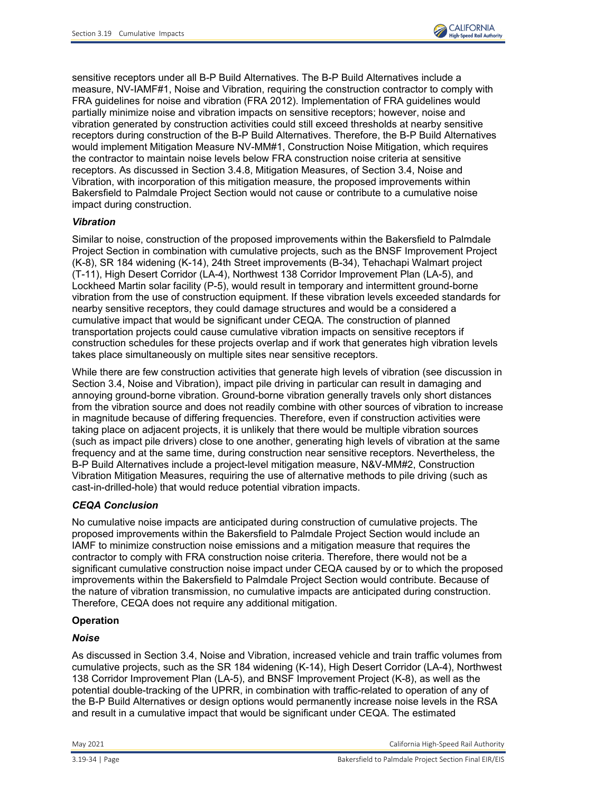

sensitive receptors under all B-P Build Alternatives. The B-P Build Alternatives include a measure, NV-IAMF#1, Noise and Vibration, requiring the construction contractor to comply with FRA guidelines for noise and vibration (FRA 2012). Implementation of FRA guidelines would partially minimize noise and vibration impacts on sensitive receptors; however, noise and vibration generated by construction activities could still exceed thresholds at nearby sensitive receptors during construction of the B-P Build Alternatives. Therefore, the B-P Build Alternatives would implement Mitigation Measure NV-MM#1, Construction Noise Mitigation, which requires the contractor to maintain noise levels below FRA construction noise criteria at sensitive receptors. As discussed in Section 3.4.8, Mitigation Measures, of Section 3.4, Noise and Vibration, with incorporation of this mitigation measure, the proposed improvements within Bakersfield to Palmdale Project Section would not cause or contribute to a cumulative noise impact during construction.

### *Vibration*

Similar to noise, construction of the proposed improvements within the Bakersfield to Palmdale Project Section in combination with cumulative projects, such as the BNSF Improvement Project (K-8), SR 184 widening (K-14), 24th Street improvements (B-34), Tehachapi Walmart project (T-11), High Desert Corridor (LA-4), Northwest 138 Corridor Improvement Plan (LA-5), and Lockheed Martin solar facility (P-5), would result in temporary and intermittent ground-borne vibration from the use of construction equipment. If these vibration levels exceeded standards for nearby sensitive receptors, they could damage structures and would be a considered a cumulative impact that would be significant under CEQA. The construction of planned transportation projects could cause cumulative vibration impacts on sensitive receptors if construction schedules for these projects overlap and if work that generates high vibration levels takes place simultaneously on multiple sites near sensitive receptors.

While there are few construction activities that generate high levels of vibration (see discussion in Section 3.4, Noise and Vibration), impact pile driving in particular can result in damaging and annoying ground-borne vibration. Ground-borne vibration generally travels only short distances from the vibration source and does not readily combine with other sources of vibration to increase in magnitude because of differing frequencies. Therefore, even if construction activities were taking place on adjacent projects, it is unlikely that there would be multiple vibration sources (such as impact pile drivers) close to one another, generating high levels of vibration at the same frequency and at the same time, during construction near sensitive receptors. Nevertheless, the B-P Build Alternatives include a project-level mitigation measure, N&V-MM#2, Construction Vibration Mitigation Measures, requiring the use of alternative methods to pile driving (such as cast-in-drilled-hole) that would reduce potential vibration impacts.

### *CEQA Conclusion*

No cumulative noise impacts are anticipated during construction of cumulative projects. The proposed improvements within the Bakersfield to Palmdale Project Section would include an IAMF to minimize construction noise emissions and a mitigation measure that requires the contractor to comply with FRA construction noise criteria. Therefore, there would not be a significant cumulative construction noise impact under CEQA caused by or to which the proposed improvements within the Bakersfield to Palmdale Project Section would contribute. Because of the nature of vibration transmission, no cumulative impacts are anticipated during construction. Therefore, CEQA does not require any additional mitigation.

### **Operation**

### *Noise*

As discussed in Section 3.4, Noise and Vibration, increased vehicle and train traffic volumes from cumulative projects, such as the SR 184 widening (K-14), High Desert Corridor (LA-4), Northwest 138 Corridor Improvement Plan (LA-5), and BNSF Improvement Project (K-8), as well as the potential double-tracking of the UPRR, in combination with traffic-related to operation of any of the B-P Build Alternatives or design options would permanently increase noise levels in the RSA and result in a cumulative impact that would be significant under CEQA. The estimated

May 2021 California High-Speed Rail Authority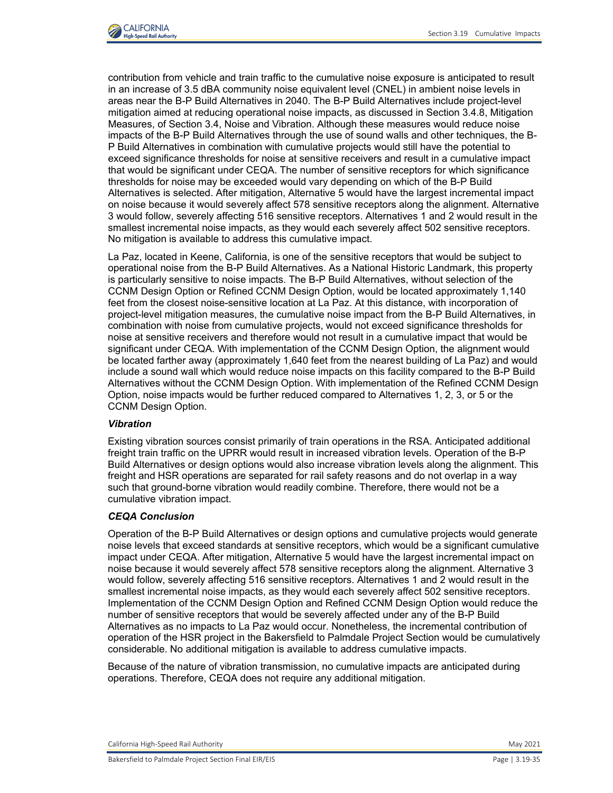

contribution from vehicle and train traffic to the cumulative noise exposure is anticipated to result in an increase of 3.5 dBA community noise equivalent level (CNEL) in ambient noise levels in areas near the B-P Build Alternatives in 2040. The B-P Build Alternatives include project-level mitigation aimed at reducing operational noise impacts, as discussed in Section 3.4.8, Mitigation Measures, of Section 3.4, Noise and Vibration. Although these measures would reduce noise impacts of the B-P Build Alternatives through the use of sound walls and other techniques, the B-P Build Alternatives in combination with cumulative projects would still have the potential to exceed significance thresholds for noise at sensitive receivers and result in a cumulative impact that would be significant under CEQA. The number of sensitive receptors for which significance thresholds for noise may be exceeded would vary depending on which of the B-P Build Alternatives is selected. After mitigation, Alternative 5 would have the largest incremental impact on noise because it would severely affect 578 sensitive receptors along the alignment. Alternative 3 would follow, severely affecting 516 sensitive receptors. Alternatives 1 and 2 would result in the smallest incremental noise impacts, as they would each severely affect 502 sensitive receptors. No mitigation is available to address this cumulative impact.

La Paz, located in Keene, California, is one of the sensitive receptors that would be subject to operational noise from the B-P Build Alternatives. As a National Historic Landmark, this property is particularly sensitive to noise impacts. The B-P Build Alternatives, without selection of the CCNM Design Option or Refined CCNM Design Option, would be located approximately 1,140 feet from the closest noise-sensitive location at La Paz. At this distance, with incorporation of project-level mitigation measures, the cumulative noise impact from the B-P Build Alternatives, in combination with noise from cumulative projects, would not exceed significance thresholds for noise at sensitive receivers and therefore would not result in a cumulative impact that would be significant under CEQA. With implementation of the CCNM Design Option, the alignment would be located farther away (approximately 1,640 feet from the nearest building of La Paz) and would include a sound wall which would reduce noise impacts on this facility compared to the B-P Build Alternatives without the CCNM Design Option. With implementation of the Refined CCNM Design Option, noise impacts would be further reduced compared to Alternatives 1, 2, 3, or 5 or the CCNM Design Option.

#### *Vibration*

Existing vibration sources consist primarily of train operations in the RSA. Anticipated additional freight train traffic on the UPRR would result in increased vibration levels. Operation of the B-P Build Alternatives or design options would also increase vibration levels along the alignment. This freight and HSR operations are separated for rail safety reasons and do not overlap in a way such that ground-borne vibration would readily combine. Therefore, there would not be a cumulative vibration impact.

#### *CEQA Conclusion*

Operation of the B-P Build Alternatives or design options and cumulative projects would generate noise levels that exceed standards at sensitive receptors, which would be a significant cumulative impact under CEQA. After mitigation, Alternative 5 would have the largest incremental impact on noise because it would severely affect 578 sensitive receptors along the alignment. Alternative 3 would follow, severely affecting 516 sensitive receptors. Alternatives 1 and 2 would result in the smallest incremental noise impacts, as they would each severely affect 502 sensitive receptors. Implementation of the CCNM Design Option and Refined CCNM Design Option would reduce the number of sensitive receptors that would be severely affected under any of the B-P Build Alternatives as no impacts to La Paz would occur. Nonetheless, the incremental contribution of operation of the HSR project in the Bakersfield to Palmdale Project Section would be cumulatively considerable. No additional mitigation is available to address cumulative impacts.

Because of the nature of vibration transmission, no cumulative impacts are anticipated during operations. Therefore, CEQA does not require any additional mitigation.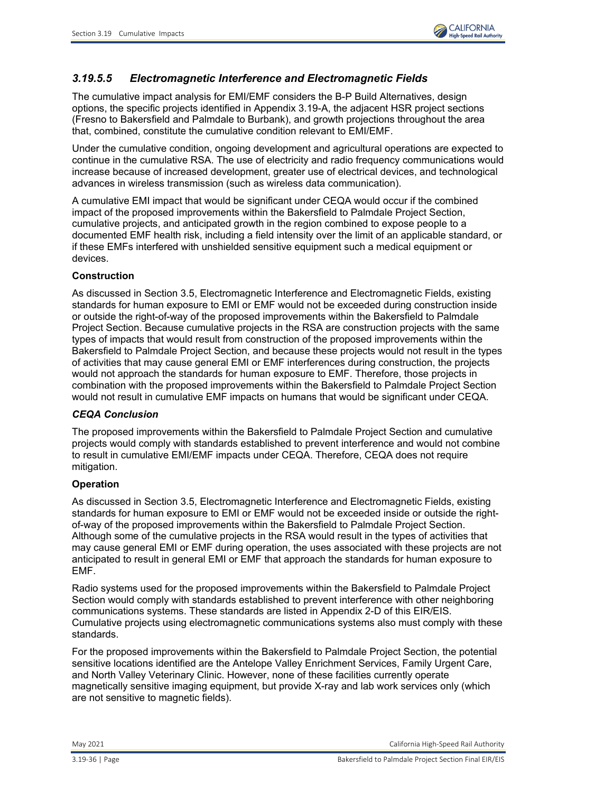

# *3.19.5.5 Electromagnetic Interference and Electromagnetic Fields*

The cumulative impact analysis for EMI/EMF considers the B-P Build Alternatives, design options, the specific projects identified in Appendix 3.19-A, the adjacent HSR project sections (Fresno to Bakersfield and Palmdale to Burbank), and growth projections throughout the area that, combined, constitute the cumulative condition relevant to EMI/EMF.

Under the cumulative condition, ongoing development and agricultural operations are expected to continue in the cumulative RSA. The use of electricity and radio frequency communications would increase because of increased development, greater use of electrical devices, and technological advances in wireless transmission (such as wireless data communication).

A cumulative EMI impact that would be significant under CEQA would occur if the combined impact of the proposed improvements within the Bakersfield to Palmdale Project Section, cumulative projects, and anticipated growth in the region combined to expose people to a documented EMF health risk, including a field intensity over the limit of an applicable standard, or if these EMFs interfered with unshielded sensitive equipment such a medical equipment or devices.

### **Construction**

As discussed in Section 3.5, Electromagnetic Interference and Electromagnetic Fields, existing standards for human exposure to EMI or EMF would not be exceeded during construction inside or outside the right-of-way of the proposed improvements within the Bakersfield to Palmdale Project Section. Because cumulative projects in the RSA are construction projects with the same types of impacts that would result from construction of the proposed improvements within the Bakersfield to Palmdale Project Section, and because these projects would not result in the types of activities that may cause general EMI or EMF interferences during construction, the projects would not approach the standards for human exposure to EMF. Therefore, those projects in combination with the proposed improvements within the Bakersfield to Palmdale Project Section would not result in cumulative EMF impacts on humans that would be significant under CEQA.

### *CEQA Conclusion*

The proposed improvements within the Bakersfield to Palmdale Project Section and cumulative projects would comply with standards established to prevent interference and would not combine to result in cumulative EMI/EMF impacts under CEQA. Therefore, CEQA does not require mitigation.

### **Operation**

As discussed in Section 3.5, Electromagnetic Interference and Electromagnetic Fields, existing standards for human exposure to EMI or EMF would not be exceeded inside or outside the rightof-way of the proposed improvements within the Bakersfield to Palmdale Project Section. Although some of the cumulative projects in the RSA would result in the types of activities that may cause general EMI or EMF during operation, the uses associated with these projects are not anticipated to result in general EMI or EMF that approach the standards for human exposure to EMF.

Radio systems used for the proposed improvements within the Bakersfield to Palmdale Project Section would comply with standards established to prevent interference with other neighboring communications systems. These standards are listed in Appendix 2-D of this EIR/EIS. Cumulative projects using electromagnetic communications systems also must comply with these standards.

For the proposed improvements within the Bakersfield to Palmdale Project Section, the potential sensitive locations identified are the Antelope Valley Enrichment Services, Family Urgent Care, and North Valley Veterinary Clinic. However, none of these facilities currently operate magnetically sensitive imaging equipment, but provide X-ray and lab work services only (which are not sensitive to magnetic fields).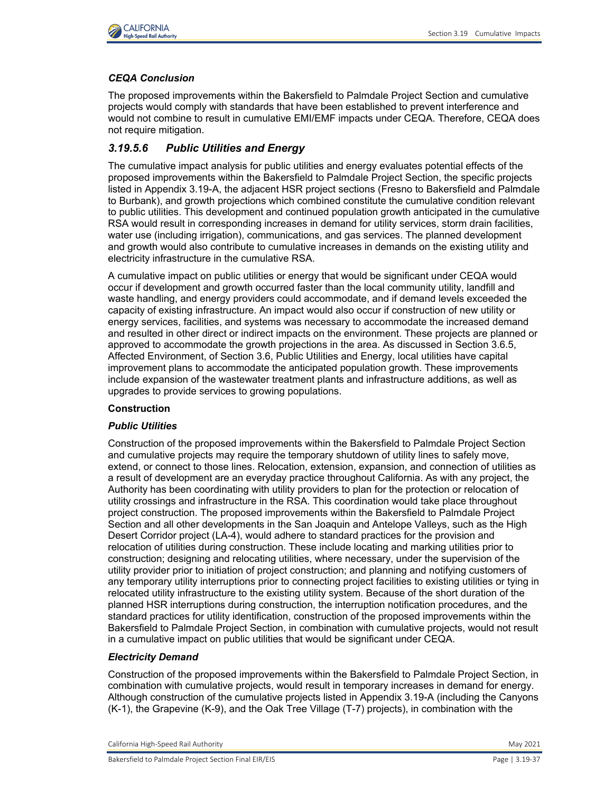

# *CEQA Conclusion*

The proposed improvements within the Bakersfield to Palmdale Project Section and cumulative projects would comply with standards that have been established to prevent interference and would not combine to result in cumulative EMI/EMF impacts under CEQA. Therefore, CEQA does not require mitigation.

# *3.19.5.6 Public Utilities and Energy*

The cumulative impact analysis for public utilities and energy evaluates potential effects of the proposed improvements within the Bakersfield to Palmdale Project Section, the specific projects listed in Appendix 3.19-A, the adjacent HSR project sections (Fresno to Bakersfield and Palmdale to Burbank), and growth projections which combined constitute the cumulative condition relevant to public utilities. This development and continued population growth anticipated in the cumulative RSA would result in corresponding increases in demand for utility services, storm drain facilities, water use (including irrigation), communications, and gas services. The planned development and growth would also contribute to cumulative increases in demands on the existing utility and electricity infrastructure in the cumulative RSA.

A cumulative impact on public utilities or energy that would be significant under CEQA would occur if development and growth occurred faster than the local community utility, landfill and waste handling, and energy providers could accommodate, and if demand levels exceeded the capacity of existing infrastructure. An impact would also occur if construction of new utility or energy services, facilities, and systems was necessary to accommodate the increased demand and resulted in other direct or indirect impacts on the environment. These projects are planned or approved to accommodate the growth projections in the area. As discussed in Section 3.6.5, Affected Environment, of Section 3.6, Public Utilities and Energy, local utilities have capital improvement plans to accommodate the anticipated population growth. These improvements include expansion of the wastewater treatment plants and infrastructure additions, as well as upgrades to provide services to growing populations.

# **Construction**

# *Public Utilities*

Construction of the proposed improvements within the Bakersfield to Palmdale Project Section and cumulative projects may require the temporary shutdown of utility lines to safely move, extend, or connect to those lines. Relocation, extension, expansion, and connection of utilities as a result of development are an everyday practice throughout California. As with any project, the Authority has been coordinating with utility providers to plan for the protection or relocation of utility crossings and infrastructure in the RSA. This coordination would take place throughout project construction. The proposed improvements within the Bakersfield to Palmdale Project Section and all other developments in the San Joaquin and Antelope Valleys, such as the High Desert Corridor project (LA-4), would adhere to standard practices for the provision and relocation of utilities during construction. These include locating and marking utilities prior to construction; designing and relocating utilities, where necessary, under the supervision of the utility provider prior to initiation of project construction; and planning and notifying customers of any temporary utility interruptions prior to connecting project facilities to existing utilities or tying in relocated utility infrastructure to the existing utility system. Because of the short duration of the planned HSR interruptions during construction, the interruption notification procedures, and the standard practices for utility identification, construction of the proposed improvements within the Bakersfield to Palmdale Project Section, in combination with cumulative projects, would not result in a cumulative impact on public utilities that would be significant under CEQA.

# *Electricity Demand*

Construction of the proposed improvements within the Bakersfield to Palmdale Project Section, in combination with cumulative projects, would result in temporary increases in demand for energy. Although construction of the cumulative projects listed in Appendix 3.19-A (including the Canyons (K-1), the Grapevine (K-9), and the Oak Tree Village (T-7) projects), in combination with the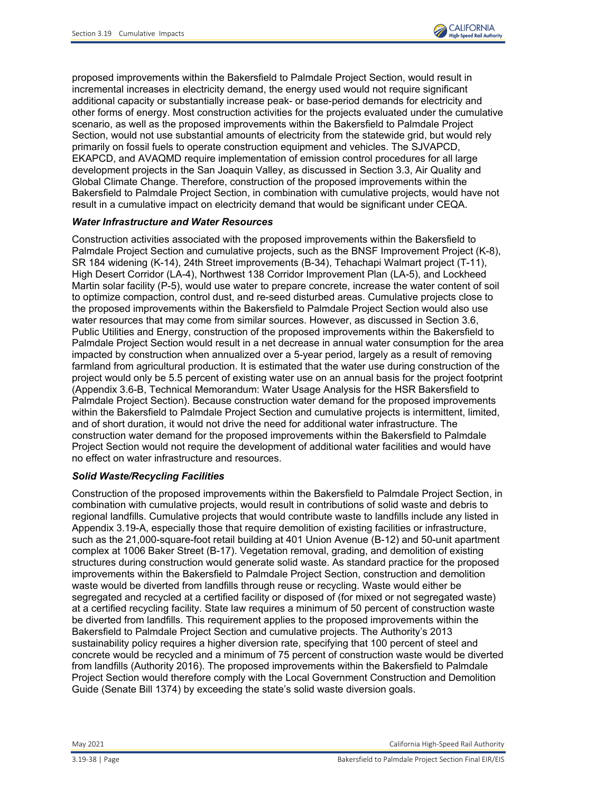

proposed improvements within the Bakersfield to Palmdale Project Section, would result in incremental increases in electricity demand, the energy used would not require significant additional capacity or substantially increase peak- or base-period demands for electricity and other forms of energy. Most construction activities for the projects evaluated under the cumulative scenario, as well as the proposed improvements within the Bakersfield to Palmdale Project Section, would not use substantial amounts of electricity from the statewide grid, but would rely primarily on fossil fuels to operate construction equipment and vehicles. The SJVAPCD, EKAPCD, and AVAQMD require implementation of emission control procedures for all large development projects in the San Joaquin Valley, as discussed in Section 3.3, Air Quality and Global Climate Change. Therefore, construction of the proposed improvements within the Bakersfield to Palmdale Project Section, in combination with cumulative projects, would have not result in a cumulative impact on electricity demand that would be significant under CEQA.

## *Water Infrastructure and Water Resources*

Construction activities associated with the proposed improvements within the Bakersfield to Palmdale Project Section and cumulative projects, such as the BNSF Improvement Project (K-8), SR 184 widening (K-14), 24th Street improvements (B-34), Tehachapi Walmart project (T-11), High Desert Corridor (LA-4), Northwest 138 Corridor Improvement Plan (LA-5), and Lockheed Martin solar facility (P-5), would use water to prepare concrete, increase the water content of soil to optimize compaction, control dust, and re-seed disturbed areas. Cumulative projects close to the proposed improvements within the Bakersfield to Palmdale Project Section would also use water resources that may come from similar sources. However, as discussed in Section 3.6, Public Utilities and Energy, construction of the proposed improvements within the Bakersfield to Palmdale Project Section would result in a net decrease in annual water consumption for the area impacted by construction when annualized over a 5-year period, largely as a result of removing farmland from agricultural production. It is estimated that the water use during construction of the project would only be 5.5 percent of existing water use on an annual basis for the project footprint (Appendix 3.6-B, Technical Memorandum: Water Usage Analysis for the HSR Bakersfield to Palmdale Project Section). Because construction water demand for the proposed improvements within the Bakersfield to Palmdale Project Section and cumulative projects is intermittent, limited, and of short duration, it would not drive the need for additional water infrastructure. The construction water demand for the proposed improvements within the Bakersfield to Palmdale Project Section would not require the development of additional water facilities and would have no effect on water infrastructure and resources.

## *Solid Waste/Recycling Facilities*

Construction of the proposed improvements within the Bakersfield to Palmdale Project Section, in combination with cumulative projects, would result in contributions of solid waste and debris to regional landfills. Cumulative projects that would contribute waste to landfills include any listed in Appendix 3.19-A, especially those that require demolition of existing facilities or infrastructure, such as the 21,000-square-foot retail building at 401 Union Avenue (B-12) and 50-unit apartment complex at 1006 Baker Street (B-17). Vegetation removal, grading, and demolition of existing structures during construction would generate solid waste. As standard practice for the proposed improvements within the Bakersfield to Palmdale Project Section, construction and demolition waste would be diverted from landfills through reuse or recycling. Waste would either be segregated and recycled at a certified facility or disposed of (for mixed or not segregated waste) at a certified recycling facility. State law requires a minimum of 50 percent of construction waste be diverted from landfills. This requirement applies to the proposed improvements within the Bakersfield to Palmdale Project Section and cumulative projects. The Authority's 2013 sustainability policy requires a higher diversion rate, specifying that 100 percent of steel and concrete would be recycled and a minimum of 75 percent of construction waste would be diverted from landfills (Authority 2016). The proposed improvements within the Bakersfield to Palmdale Project Section would therefore comply with the Local Government Construction and Demolition Guide (Senate Bill 1374) by exceeding the state's solid waste diversion goals.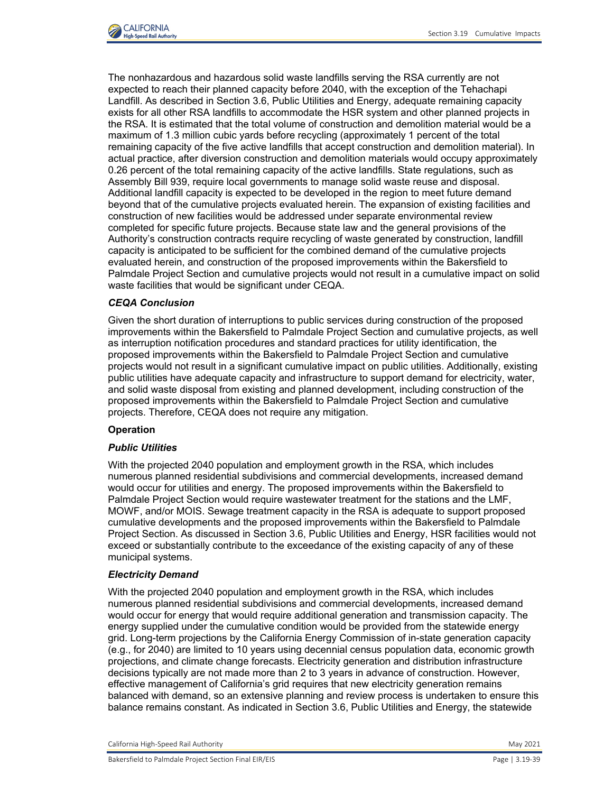

The nonhazardous and hazardous solid waste landfills serving the RSA currently are not expected to reach their planned capacity before 2040, with the exception of the Tehachapi Landfill. As described in Section 3.6, Public Utilities and Energy, adequate remaining capacity exists for all other RSA landfills to accommodate the HSR system and other planned projects in the RSA. It is estimated that the total volume of construction and demolition material would be a maximum of 1.3 million cubic yards before recycling (approximately 1 percent of the total remaining capacity of the five active landfills that accept construction and demolition material). In actual practice, after diversion construction and demolition materials would occupy approximately 0.26 percent of the total remaining capacity of the active landfills. State regulations, such as Assembly Bill 939, require local governments to manage solid waste reuse and disposal. Additional landfill capacity is expected to be developed in the region to meet future demand beyond that of the cumulative projects evaluated herein. The expansion of existing facilities and construction of new facilities would be addressed under separate environmental review completed for specific future projects. Because state law and the general provisions of the Authority's construction contracts require recycling of waste generated by construction, landfill capacity is anticipated to be sufficient for the combined demand of the cumulative projects evaluated herein, and construction of the proposed improvements within the Bakersfield to Palmdale Project Section and cumulative projects would not result in a cumulative impact on solid waste facilities that would be significant under CEQA.

## *CEQA Conclusion*

Given the short duration of interruptions to public services during construction of the proposed improvements within the Bakersfield to Palmdale Project Section and cumulative projects, as well as interruption notification procedures and standard practices for utility identification, the proposed improvements within the Bakersfield to Palmdale Project Section and cumulative projects would not result in a significant cumulative impact on public utilities. Additionally, existing public utilities have adequate capacity and infrastructure to support demand for electricity, water, and solid waste disposal from existing and planned development, including construction of the proposed improvements within the Bakersfield to Palmdale Project Section and cumulative projects. Therefore, CEQA does not require any mitigation.

### **Operation**

#### *Public Utilities*

With the projected 2040 population and employment growth in the RSA, which includes numerous planned residential subdivisions and commercial developments, increased demand would occur for utilities and energy. The proposed improvements within the Bakersfield to Palmdale Project Section would require wastewater treatment for the stations and the LMF, MOWF, and/or MOIS. Sewage treatment capacity in the RSA is adequate to support proposed cumulative developments and the proposed improvements within the Bakersfield to Palmdale Project Section. As discussed in Section 3.6, Public Utilities and Energy, HSR facilities would not exceed or substantially contribute to the exceedance of the existing capacity of any of these municipal systems.

#### *Electricity Demand*

With the projected 2040 population and employment growth in the RSA, which includes numerous planned residential subdivisions and commercial developments, increased demand would occur for energy that would require additional generation and transmission capacity. The energy supplied under the cumulative condition would be provided from the statewide energy grid. Long-term projections by the California Energy Commission of in-state generation capacity (e.g., for 2040) are limited to 10 years using decennial census population data, economic growth projections, and climate change forecasts. Electricity generation and distribution infrastructure decisions typically are not made more than 2 to 3 years in advance of construction. However, effective management of California's grid requires that new electricity generation remains balanced with demand, so an extensive planning and review process is undertaken to ensure this balance remains constant. As indicated in Section 3.6, Public Utilities and Energy, the statewide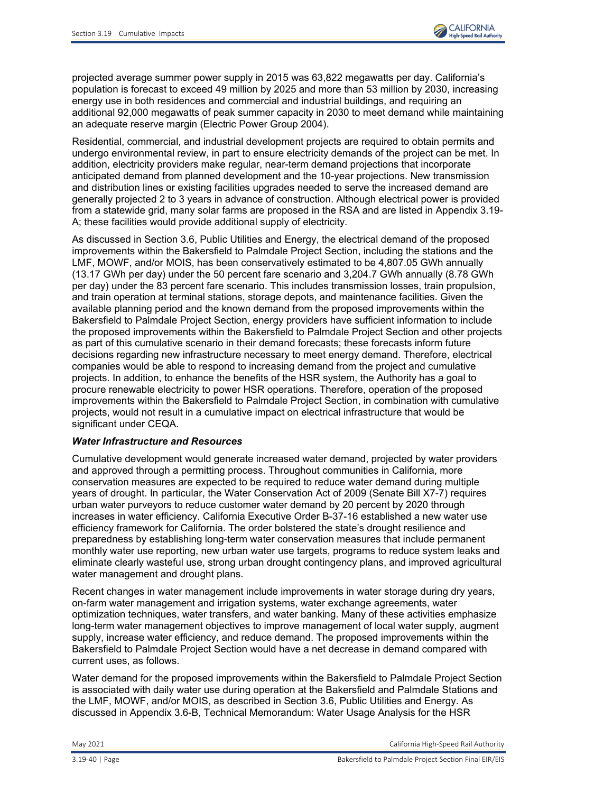

projected average summer power supply in 2015 was 63,822 megawatts per day. California's population is forecast to exceed 49 million by 2025 and more than 53 million by 2030, increasing energy use in both residences and commercial and industrial buildings, and requiring an additional 92,000 megawatts of peak summer capacity in 2030 to meet demand while maintaining an adequate reserve margin (Electric Power Group 2004).

Residential, commercial, and industrial development projects are required to obtain permits and undergo environmental review, in part to ensure electricity demands of the project can be met. In addition, electricity providers make regular, near-term demand projections that incorporate anticipated demand from planned development and the 10-year projections. New transmission and distribution lines or existing facilities upgrades needed to serve the increased demand are generally projected 2 to 3 years in advance of construction. Although electrical power is provided from a statewide grid, many solar farms are proposed in the RSA and are listed in Appendix 3.19- A; these facilities would provide additional supply of electricity.

As discussed in Section 3.6, Public Utilities and Energy, the electrical demand of the proposed improvements within the Bakersfield to Palmdale Project Section, including the stations and the LMF, MOWF, and/or MOIS, has been conservatively estimated to be 4,807.05 GWh annually (13.17 GWh per day) under the 50 percent fare scenario and 3,204.7 GWh annually (8.78 GWh per day) under the 83 percent fare scenario. This includes transmission losses, train propulsion, and train operation at terminal stations, storage depots, and maintenance facilities. Given the available planning period and the known demand from the proposed improvements within the Bakersfield to Palmdale Project Section, energy providers have sufficient information to include the proposed improvements within the Bakersfield to Palmdale Project Section and other projects as part of this cumulative scenario in their demand forecasts; these forecasts inform future decisions regarding new infrastructure necessary to meet energy demand. Therefore, electrical companies would be able to respond to increasing demand from the project and cumulative projects. In addition, to enhance the benefits of the HSR system, the Authority has a goal to procure renewable electricity to power HSR operations. Therefore, operation of the proposed improvements within the Bakersfield to Palmdale Project Section, in combination with cumulative projects, would not result in a cumulative impact on electrical infrastructure that would be significant under CEQA.

## *Water Infrastructure and Resources*

Cumulative development would generate increased water demand, projected by water providers and approved through a permitting process. Throughout communities in California, more conservation measures are expected to be required to reduce water demand during multiple years of drought. In particular, the Water Conservation Act of 2009 (Senate Bill X7-7) requires urban water purveyors to reduce customer water demand by 20 percent by 2020 through increases in water efficiency. California Executive Order B-37-16 established a new water use efficiency framework for California. The order bolstered the state's drought resilience and preparedness by establishing long-term water conservation measures that include permanent monthly water use reporting, new urban water use targets, programs to reduce system leaks and eliminate clearly wasteful use, strong urban drought contingency plans, and improved agricultural water management and drought plans.

Recent changes in water management include improvements in water storage during dry years, on-farm water management and irrigation systems, water exchange agreements, water optimization techniques, water transfers, and water banking. Many of these activities emphasize long-term water management objectives to improve management of local water supply, augment supply, increase water efficiency, and reduce demand. The proposed improvements within the Bakersfield to Palmdale Project Section would have a net decrease in demand compared with current uses, as follows.

Water demand for the proposed improvements within the Bakersfield to Palmdale Project Section is associated with daily water use during operation at the Bakersfield and Palmdale Stations and the LMF, MOWF, and/or MOIS, as described in Section 3.6, Public Utilities and Energy. As discussed in Appendix 3.6-B, Technical Memorandum: Water Usage Analysis for the HSR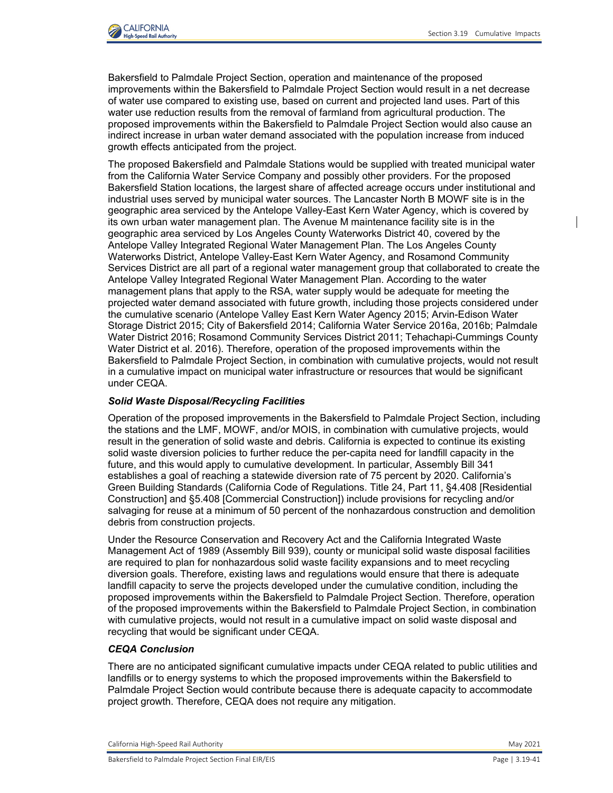

Bakersfield to Palmdale Project Section, operation and maintenance of the proposed improvements within the Bakersfield to Palmdale Project Section would result in a net decrease of water use compared to existing use, based on current and projected land uses. Part of this water use reduction results from the removal of farmland from agricultural production. The proposed improvements within the Bakersfield to Palmdale Project Section would also cause an indirect increase in urban water demand associated with the population increase from induced growth effects anticipated from the project.

The proposed Bakersfield and Palmdale Stations would be supplied with treated municipal water from the California Water Service Company and possibly other providers. For the proposed Bakersfield Station locations, the largest share of affected acreage occurs under institutional and industrial uses served by municipal water sources. The Lancaster North B MOWF site is in the geographic area serviced by the Antelope Valley-East Kern Water Agency, which is covered by its own urban water management plan. The Avenue M maintenance facility site is in the geographic area serviced by Los Angeles County Waterworks District 40, covered by the Antelope Valley Integrated Regional Water Management Plan. The Los Angeles County Waterworks District, Antelope Valley-East Kern Water Agency, and Rosamond Community Services District are all part of a regional water management group that collaborated to create the Antelope Valley Integrated Regional Water Management Plan. According to the water management plans that apply to the RSA, water supply would be adequate for meeting the projected water demand associated with future growth, including those projects considered under the cumulative scenario (Antelope Valley East Kern Water Agency 2015; Arvin-Edison Water Storage District 2015; City of Bakersfield 2014; California Water Service 2016a, 2016b; Palmdale Water District 2016; Rosamond Community Services District 2011; Tehachapi-Cummings County Water District et al. 2016). Therefore, operation of the proposed improvements within the Bakersfield to Palmdale Project Section, in combination with cumulative projects, would not result in a cumulative impact on municipal water infrastructure or resources that would be significant under CEQA.

## *Solid Waste Disposal/Recycling Facilities*

Operation of the proposed improvements in the Bakersfield to Palmdale Project Section, including the stations and the LMF, MOWF, and/or MOIS, in combination with cumulative projects, would result in the generation of solid waste and debris. California is expected to continue its existing solid waste diversion policies to further reduce the per-capita need for landfill capacity in the future, and this would apply to cumulative development. In particular, Assembly Bill 341 establishes a goal of reaching a statewide diversion rate of 75 percent by 2020. California's Green Building Standards (California Code of Regulations. Title 24, Part 11, §4.408 [Residential Construction] and §5.408 [Commercial Construction]) include provisions for recycling and/or salvaging for reuse at a minimum of 50 percent of the nonhazardous construction and demolition debris from construction projects.

Under the Resource Conservation and Recovery Act and the California Integrated Waste Management Act of 1989 (Assembly Bill 939), county or municipal solid waste disposal facilities are required to plan for nonhazardous solid waste facility expansions and to meet recycling diversion goals. Therefore, existing laws and regulations would ensure that there is adequate landfill capacity to serve the projects developed under the cumulative condition, including the proposed improvements within the Bakersfield to Palmdale Project Section. Therefore, operation of the proposed improvements within the Bakersfield to Palmdale Project Section, in combination with cumulative projects, would not result in a cumulative impact on solid waste disposal and recycling that would be significant under CEQA.

## *CEQA Conclusion*

There are no anticipated significant cumulative impacts under CEQA related to public utilities and landfills or to energy systems to which the proposed improvements within the Bakersfield to Palmdale Project Section would contribute because there is adequate capacity to accommodate project growth. Therefore, CEQA does not require any mitigation.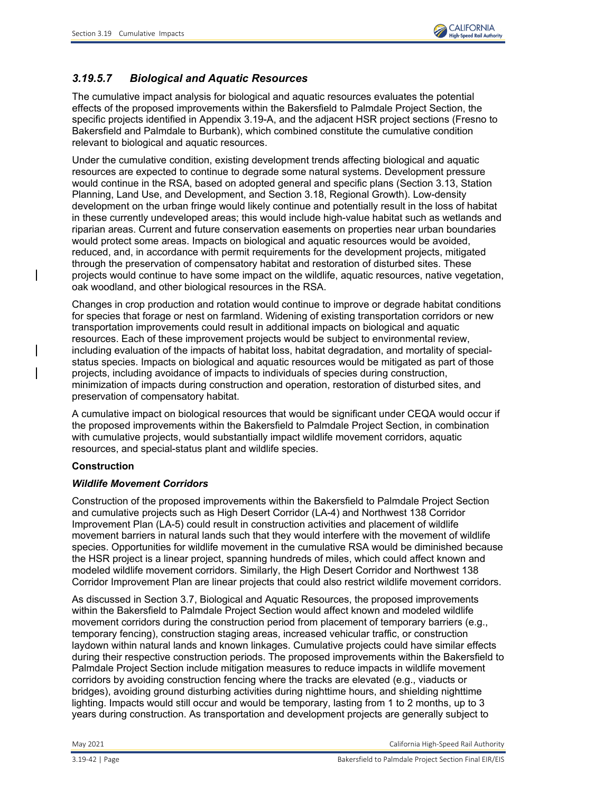

# *3.19.5.7 Biological and Aquatic Resources*

The cumulative impact analysis for biological and aquatic resources evaluates the potential effects of the proposed improvements within the Bakersfield to Palmdale Project Section, the specific projects identified in Appendix 3.19-A, and the adjacent HSR project sections (Fresno to Bakersfield and Palmdale to Burbank), which combined constitute the cumulative condition relevant to biological and aquatic resources.

Under the cumulative condition, existing development trends affecting biological and aquatic resources are expected to continue to degrade some natural systems. Development pressure would continue in the RSA, based on adopted general and specific plans (Section 3.13, Station Planning, Land Use, and Development, and Section 3.18, Regional Growth). Low-density development on the urban fringe would likely continue and potentially result in the loss of habitat in these currently undeveloped areas; this would include high-value habitat such as wetlands and riparian areas. Current and future conservation easements on properties near urban boundaries would protect some areas. Impacts on biological and aquatic resources would be avoided, reduced, and, in accordance with permit requirements for the development projects, mitigated through the preservation of compensatory habitat and restoration of disturbed sites. These projects would continue to have some impact on the wildlife, aquatic resources, native vegetation, oak woodland, and other biological resources in the RSA.

Changes in crop production and rotation would continue to improve or degrade habitat conditions for species that forage or nest on farmland. Widening of existing transportation corridors or new transportation improvements could result in additional impacts on biological and aquatic resources. Each of these improvement projects would be subject to environmental review, including evaluation of the impacts of habitat loss, habitat degradation, and mortality of specialstatus species. Impacts on biological and aquatic resources would be mitigated as part of those projects, including avoidance of impacts to individuals of species during construction, minimization of impacts during construction and operation, restoration of disturbed sites, and preservation of compensatory habitat.

A cumulative impact on biological resources that would be significant under CEQA would occur if the proposed improvements within the Bakersfield to Palmdale Project Section, in combination with cumulative projects, would substantially impact wildlife movement corridors, aquatic resources, and special-status plant and wildlife species.

# **Construction**

# *Wildlife Movement Corridors*

Construction of the proposed improvements within the Bakersfield to Palmdale Project Section and cumulative projects such as High Desert Corridor (LA-4) and Northwest 138 Corridor Improvement Plan (LA-5) could result in construction activities and placement of wildlife movement barriers in natural lands such that they would interfere with the movement of wildlife species. Opportunities for wildlife movement in the cumulative RSA would be diminished because the HSR project is a linear project, spanning hundreds of miles, which could affect known and modeled wildlife movement corridors. Similarly, the High Desert Corridor and Northwest 138 Corridor Improvement Plan are linear projects that could also restrict wildlife movement corridors.

As discussed in Section 3.7, Biological and Aquatic Resources, the proposed improvements within the Bakersfield to Palmdale Project Section would affect known and modeled wildlife movement corridors during the construction period from placement of temporary barriers (e.g., temporary fencing), construction staging areas, increased vehicular traffic, or construction laydown within natural lands and known linkages. Cumulative projects could have similar effects during their respective construction periods. The proposed improvements within the Bakersfield to Palmdale Project Section include mitigation measures to reduce impacts in wildlife movement corridors by avoiding construction fencing where the tracks are elevated (e.g., viaducts or bridges), avoiding ground disturbing activities during nighttime hours, and shielding nighttime lighting. Impacts would still occur and would be temporary, lasting from 1 to 2 months, up to 3 years during construction. As transportation and development projects are generally subject to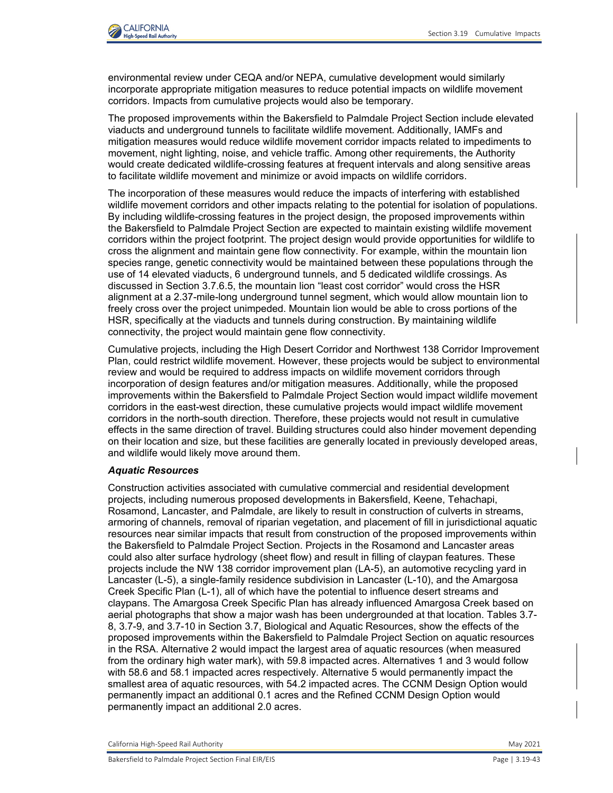

environmental review under CEQA and/or NEPA, cumulative development would similarly incorporate appropriate mitigation measures to reduce potential impacts on wildlife movement corridors. Impacts from cumulative projects would also be temporary.

The proposed improvements within the Bakersfield to Palmdale Project Section include elevated viaducts and underground tunnels to facilitate wildlife movement. Additionally, IAMFs and mitigation measures would reduce wildlife movement corridor impacts related to impediments to movement, night lighting, noise, and vehicle traffic. Among other requirements, the Authority would create dedicated wildlife-crossing features at frequent intervals and along sensitive areas to facilitate wildlife movement and minimize or avoid impacts on wildlife corridors.

The incorporation of these measures would reduce the impacts of interfering with established wildlife movement corridors and other impacts relating to the potential for isolation of populations. By including wildlife-crossing features in the project design, the proposed improvements within the Bakersfield to Palmdale Project Section are expected to maintain existing wildlife movement corridors within the project footprint. The project design would provide opportunities for wildlife to cross the alignment and maintain gene flow connectivity. For example, within the mountain lion species range, genetic connectivity would be maintained between these populations through the use of 14 elevated viaducts, 6 underground tunnels, and 5 dedicated wildlife crossings. As discussed in Section 3.7.6.5, the mountain lion "least cost corridor" would cross the HSR alignment at a 2.37-mile-long underground tunnel segment, which would allow mountain lion to freely cross over the project unimpeded. Mountain lion would be able to cross portions of the HSR, specifically at the viaducts and tunnels during construction. By maintaining wildlife connectivity, the project would maintain gene flow connectivity.

Cumulative projects, including the High Desert Corridor and Northwest 138 Corridor Improvement Plan, could restrict wildlife movement. However, these projects would be subject to environmental review and would be required to address impacts on wildlife movement corridors through incorporation of design features and/or mitigation measures. Additionally, while the proposed improvements within the Bakersfield to Palmdale Project Section would impact wildlife movement corridors in the east-west direction, these cumulative projects would impact wildlife movement corridors in the north-south direction. Therefore, these projects would not result in cumulative effects in the same direction of travel. Building structures could also hinder movement depending on their location and size, but these facilities are generally located in previously developed areas, and wildlife would likely move around them.

#### *Aquatic Resources*

Construction activities associated with cumulative commercial and residential development projects, including numerous proposed developments in Bakersfield, Keene, Tehachapi, Rosamond, Lancaster, and Palmdale, are likely to result in construction of culverts in streams, armoring of channels, removal of riparian vegetation, and placement of fill in jurisdictional aquatic resources near similar impacts that result from construction of the proposed improvements within the Bakersfield to Palmdale Project Section. Projects in the Rosamond and Lancaster areas could also alter surface hydrology (sheet flow) and result in filling of claypan features. These projects include the NW 138 corridor improvement plan (LA-5), an automotive recycling yard in Lancaster (L-5), a single-family residence subdivision in Lancaster (L-10), and the Amargosa Creek Specific Plan (L-1), all of which have the potential to influence desert streams and claypans. The Amargosa Creek Specific Plan has already influenced Amargosa Creek based on aerial photographs that show a major wash has been undergrounded at that location. Tables 3.7- 8, 3.7-9, and 3.7-10 in Section 3.7, Biological and Aquatic Resources, show the effects of the proposed improvements within the Bakersfield to Palmdale Project Section on aquatic resources in the RSA. Alternative 2 would impact the largest area of aquatic resources (when measured from the ordinary high water mark), with 59.8 impacted acres. Alternatives 1 and 3 would follow with 58.6 and 58.1 impacted acres respectively. Alternative 5 would permanently impact the smallest area of aquatic resources, with 54.2 impacted acres. The CCNM Design Option would permanently impact an additional 0.1 acres and the Refined CCNM Design Option would permanently impact an additional 2.0 acres.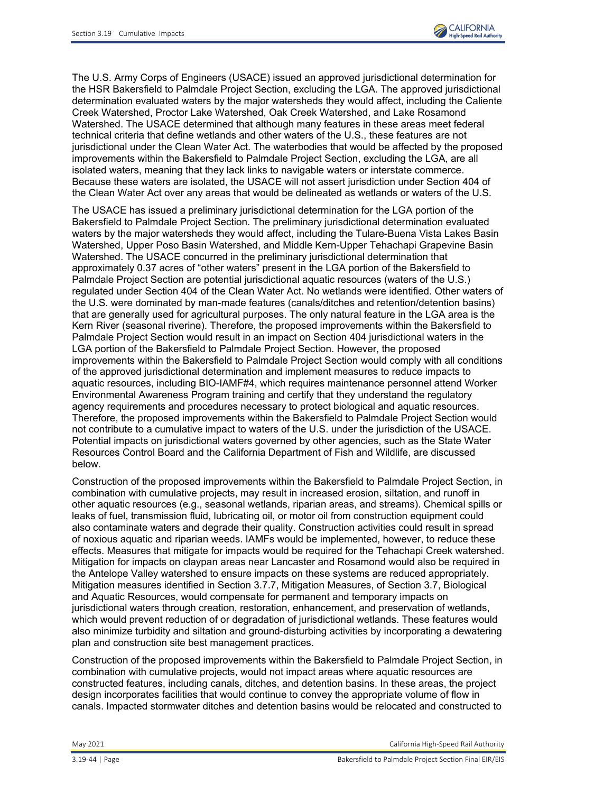

The U.S. Army Corps of Engineers (USACE) issued an approved jurisdictional determination for the HSR Bakersfield to Palmdale Project Section, excluding the LGA. The approved jurisdictional determination evaluated waters by the major watersheds they would affect, including the Caliente Creek Watershed, Proctor Lake Watershed, Oak Creek Watershed, and Lake Rosamond Watershed. The USACE determined that although many features in these areas meet federal technical criteria that define wetlands and other waters of the U.S., these features are not jurisdictional under the Clean Water Act. The waterbodies that would be affected by the proposed improvements within the Bakersfield to Palmdale Project Section, excluding the LGA, are all isolated waters, meaning that they lack links to navigable waters or interstate commerce. Because these waters are isolated, the USACE will not assert jurisdiction under Section 404 of the Clean Water Act over any areas that would be delineated as wetlands or waters of the U.S.

The USACE has issued a preliminary jurisdictional determination for the LGA portion of the Bakersfield to Palmdale Project Section. The preliminary jurisdictional determination evaluated waters by the major watersheds they would affect, including the Tulare-Buena Vista Lakes Basin Watershed, Upper Poso Basin Watershed, and Middle Kern-Upper Tehachapi Grapevine Basin Watershed. The USACE concurred in the preliminary jurisdictional determination that approximately 0.37 acres of "other waters" present in the LGA portion of the Bakersfield to Palmdale Project Section are potential jurisdictional aquatic resources (waters of the U.S.) regulated under Section 404 of the Clean Water Act. No wetlands were identified. Other waters of the U.S. were dominated by man-made features (canals/ditches and retention/detention basins) that are generally used for agricultural purposes. The only natural feature in the LGA area is the Kern River (seasonal riverine). Therefore, the proposed improvements within the Bakersfield to Palmdale Project Section would result in an impact on Section 404 jurisdictional waters in the LGA portion of the Bakersfield to Palmdale Project Section. However, the proposed improvements within the Bakersfield to Palmdale Project Section would comply with all conditions of the approved jurisdictional determination and implement measures to reduce impacts to aquatic resources, including BIO-IAMF#4, which requires maintenance personnel attend Worker Environmental Awareness Program training and certify that they understand the regulatory agency requirements and procedures necessary to protect biological and aquatic resources. Therefore, the proposed improvements within the Bakersfield to Palmdale Project Section would not contribute to a cumulative impact to waters of the U.S. under the jurisdiction of the USACE. Potential impacts on jurisdictional waters governed by other agencies, such as the State Water Resources Control Board and the California Department of Fish and Wildlife, are discussed below.

Construction of the proposed improvements within the Bakersfield to Palmdale Project Section, in combination with cumulative projects, may result in increased erosion, siltation, and runoff in other aquatic resources (e.g., seasonal wetlands, riparian areas, and streams). Chemical spills or leaks of fuel, transmission fluid, lubricating oil, or motor oil from construction equipment could also contaminate waters and degrade their quality. Construction activities could result in spread of noxious aquatic and riparian weeds. IAMFs would be implemented, however, to reduce these effects. Measures that mitigate for impacts would be required for the Tehachapi Creek watershed. Mitigation for impacts on claypan areas near Lancaster and Rosamond would also be required in the Antelope Valley watershed to ensure impacts on these systems are reduced appropriately. Mitigation measures identified in Section 3.7.7, Mitigation Measures, of Section 3.7, Biological and Aquatic Resources, would compensate for permanent and temporary impacts on jurisdictional waters through creation, restoration, enhancement, and preservation of wetlands, which would prevent reduction of or degradation of jurisdictional wetlands. These features would also minimize turbidity and siltation and ground-disturbing activities by incorporating a dewatering plan and construction site best management practices.

Construction of the proposed improvements within the Bakersfield to Palmdale Project Section, in combination with cumulative projects, would not impact areas where aquatic resources are constructed features, including canals, ditches, and detention basins. In these areas, the project design incorporates facilities that would continue to convey the appropriate volume of flow in canals. Impacted stormwater ditches and detention basins would be relocated and constructed to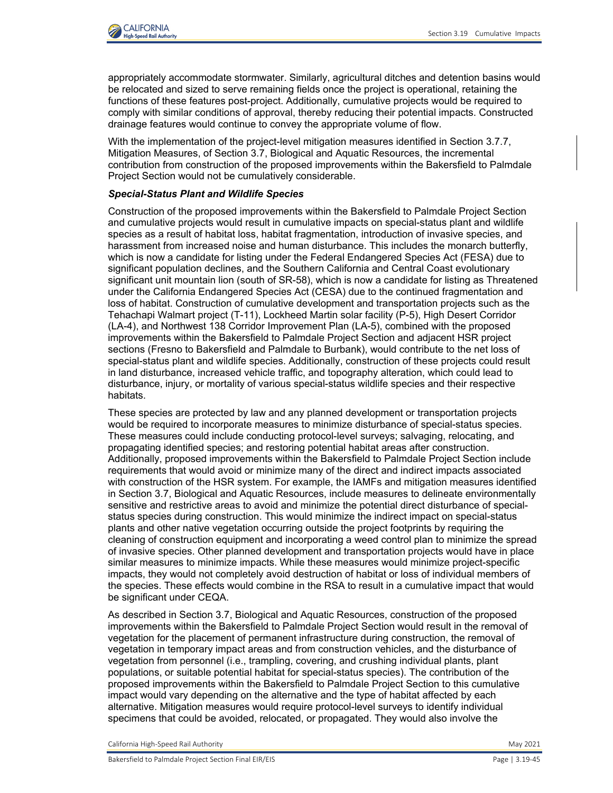

appropriately accommodate stormwater. Similarly, agricultural ditches and detention basins would be relocated and sized to serve remaining fields once the project is operational, retaining the functions of these features post-project. Additionally, cumulative projects would be required to comply with similar conditions of approval, thereby reducing their potential impacts. Constructed drainage features would continue to convey the appropriate volume of flow.

With the implementation of the project-level mitigation measures identified in Section 3.7.7, Mitigation Measures, of Section 3.7, Biological and Aquatic Resources, the incremental contribution from construction of the proposed improvements within the Bakersfield to Palmdale Project Section would not be cumulatively considerable.

### *Special-Status Plant and Wildlife Species*

Construction of the proposed improvements within the Bakersfield to Palmdale Project Section and cumulative projects would result in cumulative impacts on special-status plant and wildlife species as a result of habitat loss, habitat fragmentation, introduction of invasive species, and harassment from increased noise and human disturbance. This includes the monarch butterfly, which is now a candidate for listing under the Federal Endangered Species Act (FESA) due to significant population declines, and the Southern California and Central Coast evolutionary significant unit mountain lion (south of SR-58), which is now a candidate for listing as Threatened under the California Endangered Species Act (CESA) due to the continued fragmentation and loss of habitat. Construction of cumulative development and transportation projects such as the Tehachapi Walmart project (T-11), Lockheed Martin solar facility (P-5), High Desert Corridor (LA-4), and Northwest 138 Corridor Improvement Plan (LA-5), combined with the proposed improvements within the Bakersfield to Palmdale Project Section and adjacent HSR project sections (Fresno to Bakersfield and Palmdale to Burbank), would contribute to the net loss of special-status plant and wildlife species. Additionally, construction of these projects could result in land disturbance, increased vehicle traffic, and topography alteration, which could lead to disturbance, injury, or mortality of various special-status wildlife species and their respective habitats.

These species are protected by law and any planned development or transportation projects would be required to incorporate measures to minimize disturbance of special-status species. These measures could include conducting protocol-level surveys; salvaging, relocating, and propagating identified species; and restoring potential habitat areas after construction. Additionally, proposed improvements within the Bakersfield to Palmdale Project Section include requirements that would avoid or minimize many of the direct and indirect impacts associated with construction of the HSR system. For example, the IAMFs and mitigation measures identified in Section 3.7, Biological and Aquatic Resources, include measures to delineate environmentally sensitive and restrictive areas to avoid and minimize the potential direct disturbance of specialstatus species during construction. This would minimize the indirect impact on special-status plants and other native vegetation occurring outside the project footprints by requiring the cleaning of construction equipment and incorporating a weed control plan to minimize the spread of invasive species. Other planned development and transportation projects would have in place similar measures to minimize impacts. While these measures would minimize project-specific impacts, they would not completely avoid destruction of habitat or loss of individual members of the species. These effects would combine in the RSA to result in a cumulative impact that would be significant under CEQA.

As described in Section 3.7, Biological and Aquatic Resources, construction of the proposed improvements within the Bakersfield to Palmdale Project Section would result in the removal of vegetation for the placement of permanent infrastructure during construction, the removal of vegetation in temporary impact areas and from construction vehicles, and the disturbance of vegetation from personnel (i.e., trampling, covering, and crushing individual plants, plant populations, or suitable potential habitat for special-status species). The contribution of the proposed improvements within the Bakersfield to Palmdale Project Section to this cumulative impact would vary depending on the alternative and the type of habitat affected by each alternative. Mitigation measures would require protocol-level surveys to identify individual specimens that could be avoided, relocated, or propagated. They would also involve the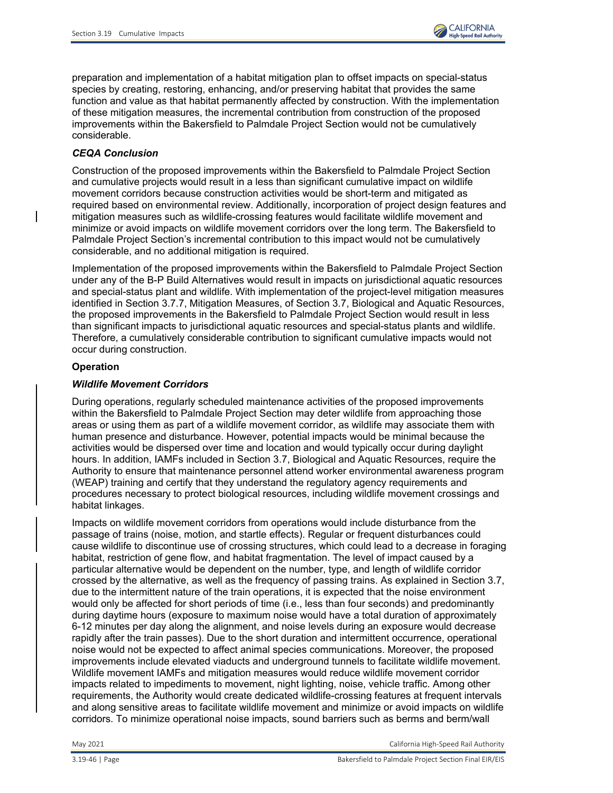

preparation and implementation of a habitat mitigation plan to offset impacts on special-status species by creating, restoring, enhancing, and/or preserving habitat that provides the same function and value as that habitat permanently affected by construction. With the implementation of these mitigation measures, the incremental contribution from construction of the proposed improvements within the Bakersfield to Palmdale Project Section would not be cumulatively considerable.

## *CEQA Conclusion*

Construction of the proposed improvements within the Bakersfield to Palmdale Project Section and cumulative projects would result in a less than significant cumulative impact on wildlife movement corridors because construction activities would be short-term and mitigated as required based on environmental review. Additionally, incorporation of project design features and mitigation measures such as wildlife-crossing features would facilitate wildlife movement and minimize or avoid impacts on wildlife movement corridors over the long term. The Bakersfield to Palmdale Project Section's incremental contribution to this impact would not be cumulatively considerable, and no additional mitigation is required.

Implementation of the proposed improvements within the Bakersfield to Palmdale Project Section under any of the B-P Build Alternatives would result in impacts on jurisdictional aquatic resources and special-status plant and wildlife. With implementation of the project-level mitigation measures identified in Section 3.7.7, Mitigation Measures, of Section 3.7, Biological and Aquatic Resources, the proposed improvements in the Bakersfield to Palmdale Project Section would result in less than significant impacts to jurisdictional aquatic resources and special-status plants and wildlife. Therefore, a cumulatively considerable contribution to significant cumulative impacts would not occur during construction.

## **Operation**

## *Wildlife Movement Corridors*

During operations, regularly scheduled maintenance activities of the proposed improvements within the Bakersfield to Palmdale Project Section may deter wildlife from approaching those areas or using them as part of a wildlife movement corridor, as wildlife may associate them with human presence and disturbance. However, potential impacts would be minimal because the activities would be dispersed over time and location and would typically occur during daylight hours. In addition, IAMFs included in Section 3.7, Biological and Aquatic Resources, require the Authority to ensure that maintenance personnel attend worker environmental awareness program (WEAP) training and certify that they understand the regulatory agency requirements and procedures necessary to protect biological resources, including wildlife movement crossings and habitat linkages.

Impacts on wildlife movement corridors from operations would include disturbance from the passage of trains (noise, motion, and startle effects). Regular or frequent disturbances could cause wildlife to discontinue use of crossing structures, which could lead to a decrease in foraging habitat, restriction of gene flow, and habitat fragmentation. The level of impact caused by a particular alternative would be dependent on the number, type, and length of wildlife corridor crossed by the alternative, as well as the frequency of passing trains. As explained in Section 3.7, due to the intermittent nature of the train operations, it is expected that the noise environment would only be affected for short periods of time (i.e., less than four seconds) and predominantly during daytime hours (exposure to maximum noise would have a total duration of approximately 6-12 minutes per day along the alignment, and noise levels during an exposure would decrease rapidly after the train passes). Due to the short duration and intermittent occurrence, operational noise would not be expected to affect animal species communications. Moreover, the proposed improvements include elevated viaducts and underground tunnels to facilitate wildlife movement. Wildlife movement IAMFs and mitigation measures would reduce wildlife movement corridor impacts related to impediments to movement, night lighting, noise, vehicle traffic. Among other requirements, the Authority would create dedicated wildlife-crossing features at frequent intervals and along sensitive areas to facilitate wildlife movement and minimize or avoid impacts on wildlife corridors. To minimize operational noise impacts, sound barriers such as berms and berm/wall

May 2021 California High-Speed Rail Authority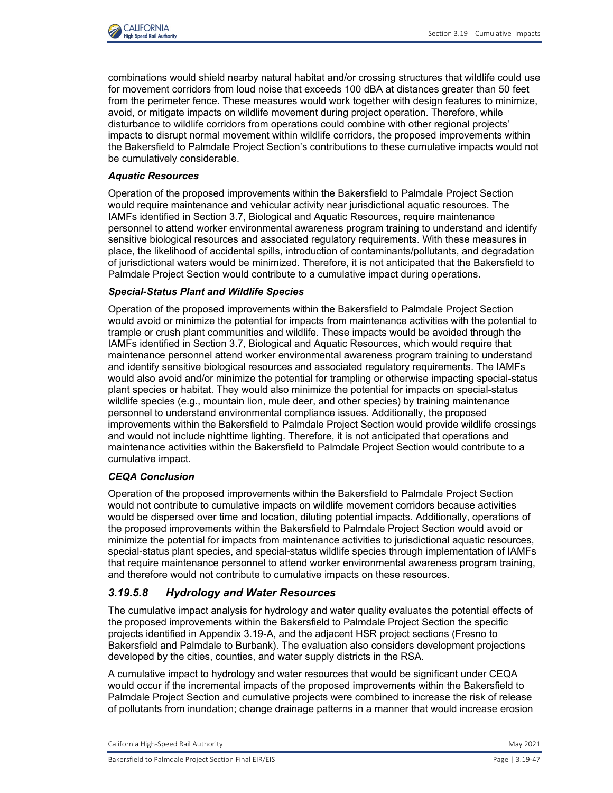

combinations would shield nearby natural habitat and/or crossing structures that wildlife could use for movement corridors from loud noise that exceeds 100 dBA at distances greater than 50 feet from the perimeter fence. These measures would work together with design features to minimize, avoid, or mitigate impacts on wildlife movement during project operation. Therefore, while disturbance to wildlife corridors from operations could combine with other regional projects' impacts to disrupt normal movement within wildlife corridors, the proposed improvements within the Bakersfield to Palmdale Project Section's contributions to these cumulative impacts would not be cumulatively considerable.

## *Aquatic Resources*

Operation of the proposed improvements within the Bakersfield to Palmdale Project Section would require maintenance and vehicular activity near jurisdictional aquatic resources. The IAMFs identified in Section 3.7, Biological and Aquatic Resources, require maintenance personnel to attend worker environmental awareness program training to understand and identify sensitive biological resources and associated regulatory requirements. With these measures in place, the likelihood of accidental spills, introduction of contaminants/pollutants, and degradation of jurisdictional waters would be minimized. Therefore, it is not anticipated that the Bakersfield to Palmdale Project Section would contribute to a cumulative impact during operations.

## *Special-Status Plant and Wildlife Species*

Operation of the proposed improvements within the Bakersfield to Palmdale Project Section would avoid or minimize the potential for impacts from maintenance activities with the potential to trample or crush plant communities and wildlife. These impacts would be avoided through the IAMFs identified in Section 3.7, Biological and Aquatic Resources, which would require that maintenance personnel attend worker environmental awareness program training to understand and identify sensitive biological resources and associated regulatory requirements. The IAMFs would also avoid and/or minimize the potential for trampling or otherwise impacting special-status plant species or habitat. They would also minimize the potential for impacts on special-status wildlife species (e.g., mountain lion, mule deer, and other species) by training maintenance personnel to understand environmental compliance issues. Additionally, the proposed improvements within the Bakersfield to Palmdale Project Section would provide wildlife crossings and would not include nighttime lighting. Therefore, it is not anticipated that operations and maintenance activities within the Bakersfield to Palmdale Project Section would contribute to a cumulative impact.

# *CEQA Conclusion*

Operation of the proposed improvements within the Bakersfield to Palmdale Project Section would not contribute to cumulative impacts on wildlife movement corridors because activities would be dispersed over time and location, diluting potential impacts. Additionally, operations of the proposed improvements within the Bakersfield to Palmdale Project Section would avoid or minimize the potential for impacts from maintenance activities to jurisdictional aquatic resources, special-status plant species, and special-status wildlife species through implementation of IAMFs that require maintenance personnel to attend worker environmental awareness program training, and therefore would not contribute to cumulative impacts on these resources.

# *3.19.5.8 Hydrology and Water Resources*

The cumulative impact analysis for hydrology and water quality evaluates the potential effects of the proposed improvements within the Bakersfield to Palmdale Project Section the specific projects identified in Appendix 3.19-A, and the adjacent HSR project sections (Fresno to Bakersfield and Palmdale to Burbank). The evaluation also considers development projections developed by the cities, counties, and water supply districts in the RSA.

A cumulative impact to hydrology and water resources that would be significant under CEQA would occur if the incremental impacts of the proposed improvements within the Bakersfield to Palmdale Project Section and cumulative projects were combined to increase the risk of release of pollutants from inundation; change drainage patterns in a manner that would increase erosion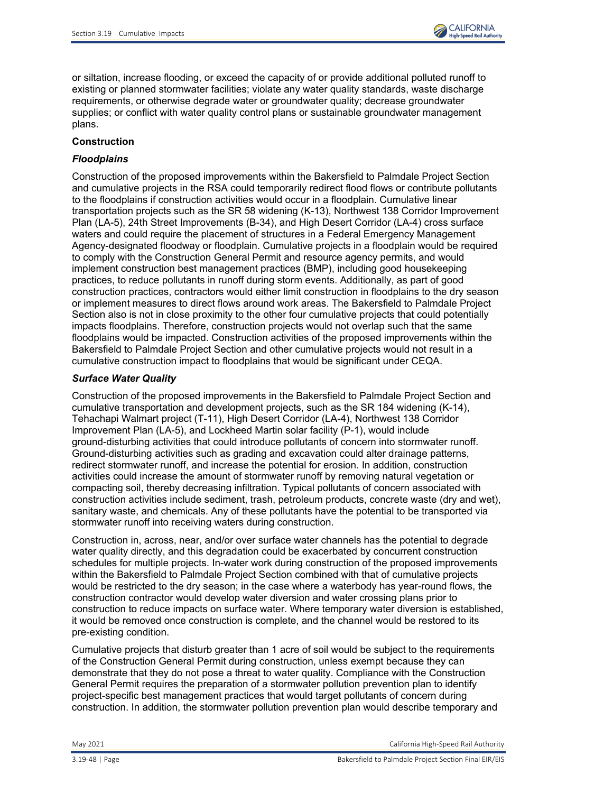

or siltation, increase flooding, or exceed the capacity of or provide additional polluted runoff to existing or planned stormwater facilities; violate any water quality standards, waste discharge requirements, or otherwise degrade water or groundwater quality; decrease groundwater supplies; or conflict with water quality control plans or sustainable groundwater management plans.

# **Construction**

# *Floodplains*

Construction of the proposed improvements within the Bakersfield to Palmdale Project Section and cumulative projects in the RSA could temporarily redirect flood flows or contribute pollutants to the floodplains if construction activities would occur in a floodplain. Cumulative linear transportation projects such as the SR 58 widening (K-13), Northwest 138 Corridor Improvement Plan (LA-5), 24th Street Improvements (B-34), and High Desert Corridor (LA-4) cross surface waters and could require the placement of structures in a Federal Emergency Management Agency-designated floodway or floodplain. Cumulative projects in a floodplain would be required to comply with the Construction General Permit and resource agency permits, and would implement construction best management practices (BMP), including good housekeeping practices, to reduce pollutants in runoff during storm events. Additionally, as part of good construction practices, contractors would either limit construction in floodplains to the dry season or implement measures to direct flows around work areas. The Bakersfield to Palmdale Project Section also is not in close proximity to the other four cumulative projects that could potentially impacts floodplains. Therefore, construction projects would not overlap such that the same floodplains would be impacted. Construction activities of the proposed improvements within the Bakersfield to Palmdale Project Section and other cumulative projects would not result in a cumulative construction impact to floodplains that would be significant under CEQA.

# *Surface Water Quality*

Construction of the proposed improvements in the Bakersfield to Palmdale Project Section and cumulative transportation and development projects, such as the SR 184 widening (K-14), Tehachapi Walmart project (T-11), High Desert Corridor (LA-4), Northwest 138 Corridor Improvement Plan (LA-5), and Lockheed Martin solar facility (P-1), would include ground-disturbing activities that could introduce pollutants of concern into stormwater runoff. Ground-disturbing activities such as grading and excavation could alter drainage patterns, redirect stormwater runoff, and increase the potential for erosion. In addition, construction activities could increase the amount of stormwater runoff by removing natural vegetation or compacting soil, thereby decreasing infiltration. Typical pollutants of concern associated with construction activities include sediment, trash, petroleum products, concrete waste (dry and wet), sanitary waste, and chemicals. Any of these pollutants have the potential to be transported via stormwater runoff into receiving waters during construction.

Construction in, across, near, and/or over surface water channels has the potential to degrade water quality directly, and this degradation could be exacerbated by concurrent construction schedules for multiple projects. In-water work during construction of the proposed improvements within the Bakersfield to Palmdale Project Section combined with that of cumulative projects would be restricted to the dry season; in the case where a waterbody has year-round flows, the construction contractor would develop water diversion and water crossing plans prior to construction to reduce impacts on surface water. Where temporary water diversion is established, it would be removed once construction is complete, and the channel would be restored to its pre-existing condition.

Cumulative projects that disturb greater than 1 acre of soil would be subject to the requirements of the Construction General Permit during construction, unless exempt because they can demonstrate that they do not pose a threat to water quality. Compliance with the Construction General Permit requires the preparation of a stormwater pollution prevention plan to identify project-specific best management practices that would target pollutants of concern during construction. In addition, the stormwater pollution prevention plan would describe temporary and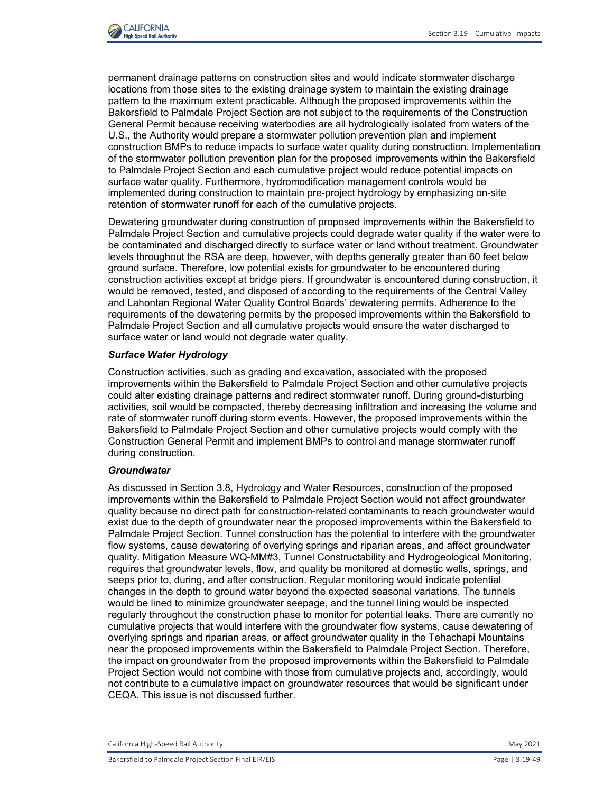

permanent drainage patterns on construction sites and would indicate stormwater discharge locations from those sites to the existing drainage system to maintain the existing drainage pattern to the maximum extent practicable. Although the proposed improvements within the Bakersfield to Palmdale Project Section are not subject to the requirements of the Construction General Permit because receiving waterbodies are all hydrologically isolated from waters of the U.S., the Authority would prepare a stormwater pollution prevention plan and implement construction BMPs to reduce impacts to surface water quality during construction. Implementation of the stormwater pollution prevention plan for the proposed improvements within the Bakersfield to Palmdale Project Section and each cumulative project would reduce potential impacts on surface water quality. Furthermore, hydromodification management controls would be implemented during construction to maintain pre-project hydrology by emphasizing on-site retention of stormwater runoff for each of the cumulative projects.

Dewatering groundwater during construction of proposed improvements within the Bakersfield to Palmdale Project Section and cumulative projects could degrade water quality if the water were to be contaminated and discharged directly to surface water or land without treatment. Groundwater levels throughout the RSA are deep, however, with depths generally greater than 60 feet below ground surface. Therefore, low potential exists for groundwater to be encountered during construction activities except at bridge piers. If groundwater is encountered during construction, it would be removed, tested, and disposed of according to the requirements of the Central Valley and Lahontan Regional Water Quality Control Boards' dewatering permits. Adherence to the requirements of the dewatering permits by the proposed improvements within the Bakersfield to Palmdale Project Section and all cumulative projects would ensure the water discharged to surface water or land would not degrade water quality.

### *Surface Water Hydrology*

Construction activities, such as grading and excavation, associated with the proposed improvements within the Bakersfield to Palmdale Project Section and other cumulative projects could alter existing drainage patterns and redirect stormwater runoff. During ground-disturbing activities, soil would be compacted, thereby decreasing infiltration and increasing the volume and rate of stormwater runoff during storm events. However, the proposed improvements within the Bakersfield to Palmdale Project Section and other cumulative projects would comply with the Construction General Permit and implement BMPs to control and manage stormwater runoff during construction.

#### *Groundwater*

As discussed in Section 3.8, Hydrology and Water Resources, construction of the proposed improvements within the Bakersfield to Palmdale Project Section would not affect groundwater quality because no direct path for construction-related contaminants to reach groundwater would exist due to the depth of groundwater near the proposed improvements within the Bakersfield to Palmdale Project Section. Tunnel construction has the potential to interfere with the groundwater flow systems, cause dewatering of overlying springs and riparian areas, and affect groundwater quality. Mitigation Measure WQ-MM#3, Tunnel Constructability and Hydrogeological Monitoring, requires that groundwater levels, flow, and quality be monitored at domestic wells, springs, and seeps prior to, during, and after construction. Regular monitoring would indicate potential changes in the depth to ground water beyond the expected seasonal variations. The tunnels would be lined to minimize groundwater seepage, and the tunnel lining would be inspected regularly throughout the construction phase to monitor for potential leaks. There are currently no cumulative projects that would interfere with the groundwater flow systems, cause dewatering of overlying springs and riparian areas, or affect groundwater quality in the Tehachapi Mountains near the proposed improvements within the Bakersfield to Palmdale Project Section. Therefore, the impact on groundwater from the proposed improvements within the Bakersfield to Palmdale Project Section would not combine with those from cumulative projects and, accordingly, would not contribute to a cumulative impact on groundwater resources that would be significant under CEQA. This issue is not discussed further.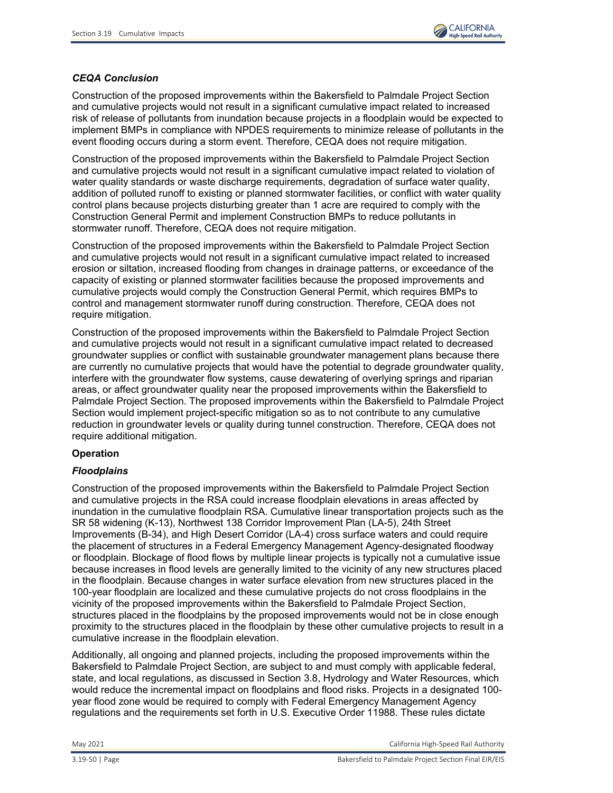

## *CEQA Conclusion*

Construction of the proposed improvements within the Bakersfield to Palmdale Project Section and cumulative projects would not result in a significant cumulative impact related to increased risk of release of pollutants from inundation because projects in a floodplain would be expected to implement BMPs in compliance with NPDES requirements to minimize release of pollutants in the event flooding occurs during a storm event. Therefore, CEQA does not require mitigation.

Construction of the proposed improvements within the Bakersfield to Palmdale Project Section and cumulative projects would not result in a significant cumulative impact related to violation of water quality standards or waste discharge requirements, degradation of surface water quality, addition of polluted runoff to existing or planned stormwater facilities, or conflict with water quality control plans because projects disturbing greater than 1 acre are required to comply with the Construction General Permit and implement Construction BMPs to reduce pollutants in stormwater runoff. Therefore, CEQA does not require mitigation.

Construction of the proposed improvements within the Bakersfield to Palmdale Project Section and cumulative projects would not result in a significant cumulative impact related to increased erosion or siltation, increased flooding from changes in drainage patterns, or exceedance of the capacity of existing or planned stormwater facilities because the proposed improvements and cumulative projects would comply the Construction General Permit, which requires BMPs to control and management stormwater runoff during construction. Therefore, CEQA does not require mitigation.

Construction of the proposed improvements within the Bakersfield to Palmdale Project Section and cumulative projects would not result in a significant cumulative impact related to decreased groundwater supplies or conflict with sustainable groundwater management plans because there are currently no cumulative projects that would have the potential to degrade groundwater quality, interfere with the groundwater flow systems, cause dewatering of overlying springs and riparian areas, or affect groundwater quality near the proposed improvements within the Bakersfield to Palmdale Project Section. The proposed improvements within the Bakersfield to Palmdale Project Section would implement project-specific mitigation so as to not contribute to any cumulative reduction in groundwater levels or quality during tunnel construction. Therefore, CEQA does not require additional mitigation.

## **Operation**

## *Floodplains*

Construction of the proposed improvements within the Bakersfield to Palmdale Project Section and cumulative projects in the RSA could increase floodplain elevations in areas affected by inundation in the cumulative floodplain RSA. Cumulative linear transportation projects such as the SR 58 widening (K-13), Northwest 138 Corridor Improvement Plan (LA-5), 24th Street Improvements (B-34), and High Desert Corridor (LA-4) cross surface waters and could require the placement of structures in a Federal Emergency Management Agency-designated floodway or floodplain. Blockage of flood flows by multiple linear projects is typically not a cumulative issue because increases in flood levels are generally limited to the vicinity of any new structures placed in the floodplain. Because changes in water surface elevation from new structures placed in the 100-year floodplain are localized and these cumulative projects do not cross floodplains in the vicinity of the proposed improvements within the Bakersfield to Palmdale Project Section, structures placed in the floodplains by the proposed improvements would not be in close enough proximity to the structures placed in the floodplain by these other cumulative projects to result in a cumulative increase in the floodplain elevation.

Additionally, all ongoing and planned projects, including the proposed improvements within the Bakersfield to Palmdale Project Section, are subject to and must comply with applicable federal, state, and local regulations, as discussed in Section 3.8, Hydrology and Water Resources, which would reduce the incremental impact on floodplains and flood risks. Projects in a designated 100 year flood zone would be required to comply with Federal Emergency Management Agency regulations and the requirements set forth in U.S. Executive Order 11988. These rules dictate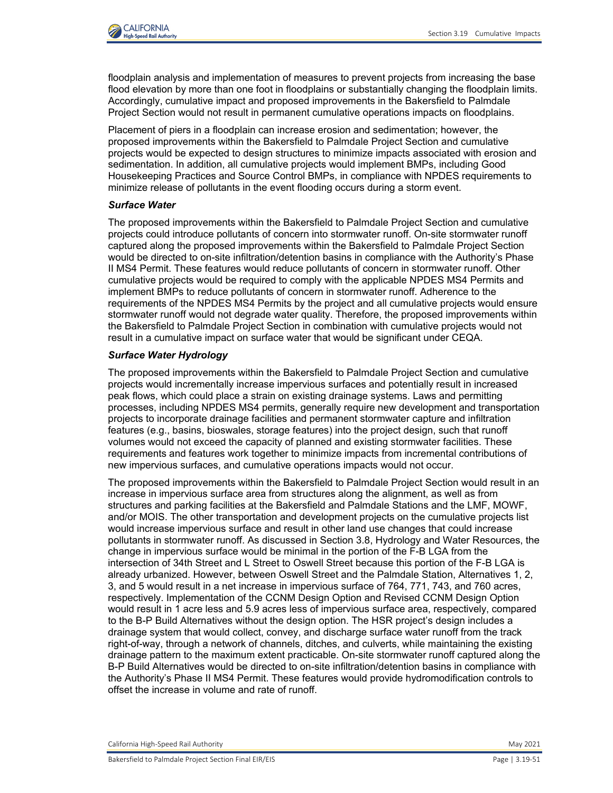

floodplain analysis and implementation of measures to prevent projects from increasing the base flood elevation by more than one foot in floodplains or substantially changing the floodplain limits. Accordingly, cumulative impact and proposed improvements in the Bakersfield to Palmdale Project Section would not result in permanent cumulative operations impacts on floodplains.

Placement of piers in a floodplain can increase erosion and sedimentation; however, the proposed improvements within the Bakersfield to Palmdale Project Section and cumulative projects would be expected to design structures to minimize impacts associated with erosion and sedimentation. In addition, all cumulative projects would implement BMPs, including Good Housekeeping Practices and Source Control BMPs, in compliance with NPDES requirements to minimize release of pollutants in the event flooding occurs during a storm event.

### *Surface Water*

The proposed improvements within the Bakersfield to Palmdale Project Section and cumulative projects could introduce pollutants of concern into stormwater runoff. On-site stormwater runoff captured along the proposed improvements within the Bakersfield to Palmdale Project Section would be directed to on-site infiltration/detention basins in compliance with the Authority's Phase II MS4 Permit. These features would reduce pollutants of concern in stormwater runoff. Other cumulative projects would be required to comply with the applicable NPDES MS4 Permits and implement BMPs to reduce pollutants of concern in stormwater runoff. Adherence to the requirements of the NPDES MS4 Permits by the project and all cumulative projects would ensure stormwater runoff would not degrade water quality. Therefore, the proposed improvements within the Bakersfield to Palmdale Project Section in combination with cumulative projects would not result in a cumulative impact on surface water that would be significant under CEQA.

## *Surface Water Hydrology*

The proposed improvements within the Bakersfield to Palmdale Project Section and cumulative projects would incrementally increase impervious surfaces and potentially result in increased peak flows, which could place a strain on existing drainage systems. Laws and permitting processes, including NPDES MS4 permits, generally require new development and transportation projects to incorporate drainage facilities and permanent stormwater capture and infiltration features (e.g., basins, bioswales, storage features) into the project design, such that runoff volumes would not exceed the capacity of planned and existing stormwater facilities. These requirements and features work together to minimize impacts from incremental contributions of new impervious surfaces, and cumulative operations impacts would not occur.

The proposed improvements within the Bakersfield to Palmdale Project Section would result in an increase in impervious surface area from structures along the alignment, as well as from structures and parking facilities at the Bakersfield and Palmdale Stations and the LMF, MOWF, and/or MOIS. The other transportation and development projects on the cumulative projects list would increase impervious surface and result in other land use changes that could increase pollutants in stormwater runoff. As discussed in Section 3.8, Hydrology and Water Resources, the change in impervious surface would be minimal in the portion of the F-B LGA from the intersection of 34th Street and L Street to Oswell Street because this portion of the F-B LGA is already urbanized. However, between Oswell Street and the Palmdale Station, Alternatives 1, 2, 3, and 5 would result in a net increase in impervious surface of 764, 771, 743, and 760 acres, respectively. Implementation of the CCNM Design Option and Revised CCNM Design Option would result in 1 acre less and 5.9 acres less of impervious surface area, respectively, compared to the B-P Build Alternatives without the design option. The HSR project's design includes a drainage system that would collect, convey, and discharge surface water runoff from the track right-of-way, through a network of channels, ditches, and culverts, while maintaining the existing drainage pattern to the maximum extent practicable. On-site stormwater runoff captured along the B-P Build Alternatives would be directed to on-site infiltration/detention basins in compliance with the Authority's Phase II MS4 Permit. These features would provide hydromodification controls to offset the increase in volume and rate of runoff.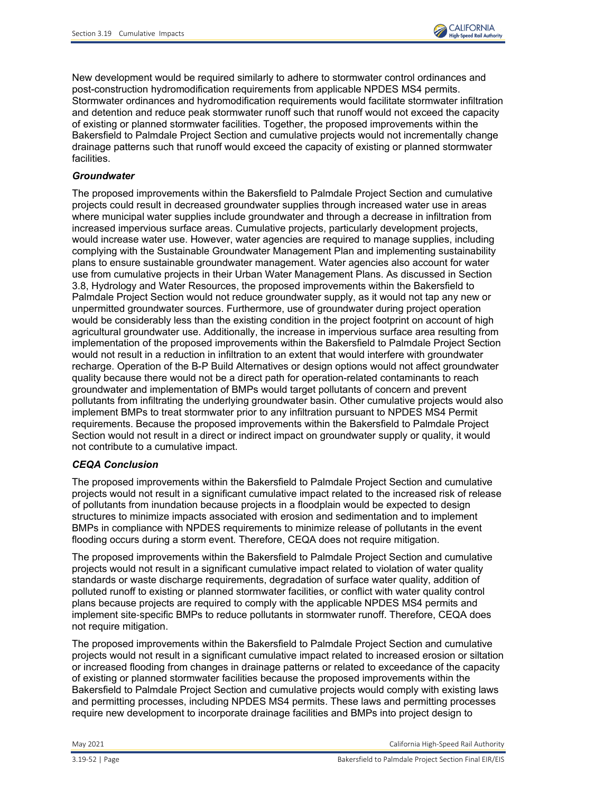

New development would be required similarly to adhere to stormwater control ordinances and post-construction hydromodification requirements from applicable NPDES MS4 permits. Stormwater ordinances and hydromodification requirements would facilitate stormwater infiltration and detention and reduce peak stormwater runoff such that runoff would not exceed the capacity of existing or planned stormwater facilities. Together, the proposed improvements within the Bakersfield to Palmdale Project Section and cumulative projects would not incrementally change drainage patterns such that runoff would exceed the capacity of existing or planned stormwater facilities.

## *Groundwater*

The proposed improvements within the Bakersfield to Palmdale Project Section and cumulative projects could result in decreased groundwater supplies through increased water use in areas where municipal water supplies include groundwater and through a decrease in infiltration from increased impervious surface areas. Cumulative projects, particularly development projects, would increase water use. However, water agencies are required to manage supplies, including complying with the Sustainable Groundwater Management Plan and implementing sustainability plans to ensure sustainable groundwater management. Water agencies also account for water use from cumulative projects in their Urban Water Management Plans. As discussed in Section 3.8, Hydrology and Water Resources, the proposed improvements within the Bakersfield to Palmdale Project Section would not reduce groundwater supply, as it would not tap any new or unpermitted groundwater sources. Furthermore, use of groundwater during project operation would be considerably less than the existing condition in the project footprint on account of high agricultural groundwater use. Additionally, the increase in impervious surface area resulting from implementation of the proposed improvements within the Bakersfield to Palmdale Project Section would not result in a reduction in infiltration to an extent that would interfere with groundwater recharge. Operation of the B-P Build Alternatives or design options would not affect groundwater quality because there would not be a direct path for operation-related contaminants to reach groundwater and implementation of BMPs would target pollutants of concern and prevent pollutants from infiltrating the underlying groundwater basin. Other cumulative projects would also implement BMPs to treat stormwater prior to any infiltration pursuant to NPDES MS4 Permit requirements. Because the proposed improvements within the Bakersfield to Palmdale Project Section would not result in a direct or indirect impact on groundwater supply or quality, it would not contribute to a cumulative impact.

## *CEQA Conclusion*

The proposed improvements within the Bakersfield to Palmdale Project Section and cumulative projects would not result in a significant cumulative impact related to the increased risk of release of pollutants from inundation because projects in a floodplain would be expected to design structures to minimize impacts associated with erosion and sedimentation and to implement BMPs in compliance with NPDES requirements to minimize release of pollutants in the event flooding occurs during a storm event. Therefore, CEQA does not require mitigation.

The proposed improvements within the Bakersfield to Palmdale Project Section and cumulative projects would not result in a significant cumulative impact related to violation of water quality standards or waste discharge requirements, degradation of surface water quality, addition of polluted runoff to existing or planned stormwater facilities, or conflict with water quality control plans because projects are required to comply with the applicable NPDES MS4 permits and implement site‐specific BMPs to reduce pollutants in stormwater runoff. Therefore, CEQA does not require mitigation.

The proposed improvements within the Bakersfield to Palmdale Project Section and cumulative projects would not result in a significant cumulative impact related to increased erosion or siltation or increased flooding from changes in drainage patterns or related to exceedance of the capacity of existing or planned stormwater facilities because the proposed improvements within the Bakersfield to Palmdale Project Section and cumulative projects would comply with existing laws and permitting processes, including NPDES MS4 permits. These laws and permitting processes require new development to incorporate drainage facilities and BMPs into project design to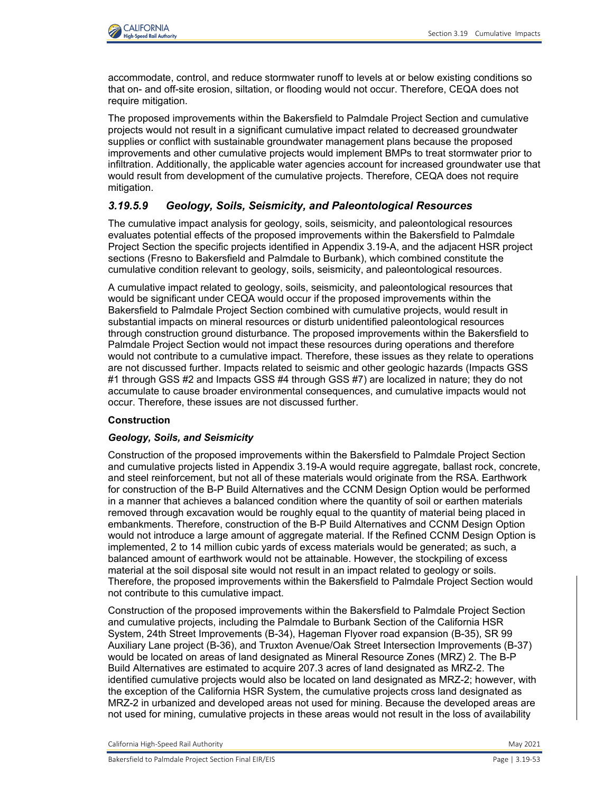accommodate, control, and reduce stormwater runoff to levels at or below existing conditions so that on- and off-site erosion, siltation, or flooding would not occur. Therefore, CEQA does not require mitigation.

The proposed improvements within the Bakersfield to Palmdale Project Section and cumulative projects would not result in a significant cumulative impact related to decreased groundwater supplies or conflict with sustainable groundwater management plans because the proposed improvements and other cumulative projects would implement BMPs to treat stormwater prior to infiltration. Additionally, the applicable water agencies account for increased groundwater use that would result from development of the cumulative projects. Therefore, CEQA does not require mitigation.

# *3.19.5.9 Geology, Soils, Seismicity, and Paleontological Resources*

The cumulative impact analysis for geology, soils, seismicity, and paleontological resources evaluates potential effects of the proposed improvements within the Bakersfield to Palmdale Project Section the specific projects identified in Appendix 3.19-A, and the adjacent HSR project sections (Fresno to Bakersfield and Palmdale to Burbank), which combined constitute the cumulative condition relevant to geology, soils, seismicity, and paleontological resources.

A cumulative impact related to geology, soils, seismicity, and paleontological resources that would be significant under CEQA would occur if the proposed improvements within the Bakersfield to Palmdale Project Section combined with cumulative projects, would result in substantial impacts on mineral resources or disturb unidentified paleontological resources through construction ground disturbance. The proposed improvements within the Bakersfield to Palmdale Project Section would not impact these resources during operations and therefore would not contribute to a cumulative impact. Therefore, these issues as they relate to operations are not discussed further. Impacts related to seismic and other geologic hazards (Impacts GSS #1 through GSS #2 and Impacts GSS #4 through GSS #7) are localized in nature; they do not accumulate to cause broader environmental consequences, and cumulative impacts would not occur. Therefore, these issues are not discussed further.

# **Construction**

# *Geology, Soils, and Seismicity*

Construction of the proposed improvements within the Bakersfield to Palmdale Project Section and cumulative projects listed in Appendix 3.19-A would require aggregate, ballast rock, concrete, and steel reinforcement, but not all of these materials would originate from the RSA. Earthwork for construction of the B-P Build Alternatives and the CCNM Design Option would be performed in a manner that achieves a balanced condition where the quantity of soil or earthen materials removed through excavation would be roughly equal to the quantity of material being placed in embankments. Therefore, construction of the B-P Build Alternatives and CCNM Design Option would not introduce a large amount of aggregate material. If the Refined CCNM Design Option is implemented, 2 to 14 million cubic yards of excess materials would be generated; as such, a balanced amount of earthwork would not be attainable. However, the stockpiling of excess material at the soil disposal site would not result in an impact related to geology or soils. Therefore, the proposed improvements within the Bakersfield to Palmdale Project Section would not contribute to this cumulative impact.

Construction of the proposed improvements within the Bakersfield to Palmdale Project Section and cumulative projects, including the Palmdale to Burbank Section of the California HSR System, 24th Street Improvements (B-34), Hageman Flyover road expansion (B-35), SR 99 Auxiliary Lane project (B-36), and Truxton Avenue/Oak Street Intersection Improvements (B-37) would be located on areas of land designated as Mineral Resource Zones (MRZ) 2. The B-P Build Alternatives are estimated to acquire 207.3 acres of land designated as MRZ-2. The identified cumulative projects would also be located on land designated as MRZ-2; however, with the exception of the California HSR System, the cumulative projects cross land designated as MRZ-2 in urbanized and developed areas not used for mining. Because the developed areas are not used for mining, cumulative projects in these areas would not result in the loss of availability

California High-Speed Rail Authority May 2021 and Separate School and School and School and School and School and School and School and School and School and School and School and School and School and School and School an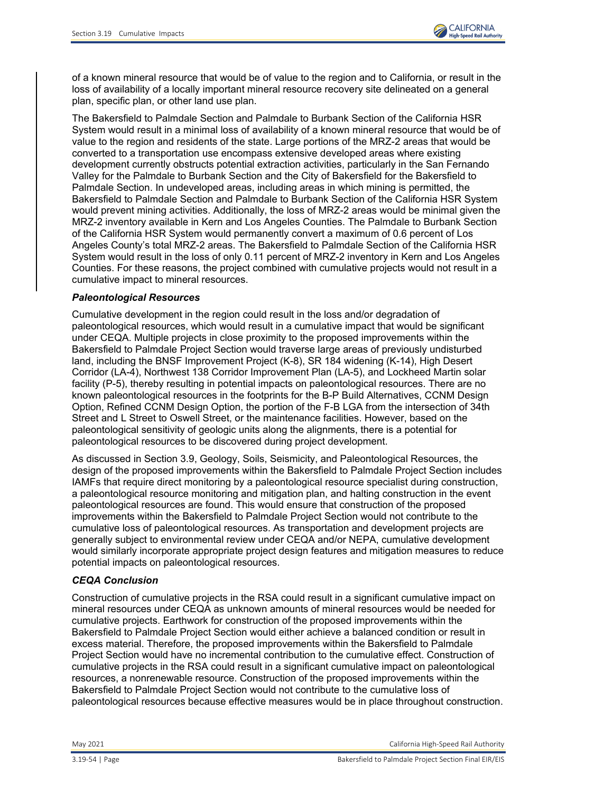

of a known mineral resource that would be of value to the region and to California, or result in the loss of availability of a locally important mineral resource recovery site delineated on a general plan, specific plan, or other land use plan.

The Bakersfield to Palmdale Section and Palmdale to Burbank Section of the California HSR System would result in a minimal loss of availability of a known mineral resource that would be of value to the region and residents of the state. Large portions of the MRZ-2 areas that would be converted to a transportation use encompass extensive developed areas where existing development currently obstructs potential extraction activities, particularly in the San Fernando Valley for the Palmdale to Burbank Section and the City of Bakersfield for the Bakersfield to Palmdale Section. In undeveloped areas, including areas in which mining is permitted, the Bakersfield to Palmdale Section and Palmdale to Burbank Section of the California HSR System would prevent mining activities. Additionally, the loss of MRZ-2 areas would be minimal given the MRZ-2 inventory available in Kern and Los Angeles Counties. The Palmdale to Burbank Section of the California HSR System would permanently convert a maximum of 0.6 percent of Los Angeles County's total MRZ-2 areas. The Bakersfield to Palmdale Section of the California HSR System would result in the loss of only 0.11 percent of MRZ-2 inventory in Kern and Los Angeles Counties. For these reasons, the project combined with cumulative projects would not result in a cumulative impact to mineral resources.

### *Paleontological Resources*

Cumulative development in the region could result in the loss and/or degradation of paleontological resources, which would result in a cumulative impact that would be significant under CEQA. Multiple projects in close proximity to the proposed improvements within the Bakersfield to Palmdale Project Section would traverse large areas of previously undisturbed land, including the BNSF Improvement Project (K-8), SR 184 widening (K-14), High Desert Corridor (LA-4), Northwest 138 Corridor Improvement Plan (LA-5), and Lockheed Martin solar facility (P-5), thereby resulting in potential impacts on paleontological resources. There are no known paleontological resources in the footprints for the B-P Build Alternatives, CCNM Design Option, Refined CCNM Design Option, the portion of the F-B LGA from the intersection of 34th Street and L Street to Oswell Street, or the maintenance facilities. However, based on the paleontological sensitivity of geologic units along the alignments, there is a potential for paleontological resources to be discovered during project development.

As discussed in Section 3.9, Geology, Soils, Seismicity, and Paleontological Resources, the design of the proposed improvements within the Bakersfield to Palmdale Project Section includes IAMFs that require direct monitoring by a paleontological resource specialist during construction, a paleontological resource monitoring and mitigation plan, and halting construction in the event paleontological resources are found. This would ensure that construction of the proposed improvements within the Bakersfield to Palmdale Project Section would not contribute to the cumulative loss of paleontological resources. As transportation and development projects are generally subject to environmental review under CEQA and/or NEPA, cumulative development would similarly incorporate appropriate project design features and mitigation measures to reduce potential impacts on paleontological resources.

## *CEQA Conclusion*

Construction of cumulative projects in the RSA could result in a significant cumulative impact on mineral resources under CEQA as unknown amounts of mineral resources would be needed for cumulative projects. Earthwork for construction of the proposed improvements within the Bakersfield to Palmdale Project Section would either achieve a balanced condition or result in excess material. Therefore, the proposed improvements within the Bakersfield to Palmdale Project Section would have no incremental contribution to the cumulative effect. Construction of cumulative projects in the RSA could result in a significant cumulative impact on paleontological resources, a nonrenewable resource. Construction of the proposed improvements within the Bakersfield to Palmdale Project Section would not contribute to the cumulative loss of paleontological resources because effective measures would be in place throughout construction.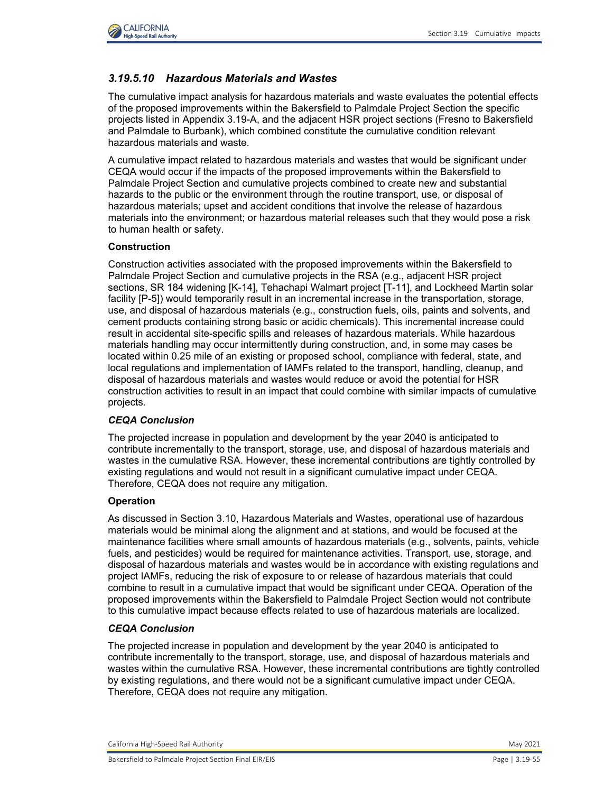

# *3.19.5.10 Hazardous Materials and Wastes*

The cumulative impact analysis for hazardous materials and waste evaluates the potential effects of the proposed improvements within the Bakersfield to Palmdale Project Section the specific projects listed in Appendix 3.19-A, and the adjacent HSR project sections (Fresno to Bakersfield and Palmdale to Burbank), which combined constitute the cumulative condition relevant hazardous materials and waste.

A cumulative impact related to hazardous materials and wastes that would be significant under CEQA would occur if the impacts of the proposed improvements within the Bakersfield to Palmdale Project Section and cumulative projects combined to create new and substantial hazards to the public or the environment through the routine transport, use, or disposal of hazardous materials; upset and accident conditions that involve the release of hazardous materials into the environment; or hazardous material releases such that they would pose a risk to human health or safety.

### **Construction**

Construction activities associated with the proposed improvements within the Bakersfield to Palmdale Project Section and cumulative projects in the RSA (e.g., adjacent HSR project sections, SR 184 widening [K-14], Tehachapi Walmart project [T-11], and Lockheed Martin solar facility [P-5]) would temporarily result in an incremental increase in the transportation, storage, use, and disposal of hazardous materials (e.g., construction fuels, oils, paints and solvents, and cement products containing strong basic or acidic chemicals). This incremental increase could result in accidental site-specific spills and releases of hazardous materials. While hazardous materials handling may occur intermittently during construction, and, in some may cases be located within 0.25 mile of an existing or proposed school, compliance with federal, state, and local regulations and implementation of IAMFs related to the transport, handling, cleanup, and disposal of hazardous materials and wastes would reduce or avoid the potential for HSR construction activities to result in an impact that could combine with similar impacts of cumulative projects.

## *CEQA Conclusion*

The projected increase in population and development by the year 2040 is anticipated to contribute incrementally to the transport, storage, use, and disposal of hazardous materials and wastes in the cumulative RSA. However, these incremental contributions are tightly controlled by existing regulations and would not result in a significant cumulative impact under CEQA. Therefore, CEQA does not require any mitigation.

#### **Operation**

As discussed in Section 3.10, Hazardous Materials and Wastes, operational use of hazardous materials would be minimal along the alignment and at stations, and would be focused at the maintenance facilities where small amounts of hazardous materials (e.g., solvents, paints, vehicle fuels, and pesticides) would be required for maintenance activities. Transport, use, storage, and disposal of hazardous materials and wastes would be in accordance with existing regulations and project IAMFs, reducing the risk of exposure to or release of hazardous materials that could combine to result in a cumulative impact that would be significant under CEQA. Operation of the proposed improvements within the Bakersfield to Palmdale Project Section would not contribute to this cumulative impact because effects related to use of hazardous materials are localized.

## *CEQA Conclusion*

The projected increase in population and development by the year 2040 is anticipated to contribute incrementally to the transport, storage, use, and disposal of hazardous materials and wastes within the cumulative RSA. However, these incremental contributions are tightly controlled by existing regulations, and there would not be a significant cumulative impact under CEQA. Therefore, CEQA does not require any mitigation.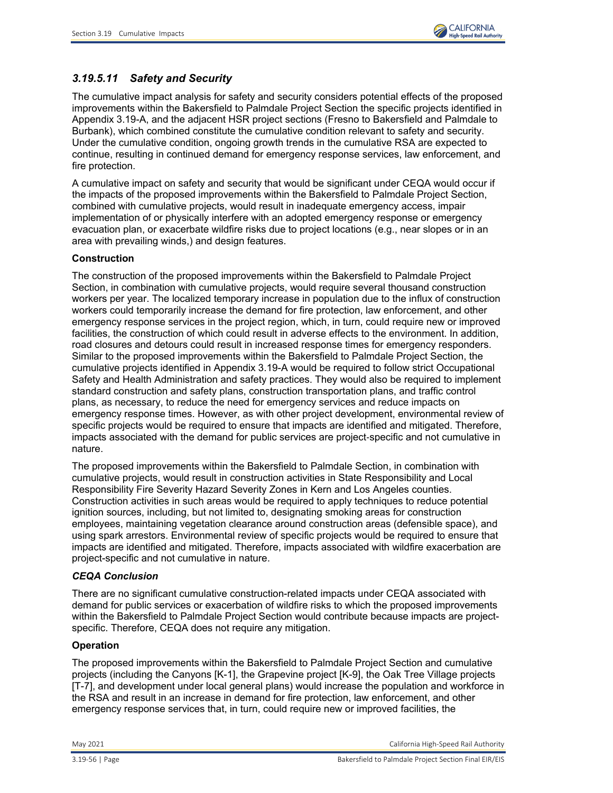

# *3.19.5.11 Safety and Security*

The cumulative impact analysis for safety and security considers potential effects of the proposed improvements within the Bakersfield to Palmdale Project Section the specific projects identified in Appendix 3.19-A, and the adjacent HSR project sections (Fresno to Bakersfield and Palmdale to Burbank), which combined constitute the cumulative condition relevant to safety and security. Under the cumulative condition, ongoing growth trends in the cumulative RSA are expected to continue, resulting in continued demand for emergency response services, law enforcement, and fire protection.

A cumulative impact on safety and security that would be significant under CEQA would occur if the impacts of the proposed improvements within the Bakersfield to Palmdale Project Section, combined with cumulative projects, would result in inadequate emergency access, impair implementation of or physically interfere with an adopted emergency response or emergency evacuation plan, or exacerbate wildfire risks due to project locations (e.g., near slopes or in an area with prevailing winds,) and design features.

## **Construction**

The construction of the proposed improvements within the Bakersfield to Palmdale Project Section, in combination with cumulative projects, would require several thousand construction workers per year. The localized temporary increase in population due to the influx of construction workers could temporarily increase the demand for fire protection, law enforcement, and other emergency response services in the project region, which, in turn, could require new or improved facilities, the construction of which could result in adverse effects to the environment. In addition, road closures and detours could result in increased response times for emergency responders. Similar to the proposed improvements within the Bakersfield to Palmdale Project Section, the cumulative projects identified in Appendix 3.19-A would be required to follow strict Occupational Safety and Health Administration and safety practices. They would also be required to implement standard construction and safety plans, construction transportation plans, and traffic control plans, as necessary, to reduce the need for emergency services and reduce impacts on emergency response times. However, as with other project development, environmental review of specific projects would be required to ensure that impacts are identified and mitigated. Therefore, impacts associated with the demand for public services are project-specific and not cumulative in nature.

The proposed improvements within the Bakersfield to Palmdale Section, in combination with cumulative projects, would result in construction activities in State Responsibility and Local Responsibility Fire Severity Hazard Severity Zones in Kern and Los Angeles counties. Construction activities in such areas would be required to apply techniques to reduce potential ignition sources, including, but not limited to, designating smoking areas for construction employees, maintaining vegetation clearance around construction areas (defensible space), and using spark arrestors. Environmental review of specific projects would be required to ensure that impacts are identified and mitigated. Therefore, impacts associated with wildfire exacerbation are project-specific and not cumulative in nature.

## *CEQA Conclusion*

There are no significant cumulative construction-related impacts under CEQA associated with demand for public services or exacerbation of wildfire risks to which the proposed improvements within the Bakersfield to Palmdale Project Section would contribute because impacts are projectspecific. Therefore, CEQA does not require any mitigation.

## **Operation**

The proposed improvements within the Bakersfield to Palmdale Project Section and cumulative projects (including the Canyons [K-1], the Grapevine project [K-9], the Oak Tree Village projects [T-7], and development under local general plans) would increase the population and workforce in the RSA and result in an increase in demand for fire protection, law enforcement, and other emergency response services that, in turn, could require new or improved facilities, the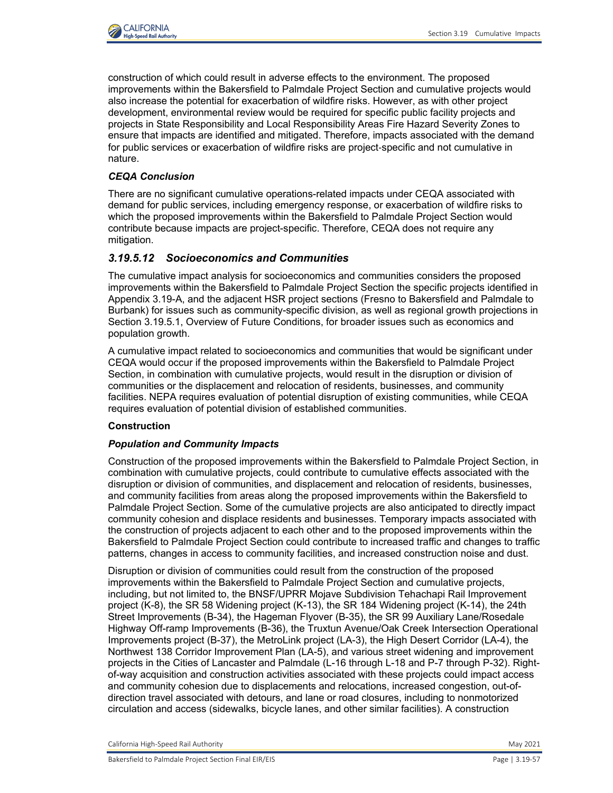

construction of which could result in adverse effects to the environment. The proposed improvements within the Bakersfield to Palmdale Project Section and cumulative projects would also increase the potential for exacerbation of wildfire risks. However, as with other project development, environmental review would be required for specific public facility projects and projects in State Responsibility and Local Responsibility Areas Fire Hazard Severity Zones to ensure that impacts are identified and mitigated. Therefore, impacts associated with the demand for public services or exacerbation of wildfire risks are project-specific and not cumulative in nature.

# *CEQA Conclusion*

There are no significant cumulative operations-related impacts under CEQA associated with demand for public services, including emergency response, or exacerbation of wildfire risks to which the proposed improvements within the Bakersfield to Palmdale Project Section would contribute because impacts are project-specific. Therefore, CEQA does not require any mitigation.

## *3.19.5.12 Socioeconomics and Communities*

The cumulative impact analysis for socioeconomics and communities considers the proposed improvements within the Bakersfield to Palmdale Project Section the specific projects identified in Appendix 3.19-A, and the adjacent HSR project sections (Fresno to Bakersfield and Palmdale to Burbank) for issues such as community-specific division, as well as regional growth projections in Section [3.19.5.1, Overview of Future Conditions,](#page-26-0) for broader issues such as economics and population growth.

A cumulative impact related to socioeconomics and communities that would be significant under CEQA would occur if the proposed improvements within the Bakersfield to Palmdale Project Section, in combination with cumulative projects, would result in the disruption or division of communities or the displacement and relocation of residents, businesses, and community facilities. NEPA requires evaluation of potential disruption of existing communities, while CEQA requires evaluation of potential division of established communities.

## **Construction**

## *Population and Community Impacts*

Construction of the proposed improvements within the Bakersfield to Palmdale Project Section, in combination with cumulative projects, could contribute to cumulative effects associated with the disruption or division of communities, and displacement and relocation of residents, businesses, and community facilities from areas along the proposed improvements within the Bakersfield to Palmdale Project Section. Some of the cumulative projects are also anticipated to directly impact community cohesion and displace residents and businesses. Temporary impacts associated with the construction of projects adjacent to each other and to the proposed improvements within the Bakersfield to Palmdale Project Section could contribute to increased traffic and changes to traffic patterns, changes in access to community facilities, and increased construction noise and dust.

Disruption or division of communities could result from the construction of the proposed improvements within the Bakersfield to Palmdale Project Section and cumulative projects, including, but not limited to, the BNSF/UPRR Mojave Subdivision Tehachapi Rail Improvement project (K-8), the SR 58 Widening project (K-13), the SR 184 Widening project (K-14), the 24th Street Improvements (B-34), the Hageman Flyover (B-35), the SR 99 Auxiliary Lane/Rosedale Highway Off-ramp Improvements (B-36), the Truxtun Avenue/Oak Creek Intersection Operational Improvements project (B-37), the MetroLink project (LA-3), the High Desert Corridor (LA-4), the Northwest 138 Corridor Improvement Plan (LA-5), and various street widening and improvement projects in the Cities of Lancaster and Palmdale (L-16 through L-18 and P-7 through P-32). Rightof-way acquisition and construction activities associated with these projects could impact access and community cohesion due to displacements and relocations, increased congestion, out-ofdirection travel associated with detours, and lane or road closures, including to nonmotorized circulation and access (sidewalks, bicycle lanes, and other similar facilities). A construction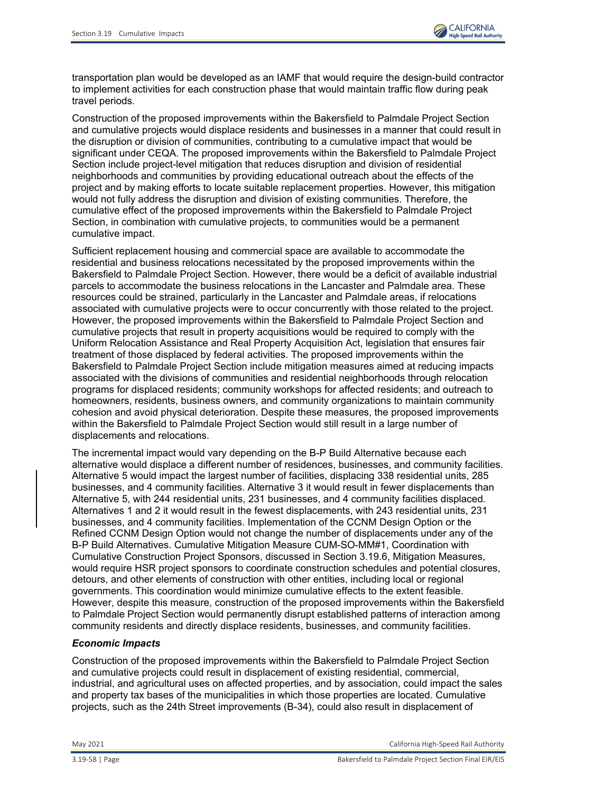

transportation plan would be developed as an IAMF that would require the design-build contractor to implement activities for each construction phase that would maintain traffic flow during peak travel periods.

Construction of the proposed improvements within the Bakersfield to Palmdale Project Section and cumulative projects would displace residents and businesses in a manner that could result in the disruption or division of communities, contributing to a cumulative impact that would be significant under CEQA. The proposed improvements within the Bakersfield to Palmdale Project Section include project-level mitigation that reduces disruption and division of residential neighborhoods and communities by providing educational outreach about the effects of the project and by making efforts to locate suitable replacement properties. However, this mitigation would not fully address the disruption and division of existing communities. Therefore, the cumulative effect of the proposed improvements within the Bakersfield to Palmdale Project Section, in combination with cumulative projects, to communities would be a permanent cumulative impact.

Sufficient replacement housing and commercial space are available to accommodate the residential and business relocations necessitated by the proposed improvements within the Bakersfield to Palmdale Project Section. However, there would be a deficit of available industrial parcels to accommodate the business relocations in the Lancaster and Palmdale area. These resources could be strained, particularly in the Lancaster and Palmdale areas, if relocations associated with cumulative projects were to occur concurrently with those related to the project. However, the proposed improvements within the Bakersfield to Palmdale Project Section and cumulative projects that result in property acquisitions would be required to comply with the Uniform Relocation Assistance and Real Property Acquisition Act, legislation that ensures fair treatment of those displaced by federal activities. The proposed improvements within the Bakersfield to Palmdale Project Section include mitigation measures aimed at reducing impacts associated with the divisions of communities and residential neighborhoods through relocation programs for displaced residents; community workshops for affected residents; and outreach to homeowners, residents, business owners, and community organizations to maintain community cohesion and avoid physical deterioration. Despite these measures, the proposed improvements within the Bakersfield to Palmdale Project Section would still result in a large number of displacements and relocations.

The incremental impact would vary depending on the B-P Build Alternative because each alternative would displace a different number of residences, businesses, and community facilities. Alternative 5 would impact the largest number of facilities, displacing 338 residential units, 285 businesses, and 4 community facilities. Alternative 3 it would result in fewer displacements than Alternative 5, with 244 residential units, 231 businesses, and 4 community facilities displaced. Alternatives 1 and 2 it would result in the fewest displacements, with 243 residential units, 231 businesses, and 4 community facilities. Implementation of the CCNM Design Option or the Refined CCNM Design Option would not change the number of displacements under any of the B-P Build Alternatives. Cumulative Mitigation Measure CUM-SO-MM#1, Coordination with Cumulative Construction Project Sponsors, discussed in Section 3.19.6, Mitigation Measures, would require HSR project sponsors to coordinate construction schedules and potential closures, detours, and other elements of construction with other entities, including local or regional governments. This coordination would minimize cumulative effects to the extent feasible. However, despite this measure, construction of the proposed improvements within the Bakersfield to Palmdale Project Section would permanently disrupt established patterns of interaction among community residents and directly displace residents, businesses, and community facilities.

#### *Economic Impacts*

Construction of the proposed improvements within the Bakersfield to Palmdale Project Section and cumulative projects could result in displacement of existing residential, commercial, industrial, and agricultural uses on affected properties, and by association, could impact the sales and property tax bases of the municipalities in which those properties are located. Cumulative projects, such as the 24th Street improvements (B-34), could also result in displacement of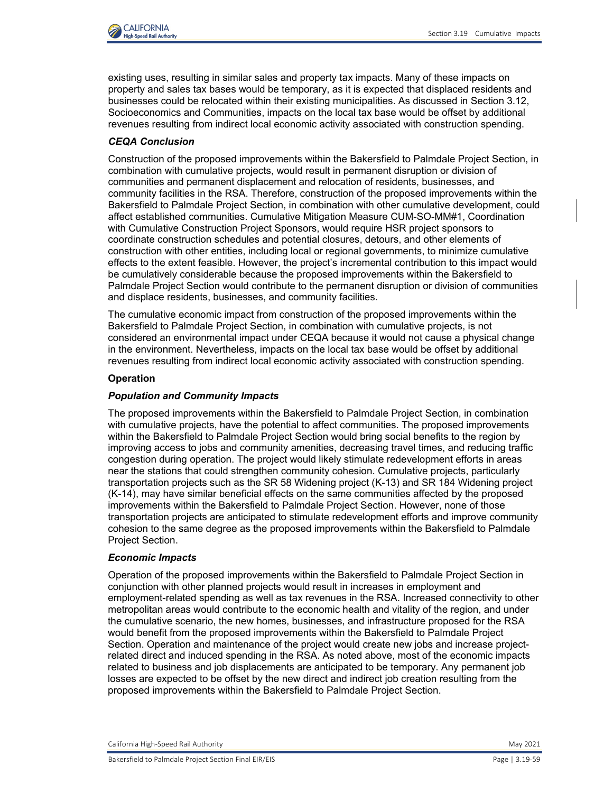

existing uses, resulting in similar sales and property tax impacts. Many of these impacts on property and sales tax bases would be temporary, as it is expected that displaced residents and businesses could be relocated within their existing municipalities. As discussed in Section 3.12, Socioeconomics and Communities, impacts on the local tax base would be offset by additional revenues resulting from indirect local economic activity associated with construction spending.

# *CEQA Conclusion*

Construction of the proposed improvements within the Bakersfield to Palmdale Project Section, in combination with cumulative projects, would result in permanent disruption or division of communities and permanent displacement and relocation of residents, businesses, and community facilities in the RSA. Therefore, construction of the proposed improvements within the Bakersfield to Palmdale Project Section, in combination with other cumulative development, could affect established communities. Cumulative Mitigation Measure CUM-SO-MM#1, Coordination with Cumulative Construction Project Sponsors, would require HSR project sponsors to coordinate construction schedules and potential closures, detours, and other elements of construction with other entities, including local or regional governments, to minimize cumulative effects to the extent feasible. However, the project's incremental contribution to this impact would be cumulatively considerable because the proposed improvements within the Bakersfield to Palmdale Project Section would contribute to the permanent disruption or division of communities and displace residents, businesses, and community facilities.

The cumulative economic impact from construction of the proposed improvements within the Bakersfield to Palmdale Project Section, in combination with cumulative projects, is not considered an environmental impact under CEQA because it would not cause a physical change in the environment. Nevertheless, impacts on the local tax base would be offset by additional revenues resulting from indirect local economic activity associated with construction spending.

### **Operation**

### *Population and Community Impacts*

The proposed improvements within the Bakersfield to Palmdale Project Section, in combination with cumulative projects, have the potential to affect communities. The proposed improvements within the Bakersfield to Palmdale Project Section would bring social benefits to the region by improving access to jobs and community amenities, decreasing travel times, and reducing traffic congestion during operation. The project would likely stimulate redevelopment efforts in areas near the stations that could strengthen community cohesion. Cumulative projects, particularly transportation projects such as the SR 58 Widening project (K-13) and SR 184 Widening project (K-14), may have similar beneficial effects on the same communities affected by the proposed improvements within the Bakersfield to Palmdale Project Section. However, none of those transportation projects are anticipated to stimulate redevelopment efforts and improve community cohesion to the same degree as the proposed improvements within the Bakersfield to Palmdale Project Section.

## *Economic Impacts*

Operation of the proposed improvements within the Bakersfield to Palmdale Project Section in conjunction with other planned projects would result in increases in employment and employment-related spending as well as tax revenues in the RSA. Increased connectivity to other metropolitan areas would contribute to the economic health and vitality of the region, and under the cumulative scenario, the new homes, businesses, and infrastructure proposed for the RSA would benefit from the proposed improvements within the Bakersfield to Palmdale Project Section. Operation and maintenance of the project would create new jobs and increase projectrelated direct and induced spending in the RSA. As noted above, most of the economic impacts related to business and job displacements are anticipated to be temporary. Any permanent job losses are expected to be offset by the new direct and indirect job creation resulting from the proposed improvements within the Bakersfield to Palmdale Project Section.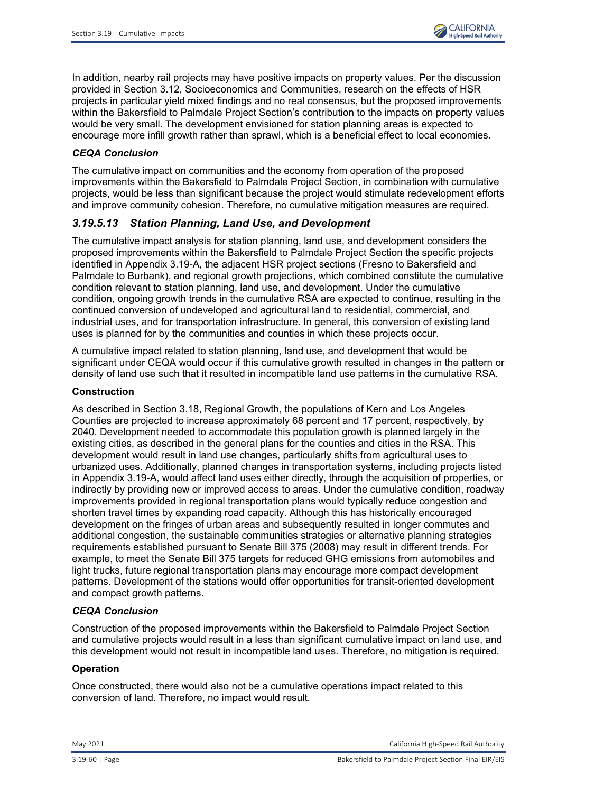

In addition, nearby rail projects may have positive impacts on property values. Per the discussion provided in Section 3.12, Socioeconomics and Communities, research on the effects of HSR projects in particular yield mixed findings and no real consensus, but the proposed improvements within the Bakersfield to Palmdale Project Section's contribution to the impacts on property values would be very small. The development envisioned for station planning areas is expected to encourage more infill growth rather than sprawl, which is a beneficial effect to local economies.

# *CEQA Conclusion*

The cumulative impact on communities and the economy from operation of the proposed improvements within the Bakersfield to Palmdale Project Section, in combination with cumulative projects, would be less than significant because the project would stimulate redevelopment efforts and improve community cohesion. Therefore, no cumulative mitigation measures are required.

# *3.19.5.13 Station Planning, Land Use, and Development*

The cumulative impact analysis for station planning, land use, and development considers the proposed improvements within the Bakersfield to Palmdale Project Section the specific projects identified in Appendix 3.19-A, the adjacent HSR project sections (Fresno to Bakersfield and Palmdale to Burbank), and regional growth projections, which combined constitute the cumulative condition relevant to station planning, land use, and development. Under the cumulative condition, ongoing growth trends in the cumulative RSA are expected to continue, resulting in the continued conversion of undeveloped and agricultural land to residential, commercial, and industrial uses, and for transportation infrastructure. In general, this conversion of existing land uses is planned for by the communities and counties in which these projects occur.

A cumulative impact related to station planning, land use, and development that would be significant under CEQA would occur if this cumulative growth resulted in changes in the pattern or density of land use such that it resulted in incompatible land use patterns in the cumulative RSA.

## **Construction**

As described in Section 3.18, Regional Growth, the populations of Kern and Los Angeles Counties are projected to increase approximately 68 percent and 17 percent, respectively, by 2040. Development needed to accommodate this population growth is planned largely in the existing cities, as described in the general plans for the counties and cities in the RSA. This development would result in land use changes, particularly shifts from agricultural uses to urbanized uses. Additionally, planned changes in transportation systems, including projects listed in Appendix 3.19-A, would affect land uses either directly, through the acquisition of properties, or indirectly by providing new or improved access to areas. Under the cumulative condition, roadway improvements provided in regional transportation plans would typically reduce congestion and shorten travel times by expanding road capacity. Although this has historically encouraged development on the fringes of urban areas and subsequently resulted in longer commutes and additional congestion, the sustainable communities strategies or alternative planning strategies requirements established pursuant to Senate Bill 375 (2008) may result in different trends. For example, to meet the Senate Bill 375 targets for reduced GHG emissions from automobiles and light trucks, future regional transportation plans may encourage more compact development patterns. Development of the stations would offer opportunities for transit-oriented development and compact growth patterns.

## *CEQA Conclusion*

Construction of the proposed improvements within the Bakersfield to Palmdale Project Section and cumulative projects would result in a less than significant cumulative impact on land use, and this development would not result in incompatible land uses. Therefore, no mitigation is required.

## **Operation**

Once constructed, there would also not be a cumulative operations impact related to this conversion of land. Therefore, no impact would result.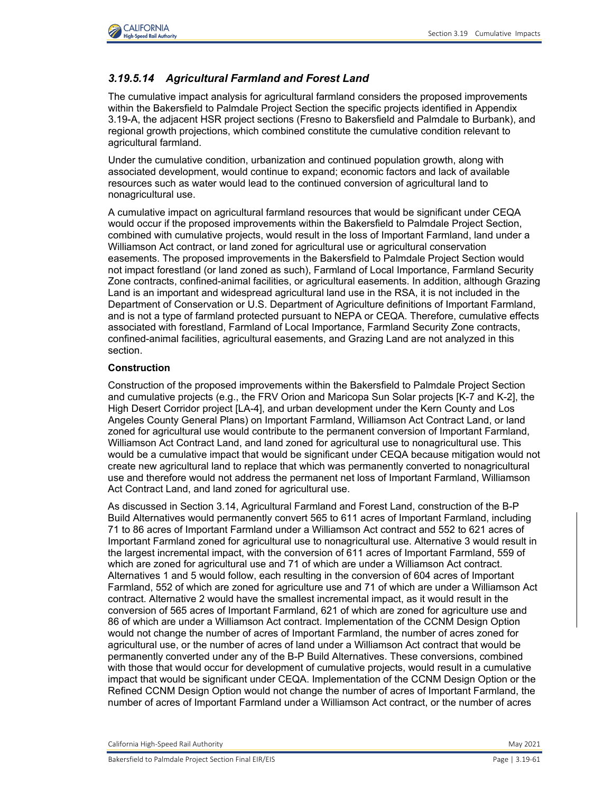

# *3.19.5.14 Agricultural Farmland and Forest Land*

The cumulative impact analysis for agricultural farmland considers the proposed improvements within the Bakersfield to Palmdale Project Section the specific projects identified in Appendix 3.19-A, the adjacent HSR project sections (Fresno to Bakersfield and Palmdale to Burbank), and regional growth projections, which combined constitute the cumulative condition relevant to agricultural farmland.

Under the cumulative condition, urbanization and continued population growth, along with associated development, would continue to expand; economic factors and lack of available resources such as water would lead to the continued conversion of agricultural land to nonagricultural use.

A cumulative impact on agricultural farmland resources that would be significant under CEQA would occur if the proposed improvements within the Bakersfield to Palmdale Project Section, combined with cumulative projects, would result in the loss of Important Farmland, land under a Williamson Act contract, or land zoned for agricultural use or agricultural conservation easements. The proposed improvements in the Bakersfield to Palmdale Project Section would not impact forestland (or land zoned as such), Farmland of Local Importance, Farmland Security Zone contracts, confined-animal facilities, or agricultural easements. In addition, although Grazing Land is an important and widespread agricultural land use in the RSA, it is not included in the Department of Conservation or U.S. Department of Agriculture definitions of Important Farmland, and is not a type of farmland protected pursuant to NEPA or CEQA. Therefore, cumulative effects associated with forestland, Farmland of Local Importance, Farmland Security Zone contracts, confined-animal facilities, agricultural easements, and Grazing Land are not analyzed in this section.

### **Construction**

Construction of the proposed improvements within the Bakersfield to Palmdale Project Section and cumulative projects (e.g., the FRV Orion and Maricopa Sun Solar projects [K-7 and K-2], the High Desert Corridor project [LA-4], and urban development under the Kern County and Los Angeles County General Plans) on Important Farmland, Williamson Act Contract Land, or land zoned for agricultural use would contribute to the permanent conversion of Important Farmland, Williamson Act Contract Land, and land zoned for agricultural use to nonagricultural use. This would be a cumulative impact that would be significant under CEQA because mitigation would not create new agricultural land to replace that which was permanently converted to nonagricultural use and therefore would not address the permanent net loss of Important Farmland, Williamson Act Contract Land, and land zoned for agricultural use.

As discussed in Section 3.14, Agricultural Farmland and Forest Land, construction of the B-P Build Alternatives would permanently convert 565 to 611 acres of Important Farmland, including 71 to 86 acres of Important Farmland under a Williamson Act contract and 552 to 621 acres of Important Farmland zoned for agricultural use to nonagricultural use. Alternative 3 would result in the largest incremental impact, with the conversion of 611 acres of Important Farmland, 559 of which are zoned for agricultural use and 71 of which are under a Williamson Act contract. Alternatives 1 and 5 would follow, each resulting in the conversion of 604 acres of Important Farmland, 552 of which are zoned for agriculture use and 71 of which are under a Williamson Act contract. Alternative 2 would have the smallest incremental impact, as it would result in the conversion of 565 acres of Important Farmland, 621 of which are zoned for agriculture use and 86 of which are under a Williamson Act contract. Implementation of the CCNM Design Option would not change the number of acres of Important Farmland, the number of acres zoned for agricultural use, or the number of acres of land under a Williamson Act contract that would be permanently converted under any of the B-P Build Alternatives. These conversions, combined with those that would occur for development of cumulative projects, would result in a cumulative impact that would be significant under CEQA. Implementation of the CCNM Design Option or the Refined CCNM Design Option would not change the number of acres of Important Farmland, the number of acres of Important Farmland under a Williamson Act contract, or the number of acres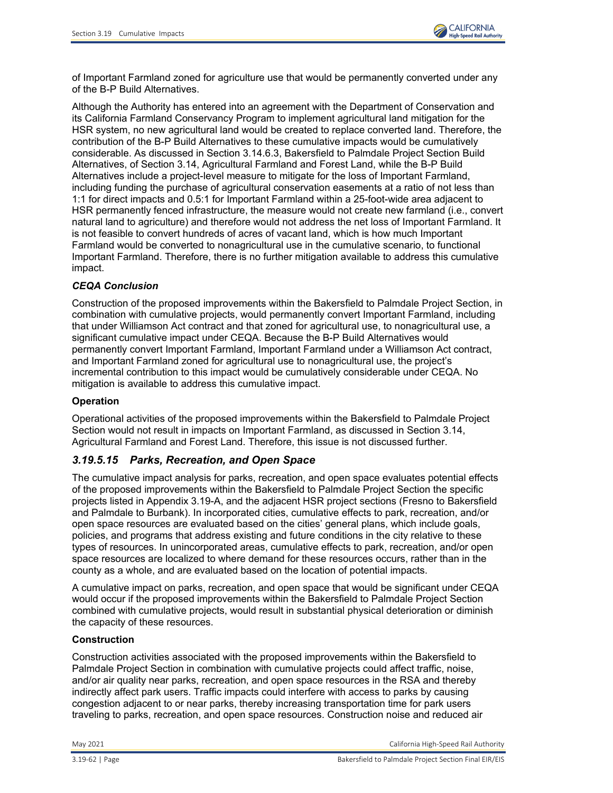

of Important Farmland zoned for agriculture use that would be permanently converted under any of the B-P Build Alternatives.

Although the Authority has entered into an agreement with the Department of Conservation and its California Farmland Conservancy Program to implement agricultural land mitigation for the HSR system, no new agricultural land would be created to replace converted land. Therefore, the contribution of the B-P Build Alternatives to these cumulative impacts would be cumulatively considerable. As discussed in Section 3.14.6.3, Bakersfield to Palmdale Project Section Build Alternatives, of Section 3.14, Agricultural Farmland and Forest Land, while the B-P Build Alternatives include a project-level measure to mitigate for the loss of Important Farmland, including funding the purchase of agricultural conservation easements at a ratio of not less than 1:1 for direct impacts and 0.5:1 for Important Farmland within a 25-foot-wide area adjacent to HSR permanently fenced infrastructure, the measure would not create new farmland (i.e., convert natural land to agriculture) and therefore would not address the net loss of Important Farmland. It is not feasible to convert hundreds of acres of vacant land, which is how much Important Farmland would be converted to nonagricultural use in the cumulative scenario, to functional Important Farmland. Therefore, there is no further mitigation available to address this cumulative impact.

# *CEQA Conclusion*

Construction of the proposed improvements within the Bakersfield to Palmdale Project Section, in combination with cumulative projects, would permanently convert Important Farmland, including that under Williamson Act contract and that zoned for agricultural use, to nonagricultural use, a significant cumulative impact under CEQA. Because the B-P Build Alternatives would permanently convert Important Farmland, Important Farmland under a Williamson Act contract, and Important Farmland zoned for agricultural use to nonagricultural use, the project's incremental contribution to this impact would be cumulatively considerable under CEQA. No mitigation is available to address this cumulative impact.

## **Operation**

Operational activities of the proposed improvements within the Bakersfield to Palmdale Project Section would not result in impacts on Important Farmland, as discussed in Section 3.14, Agricultural Farmland and Forest Land. Therefore, this issue is not discussed further.

# *3.19.5.15 Parks, Recreation, and Open Space*

The cumulative impact analysis for parks, recreation, and open space evaluates potential effects of the proposed improvements within the Bakersfield to Palmdale Project Section the specific projects listed in Appendix 3.19-A, and the adjacent HSR project sections (Fresno to Bakersfield and Palmdale to Burbank). In incorporated cities, cumulative effects to park, recreation, and/or open space resources are evaluated based on the cities' general plans, which include goals, policies, and programs that address existing and future conditions in the city relative to these types of resources. In unincorporated areas, cumulative effects to park, recreation, and/or open space resources are localized to where demand for these resources occurs, rather than in the county as a whole, and are evaluated based on the location of potential impacts.

A cumulative impact on parks, recreation, and open space that would be significant under CEQA would occur if the proposed improvements within the Bakersfield to Palmdale Project Section combined with cumulative projects, would result in substantial physical deterioration or diminish the capacity of these resources.

## **Construction**

Construction activities associated with the proposed improvements within the Bakersfield to Palmdale Project Section in combination with cumulative projects could affect traffic, noise, and/or air quality near parks, recreation, and open space resources in the RSA and thereby indirectly affect park users. Traffic impacts could interfere with access to parks by causing congestion adjacent to or near parks, thereby increasing transportation time for park users traveling to parks, recreation, and open space resources. Construction noise and reduced air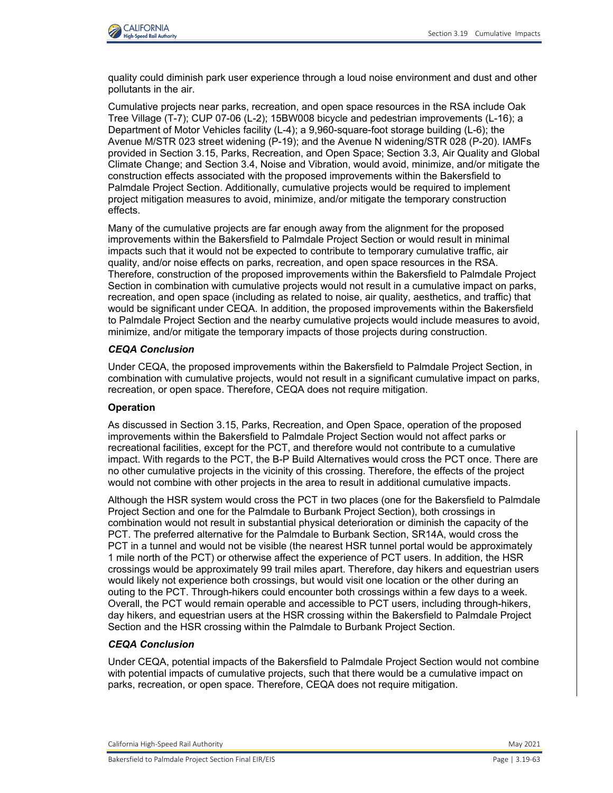

quality could diminish park user experience through a loud noise environment and dust and other pollutants in the air.

Cumulative projects near parks, recreation, and open space resources in the RSA include Oak Tree Village (T-7); CUP 07-06 (L-2); 15BW008 bicycle and pedestrian improvements (L-16); a Department of Motor Vehicles facility (L-4); a 9,960-square-foot storage building (L-6); the Avenue M/STR 023 street widening (P-19); and the Avenue N widening/STR 028 (P-20). IAMFs provided in Section 3.15, Parks, Recreation, and Open Space; Section 3.3, Air Quality and Global Climate Change; and Section 3.4, Noise and Vibration, would avoid, minimize, and/or mitigate the construction effects associated with the proposed improvements within the Bakersfield to Palmdale Project Section. Additionally, cumulative projects would be required to implement project mitigation measures to avoid, minimize, and/or mitigate the temporary construction effects.

Many of the cumulative projects are far enough away from the alignment for the proposed improvements within the Bakersfield to Palmdale Project Section or would result in minimal impacts such that it would not be expected to contribute to temporary cumulative traffic, air quality, and/or noise effects on parks, recreation, and open space resources in the RSA. Therefore, construction of the proposed improvements within the Bakersfield to Palmdale Project Section in combination with cumulative projects would not result in a cumulative impact on parks, recreation, and open space (including as related to noise, air quality, aesthetics, and traffic) that would be significant under CEQA. In addition, the proposed improvements within the Bakersfield to Palmdale Project Section and the nearby cumulative projects would include measures to avoid, minimize, and/or mitigate the temporary impacts of those projects during construction.

## *CEQA Conclusion*

Under CEQA, the proposed improvements within the Bakersfield to Palmdale Project Section, in combination with cumulative projects, would not result in a significant cumulative impact on parks, recreation, or open space. Therefore, CEQA does not require mitigation.

#### **Operation**

As discussed in Section 3.15, Parks, Recreation, and Open Space, operation of the proposed improvements within the Bakersfield to Palmdale Project Section would not affect parks or recreational facilities, except for the PCT, and therefore would not contribute to a cumulative impact. With regards to the PCT, the B-P Build Alternatives would cross the PCT once. There are no other cumulative projects in the vicinity of this crossing. Therefore, the effects of the project would not combine with other projects in the area to result in additional cumulative impacts.

Although the HSR system would cross the PCT in two places (one for the Bakersfield to Palmdale Project Section and one for the Palmdale to Burbank Project Section), both crossings in combination would not result in substantial physical deterioration or diminish the capacity of the PCT. The preferred alternative for the Palmdale to Burbank Section, SR14A, would cross the PCT in a tunnel and would not be visible (the nearest HSR tunnel portal would be approximately 1 mile north of the PCT) or otherwise affect the experience of PCT users. In addition, the HSR crossings would be approximately 99 trail miles apart. Therefore, day hikers and equestrian users would likely not experience both crossings, but would visit one location or the other during an outing to the PCT. Through-hikers could encounter both crossings within a few days to a week. Overall, the PCT would remain operable and accessible to PCT users, including through-hikers, day hikers, and equestrian users at the HSR crossing within the Bakersfield to Palmdale Project Section and the HSR crossing within the Palmdale to Burbank Project Section.

## *CEQA Conclusion*

Under CEQA, potential impacts of the Bakersfield to Palmdale Project Section would not combine with potential impacts of cumulative projects, such that there would be a cumulative impact on parks, recreation, or open space. Therefore, CEQA does not require mitigation.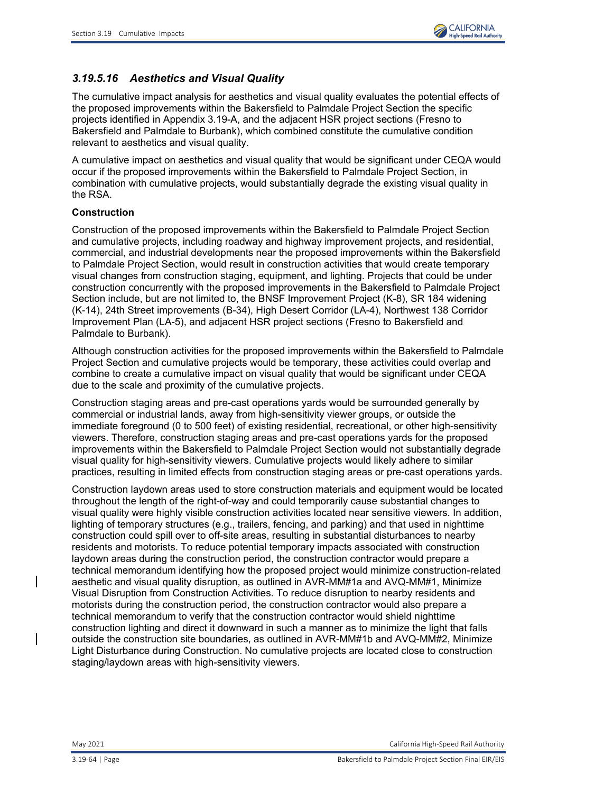

# *3.19.5.16 Aesthetics and Visual Quality*

The cumulative impact analysis for aesthetics and visual quality evaluates the potential effects of the proposed improvements within the Bakersfield to Palmdale Project Section the specific projects identified in Appendix 3.19-A, and the adjacent HSR project sections (Fresno to Bakersfield and Palmdale to Burbank), which combined constitute the cumulative condition relevant to aesthetics and visual quality.

A cumulative impact on aesthetics and visual quality that would be significant under CEQA would occur if the proposed improvements within the Bakersfield to Palmdale Project Section, in combination with cumulative projects, would substantially degrade the existing visual quality in the RSA.

## **Construction**

Construction of the proposed improvements within the Bakersfield to Palmdale Project Section and cumulative projects, including roadway and highway improvement projects, and residential, commercial, and industrial developments near the proposed improvements within the Bakersfield to Palmdale Project Section, would result in construction activities that would create temporary visual changes from construction staging, equipment, and lighting. Projects that could be under construction concurrently with the proposed improvements in the Bakersfield to Palmdale Project Section include, but are not limited to, the BNSF Improvement Project (K-8), SR 184 widening (K-14), 24th Street improvements (B-34), High Desert Corridor (LA-4), Northwest 138 Corridor Improvement Plan (LA-5), and adjacent HSR project sections (Fresno to Bakersfield and Palmdale to Burbank).

Although construction activities for the proposed improvements within the Bakersfield to Palmdale Project Section and cumulative projects would be temporary, these activities could overlap and combine to create a cumulative impact on visual quality that would be significant under CEQA due to the scale and proximity of the cumulative projects.

Construction staging areas and pre-cast operations yards would be surrounded generally by commercial or industrial lands, away from high-sensitivity viewer groups, or outside the immediate foreground (0 to 500 feet) of existing residential, recreational, or other high-sensitivity viewers. Therefore, construction staging areas and pre-cast operations yards for the proposed improvements within the Bakersfield to Palmdale Project Section would not substantially degrade visual quality for high-sensitivity viewers. Cumulative projects would likely adhere to similar practices, resulting in limited effects from construction staging areas or pre-cast operations yards.

Construction laydown areas used to store construction materials and equipment would be located throughout the length of the right-of-way and could temporarily cause substantial changes to visual quality were highly visible construction activities located near sensitive viewers. In addition, lighting of temporary structures (e.g., trailers, fencing, and parking) and that used in nighttime construction could spill over to off-site areas, resulting in substantial disturbances to nearby residents and motorists. To reduce potential temporary impacts associated with construction laydown areas during the construction period, the construction contractor would prepare a technical memorandum identifying how the proposed project would minimize construction-related aesthetic and visual quality disruption, as outlined in AVR-MM#1a and AVQ-MM#1, Minimize Visual Disruption from Construction Activities. To reduce disruption to nearby residents and motorists during the construction period, the construction contractor would also prepare a technical memorandum to verify that the construction contractor would shield nighttime construction lighting and direct it downward in such a manner as to minimize the light that falls outside the construction site boundaries, as outlined in AVR-MM#1b and AVQ-MM#2, Minimize Light Disturbance during Construction. No cumulative projects are located close to construction staging/laydown areas with high-sensitivity viewers.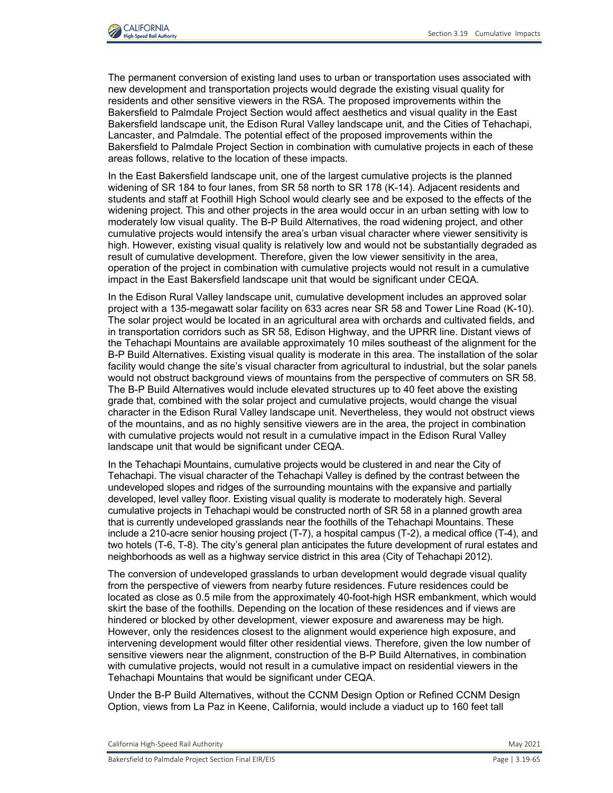

The permanent conversion of existing land uses to urban or transportation uses associated with new development and transportation projects would degrade the existing visual quality for residents and other sensitive viewers in the RSA. The proposed improvements within the Bakersfield to Palmdale Project Section would affect aesthetics and visual quality in the East Bakersfield landscape unit, the Edison Rural Valley landscape unit, and the Cities of Tehachapi, Lancaster, and Palmdale. The potential effect of the proposed improvements within the Bakersfield to Palmdale Project Section in combination with cumulative projects in each of these areas follows, relative to the location of these impacts.

In the East Bakersfield landscape unit, one of the largest cumulative projects is the planned widening of SR 184 to four lanes, from SR 58 north to SR 178 (K-14). Adjacent residents and students and staff at Foothill High School would clearly see and be exposed to the effects of the widening project. This and other projects in the area would occur in an urban setting with low to moderately low visual quality. The B-P Build Alternatives, the road widening project, and other cumulative projects would intensify the area's urban visual character where viewer sensitivity is high. However, existing visual quality is relatively low and would not be substantially degraded as result of cumulative development. Therefore, given the low viewer sensitivity in the area, operation of the project in combination with cumulative projects would not result in a cumulative impact in the East Bakersfield landscape unit that would be significant under CEQA.

In the Edison Rural Valley landscape unit, cumulative development includes an approved solar project with a 135-megawatt solar facility on 633 acres near SR 58 and Tower Line Road (K-10). The solar project would be located in an agricultural area with orchards and cultivated fields, and in transportation corridors such as SR 58, Edison Highway, and the UPRR line. Distant views of the Tehachapi Mountains are available approximately 10 miles southeast of the alignment for the B-P Build Alternatives. Existing visual quality is moderate in this area. The installation of the solar facility would change the site's visual character from agricultural to industrial, but the solar panels would not obstruct background views of mountains from the perspective of commuters on SR 58. The B-P Build Alternatives would include elevated structures up to 40 feet above the existing grade that, combined with the solar project and cumulative projects, would change the visual character in the Edison Rural Valley landscape unit. Nevertheless, they would not obstruct views of the mountains, and as no highly sensitive viewers are in the area, the project in combination with cumulative projects would not result in a cumulative impact in the Edison Rural Valley landscape unit that would be significant under CEQA.

In the Tehachapi Mountains, cumulative projects would be clustered in and near the City of Tehachapi. The visual character of the Tehachapi Valley is defined by the contrast between the undeveloped slopes and ridges of the surrounding mountains with the expansive and partially developed, level valley floor. Existing visual quality is moderate to moderately high. Several cumulative projects in Tehachapi would be constructed north of SR 58 in a planned growth area that is currently undeveloped grasslands near the foothills of the Tehachapi Mountains. These include a 210-acre senior housing project (T-7), a hospital campus (T-2), a medical office (T-4), and two hotels (T-6, T-8). The city's general plan anticipates the future development of rural estates and neighborhoods as well as a highway service district in this area (City of Tehachapi 2012).

The conversion of undeveloped grasslands to urban development would degrade visual quality from the perspective of viewers from nearby future residences. Future residences could be located as close as 0.5 mile from the approximately 40-foot-high HSR embankment, which would skirt the base of the foothills. Depending on the location of these residences and if views are hindered or blocked by other development, viewer exposure and awareness may be high. However, only the residences closest to the alignment would experience high exposure, and intervening development would filter other residential views. Therefore, given the low number of sensitive viewers near the alignment, construction of the B-P Build Alternatives, in combination with cumulative projects, would not result in a cumulative impact on residential viewers in the Tehachapi Mountains that would be significant under CEQA.

Under the B-P Build Alternatives, without the CCNM Design Option or Refined CCNM Design Option, views from La Paz in Keene, California, would include a viaduct up to 160 feet tall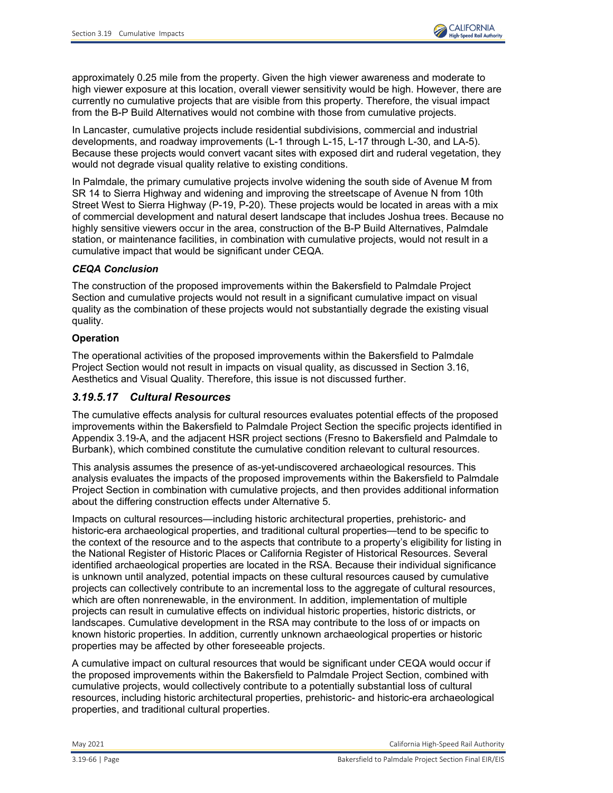

approximately 0.25 mile from the property. Given the high viewer awareness and moderate to high viewer exposure at this location, overall viewer sensitivity would be high. However, there are currently no cumulative projects that are visible from this property. Therefore, the visual impact from the B-P Build Alternatives would not combine with those from cumulative projects.

In Lancaster, cumulative projects include residential subdivisions, commercial and industrial developments, and roadway improvements (L-1 through L-15, L-17 through L-30, and LA-5). Because these projects would convert vacant sites with exposed dirt and ruderal vegetation, they would not degrade visual quality relative to existing conditions.

In Palmdale, the primary cumulative projects involve widening the south side of Avenue M from SR 14 to Sierra Highway and widening and improving the streetscape of Avenue N from 10th Street West to Sierra Highway (P-19, P-20). These projects would be located in areas with a mix of commercial development and natural desert landscape that includes Joshua trees. Because no highly sensitive viewers occur in the area, construction of the B-P Build Alternatives, Palmdale station, or maintenance facilities, in combination with cumulative projects, would not result in a cumulative impact that would be significant under CEQA.

## *CEQA Conclusion*

The construction of the proposed improvements within the Bakersfield to Palmdale Project Section and cumulative projects would not result in a significant cumulative impact on visual quality as the combination of these projects would not substantially degrade the existing visual quality.

## **Operation**

The operational activities of the proposed improvements within the Bakersfield to Palmdale Project Section would not result in impacts on visual quality, as discussed in Section 3.16, Aesthetics and Visual Quality. Therefore, this issue is not discussed further.

# *3.19.5.17 Cultural Resources*

The cumulative effects analysis for cultural resources evaluates potential effects of the proposed improvements within the Bakersfield to Palmdale Project Section the specific projects identified in Appendix 3.19-A, and the adjacent HSR project sections (Fresno to Bakersfield and Palmdale to Burbank), which combined constitute the cumulative condition relevant to cultural resources.

This analysis assumes the presence of as-yet-undiscovered archaeological resources. This analysis evaluates the impacts of the proposed improvements within the Bakersfield to Palmdale Project Section in combination with cumulative projects, and then provides additional information about the differing construction effects under Alternative 5.

Impacts on cultural resources—including historic architectural properties, prehistoric- and historic-era archaeological properties, and traditional cultural properties—tend to be specific to the context of the resource and to the aspects that contribute to a property's eligibility for listing in the National Register of Historic Places or California Register of Historical Resources. Several identified archaeological properties are located in the RSA. Because their individual significance is unknown until analyzed, potential impacts on these cultural resources caused by cumulative projects can collectively contribute to an incremental loss to the aggregate of cultural resources, which are often nonrenewable, in the environment. In addition, implementation of multiple projects can result in cumulative effects on individual historic properties, historic districts, or landscapes. Cumulative development in the RSA may contribute to the loss of or impacts on known historic properties. In addition, currently unknown archaeological properties or historic properties may be affected by other foreseeable projects.

A cumulative impact on cultural resources that would be significant under CEQA would occur if the proposed improvements within the Bakersfield to Palmdale Project Section, combined with cumulative projects, would collectively contribute to a potentially substantial loss of cultural resources, including historic architectural properties, prehistoric- and historic-era archaeological properties, and traditional cultural properties.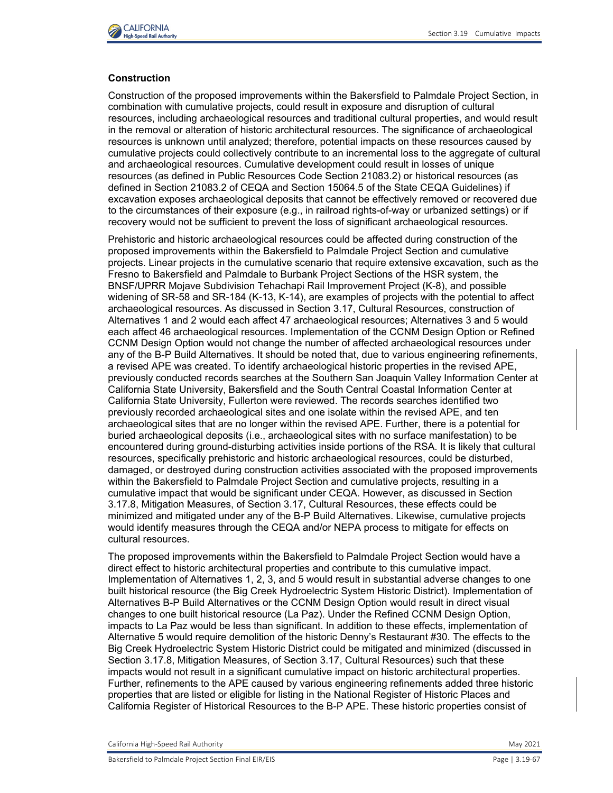

## **Construction**

Construction of the proposed improvements within the Bakersfield to Palmdale Project Section, in combination with cumulative projects, could result in exposure and disruption of cultural resources, including archaeological resources and traditional cultural properties, and would result in the removal or alteration of historic architectural resources. The significance of archaeological resources is unknown until analyzed; therefore, potential impacts on these resources caused by cumulative projects could collectively contribute to an incremental loss to the aggregate of cultural and archaeological resources. Cumulative development could result in losses of unique resources (as defined in Public Resources Code Section 21083.2) or historical resources (as defined in Section 21083.2 of CEQA and Section 15064.5 of the State CEQA Guidelines) if excavation exposes archaeological deposits that cannot be effectively removed or recovered due to the circumstances of their exposure (e.g., in railroad rights-of-way or urbanized settings) or if recovery would not be sufficient to prevent the loss of significant archaeological resources.

Prehistoric and historic archaeological resources could be affected during construction of the proposed improvements within the Bakersfield to Palmdale Project Section and cumulative projects. Linear projects in the cumulative scenario that require extensive excavation, such as the Fresno to Bakersfield and Palmdale to Burbank Project Sections of the HSR system, the BNSF/UPRR Mojave Subdivision Tehachapi Rail Improvement Project (K-8), and possible widening of SR-58 and SR-184 (K-13, K-14), are examples of projects with the potential to affect archaeological resources. As discussed in Section 3.17, Cultural Resources, construction of Alternatives 1 and 2 would each affect 47 archaeological resources; Alternatives 3 and 5 would each affect 46 archaeological resources. Implementation of the CCNM Design Option or Refined CCNM Design Option would not change the number of affected archaeological resources under any of the B-P Build Alternatives. It should be noted that, due to various engineering refinements, a revised APE was created. To identify archaeological historic properties in the revised APE, previously conducted records searches at the Southern San Joaquin Valley Information Center at California State University, Bakersfield and the South Central Coastal Information Center at California State University, Fullerton were reviewed. The records searches identified two previously recorded archaeological sites and one isolate within the revised APE, and ten archaeological sites that are no longer within the revised APE. Further, there is a potential for buried archaeological deposits (i.e., archaeological sites with no surface manifestation) to be encountered during ground-disturbing activities inside portions of the RSA. It is likely that cultural resources, specifically prehistoric and historic archaeological resources, could be disturbed, damaged, or destroyed during construction activities associated with the proposed improvements within the Bakersfield to Palmdale Project Section and cumulative projects, resulting in a cumulative impact that would be significant under CEQA. However, as discussed in Section 3.17.8, Mitigation Measures, of Section 3.17, Cultural Resources, these effects could be minimized and mitigated under any of the B-P Build Alternatives. Likewise, cumulative projects would identify measures through the CEQA and/or NEPA process to mitigate for effects on cultural resources.

The proposed improvements within the Bakersfield to Palmdale Project Section would have a direct effect to historic architectural properties and contribute to this cumulative impact. Implementation of Alternatives 1, 2, 3, and 5 would result in substantial adverse changes to one built historical resource (the Big Creek Hydroelectric System Historic District). Implementation of Alternatives B-P Build Alternatives or the CCNM Design Option would result in direct visual changes to one built historical resource (La Paz). Under the Refined CCNM Design Option, impacts to La Paz would be less than significant. In addition to these effects, implementation of Alternative 5 would require demolition of the historic Denny's Restaurant #30. The effects to the Big Creek Hydroelectric System Historic District could be mitigated and minimized (discussed in Section 3.17.8, Mitigation Measures, of Section 3.17, Cultural Resources) such that these impacts would not result in a significant cumulative impact on historic architectural properties. Further, refinements to the APE caused by various engineering refinements added three historic properties that are listed or eligible for listing in the National Register of Historic Places and California Register of Historical Resources to the B-P APE. These historic properties consist of

California High-Speed Rail Authority May 2021 and Separate School and School and School and School and School and School and School and School and School and School and School and School and School and School and School an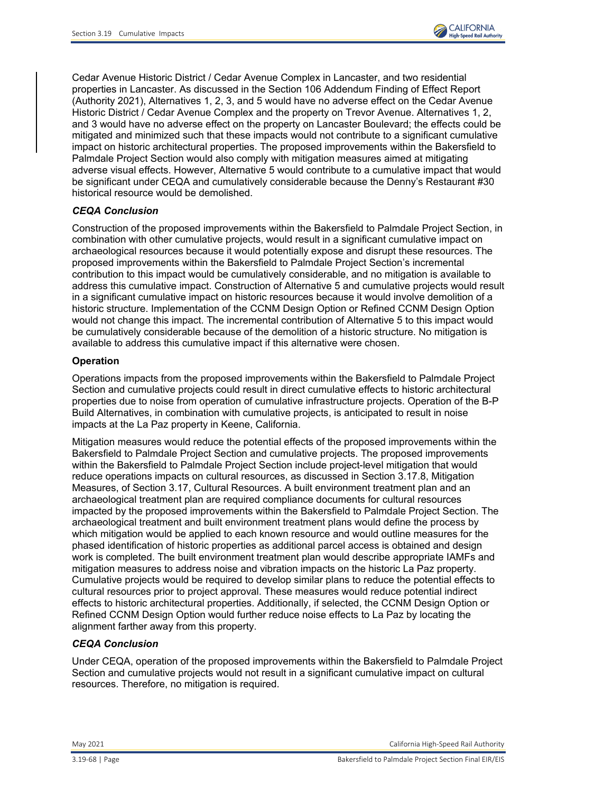

Cedar Avenue Historic District / Cedar Avenue Complex in Lancaster, and two residential properties in Lancaster. As discussed in the Section 106 Addendum Finding of Effect Report (Authority 2021), Alternatives 1, 2, 3, and 5 would have no adverse effect on the Cedar Avenue Historic District / Cedar Avenue Complex and the property on Trevor Avenue. Alternatives 1, 2, and 3 would have no adverse effect on the property on Lancaster Boulevard; the effects could be mitigated and minimized such that these impacts would not contribute to a significant cumulative impact on historic architectural properties. The proposed improvements within the Bakersfield to Palmdale Project Section would also comply with mitigation measures aimed at mitigating adverse visual effects. However, Alternative 5 would contribute to a cumulative impact that would be significant under CEQA and cumulatively considerable because the Denny's Restaurant #30 historical resource would be demolished.

## *CEQA Conclusion*

Construction of the proposed improvements within the Bakersfield to Palmdale Project Section, in combination with other cumulative projects, would result in a significant cumulative impact on archaeological resources because it would potentially expose and disrupt these resources. The proposed improvements within the Bakersfield to Palmdale Project Section's incremental contribution to this impact would be cumulatively considerable, and no mitigation is available to address this cumulative impact. Construction of Alternative 5 and cumulative projects would result in a significant cumulative impact on historic resources because it would involve demolition of a historic structure. Implementation of the CCNM Design Option or Refined CCNM Design Option would not change this impact. The incremental contribution of Alternative 5 to this impact would be cumulatively considerable because of the demolition of a historic structure. No mitigation is available to address this cumulative impact if this alternative were chosen.

## **Operation**

Operations impacts from the proposed improvements within the Bakersfield to Palmdale Project Section and cumulative projects could result in direct cumulative effects to historic architectural properties due to noise from operation of cumulative infrastructure projects. Operation of the B-P Build Alternatives, in combination with cumulative projects, is anticipated to result in noise impacts at the La Paz property in Keene, California.

Mitigation measures would reduce the potential effects of the proposed improvements within the Bakersfield to Palmdale Project Section and cumulative projects. The proposed improvements within the Bakersfield to Palmdale Project Section include project-level mitigation that would reduce operations impacts on cultural resources, as discussed in Section 3.17.8, Mitigation Measures, of Section 3.17, Cultural Resources. A built environment treatment plan and an archaeological treatment plan are required compliance documents for cultural resources impacted by the proposed improvements within the Bakersfield to Palmdale Project Section. The archaeological treatment and built environment treatment plans would define the process by which mitigation would be applied to each known resource and would outline measures for the phased identification of historic properties as additional parcel access is obtained and design work is completed. The built environment treatment plan would describe appropriate IAMFs and mitigation measures to address noise and vibration impacts on the historic La Paz property. Cumulative projects would be required to develop similar plans to reduce the potential effects to cultural resources prior to project approval. These measures would reduce potential indirect effects to historic architectural properties. Additionally, if selected, the CCNM Design Option or Refined CCNM Design Option would further reduce noise effects to La Paz by locating the alignment farther away from this property.

## *CEQA Conclusion*

Under CEQA, operation of the proposed improvements within the Bakersfield to Palmdale Project Section and cumulative projects would not result in a significant cumulative impact on cultural resources. Therefore, no mitigation is required.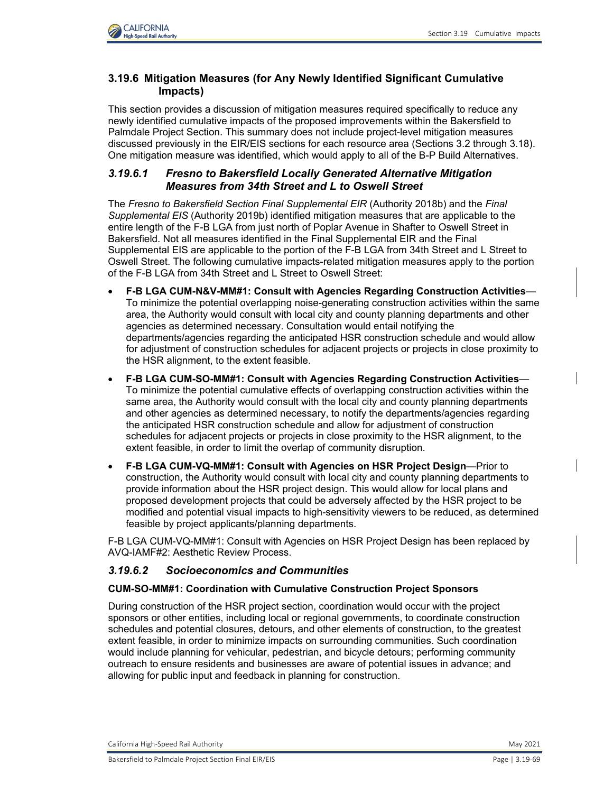# **3.19.6 Mitigation Measures (for Any Newly Identified Significant Cumulative Impacts)**

This section provides a discussion of mitigation measures required specifically to reduce any newly identified cumulative impacts of the proposed improvements within the Bakersfield to Palmdale Project Section. This summary does not include project-level mitigation measures discussed previously in the EIR/EIS sections for each resource area (Sections 3.2 through 3.18). One mitigation measure was identified, which would apply to all of the B-P Build Alternatives.

# *3.19.6.1 Fresno to Bakersfield Locally Generated Alternative Mitigation Measures from 34th Street and L to Oswell Street*

The *Fresno to Bakersfield Section Final Supplemental EIR* (Authority 2018b) and the *Final Supplemental EIS* (Authority 2019b) identified mitigation measures that are applicable to the entire length of the F-B LGA from just north of Poplar Avenue in Shafter to Oswell Street in Bakersfield. Not all measures identified in the Final Supplemental EIR and the Final Supplemental EIS are applicable to the portion of the F-B LGA from 34th Street and L Street to Oswell Street. The following cumulative impacts-related mitigation measures apply to the portion of the F-B LGA from 34th Street and L Street to Oswell Street:

- **F-B LGA CUM-N&V-MM#1: Consult with Agencies Regarding Construction Activities** To minimize the potential overlapping noise-generating construction activities within the same area, the Authority would consult with local city and county planning departments and other agencies as determined necessary. Consultation would entail notifying the departments/agencies regarding the anticipated HSR construction schedule and would allow for adjustment of construction schedules for adjacent projects or projects in close proximity to the HSR alignment, to the extent feasible.
- **F-B LGA CUM-SO-MM#1: Consult with Agencies Regarding Construction Activities** To minimize the potential cumulative effects of overlapping construction activities within the same area, the Authority would consult with the local city and county planning departments and other agencies as determined necessary, to notify the departments/agencies regarding the anticipated HSR construction schedule and allow for adjustment of construction schedules for adjacent projects or projects in close proximity to the HSR alignment, to the extent feasible, in order to limit the overlap of community disruption.
- **F-B LGA CUM-VQ-MM#1: Consult with Agencies on HSR Project Design**—Prior to construction, the Authority would consult with local city and county planning departments to provide information about the HSR project design. This would allow for local plans and proposed development projects that could be adversely affected by the HSR project to be modified and potential visual impacts to high-sensitivity viewers to be reduced, as determined feasible by project applicants/planning departments.

F-B LGA CUM-VQ-MM#1: Consult with Agencies on HSR Project Design has been replaced by AVQ-IAMF#2: Aesthetic Review Process.

# *3.19.6.2 Socioeconomics and Communities*

## **CUM-SO-MM#1: Coordination with Cumulative Construction Project Sponsors**

During construction of the HSR project section, coordination would occur with the project sponsors or other entities, including local or regional governments, to coordinate construction schedules and potential closures, detours, and other elements of construction, to the greatest extent feasible, in order to minimize impacts on surrounding communities. Such coordination would include planning for vehicular, pedestrian, and bicycle detours; performing community outreach to ensure residents and businesses are aware of potential issues in advance; and allowing for public input and feedback in planning for construction.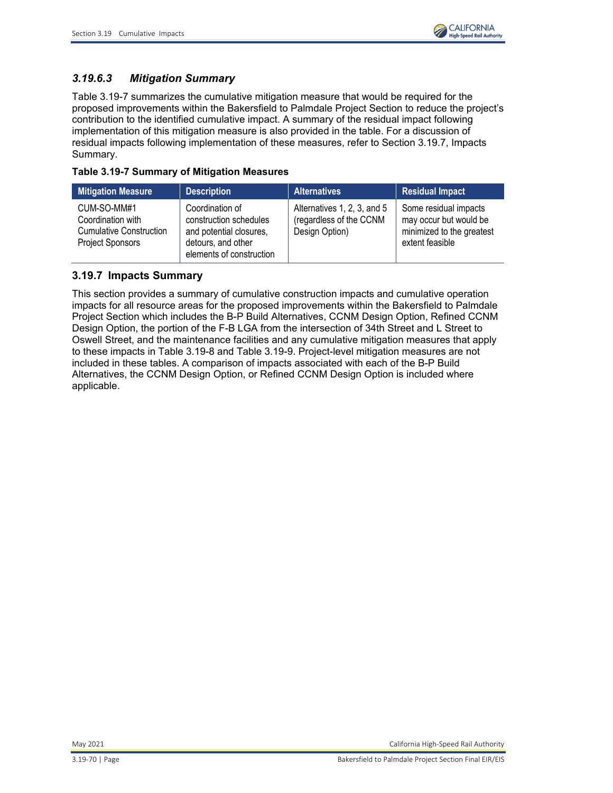

# *3.19.6.3 Mitigation Summary*

[Table 3.19-7](#page-69-0) summarizes the cumulative mitigation measure that would be required for the proposed improvements within the Bakersfield to Palmdale Project Section to reduce the project's contribution to the identified cumulative impact. A summary of the residual impact following implementation of this mitigation measure is also provided in the table. For a discussion of residual impacts following implementation of these measures, refer to Section 3.19.7, Impacts Summary.

<span id="page-69-0"></span>

|  | Table 3.19-7 Summary of Mitigation Measures |
|--|---------------------------------------------|
|--|---------------------------------------------|

| <b>Mitigation Measure</b>                                                                     | <b>Description</b>                                                                                                     | <b>Alternatives</b>                                                      | <b>Residual Impact</b>                                                                          |
|-----------------------------------------------------------------------------------------------|------------------------------------------------------------------------------------------------------------------------|--------------------------------------------------------------------------|-------------------------------------------------------------------------------------------------|
| CUM-SO-MM#1<br>Coordination with<br><b>Cumulative Construction</b><br><b>Project Sponsors</b> | Coordination of<br>construction schedules<br>and potential closures,<br>detours, and other<br>elements of construction | Alternatives 1, 2, 3, and 5<br>(regardless of the CCNM<br>Design Option) | Some residual impacts<br>may occur but would be<br>minimized to the greatest<br>extent feasible |

# **3.19.7 Impacts Summary**

This section provides a summary of cumulative construction impacts and cumulative operation impacts for all resource areas for the proposed improvements within the Bakersfield to Palmdale Project Section which includes the B-P Build Alternatives, CCNM Design Option, Refined CCNM Design Option, the portion of the F-B LGA from the intersection of 34th Street and L Street to Oswell Street, and the maintenance facilities and any cumulative mitigation measures that apply to these impacts in [Table 3.19-8](#page-70-0) and [Table 3.19-9.](#page-76-0) Project-level mitigation measures are not included in these tables. A comparison of impacts associated with each of the B-P Build Alternatives, the CCNM Design Option, or Refined CCNM Design Option is included where applicable.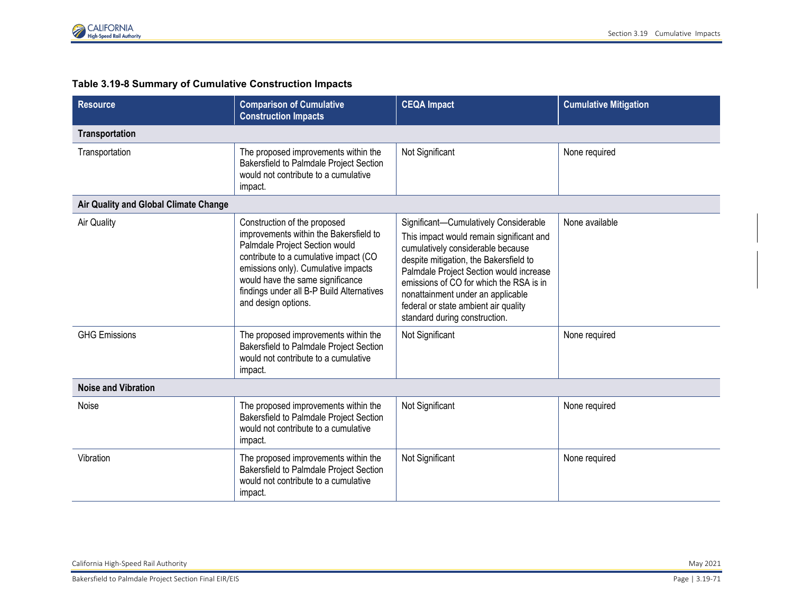# **Table 3.19-8 Summary of Cumulative Construction Impacts**

<span id="page-70-0"></span>

| <b>Resource</b>                       | <b>Comparison of Cumulative</b><br><b>Construction Impacts</b>                                                                                                                                                                                                                                   | <b>CEQA Impact</b>                                                                                                                                                                                                                                                                                                                                                   | <b>Cumulative Mitigation</b> |  |  |
|---------------------------------------|--------------------------------------------------------------------------------------------------------------------------------------------------------------------------------------------------------------------------------------------------------------------------------------------------|----------------------------------------------------------------------------------------------------------------------------------------------------------------------------------------------------------------------------------------------------------------------------------------------------------------------------------------------------------------------|------------------------------|--|--|
| Transportation                        |                                                                                                                                                                                                                                                                                                  |                                                                                                                                                                                                                                                                                                                                                                      |                              |  |  |
| Transportation                        | The proposed improvements within the<br>Bakersfield to Palmdale Project Section<br>would not contribute to a cumulative<br>impact.                                                                                                                                                               | Not Significant                                                                                                                                                                                                                                                                                                                                                      | None required                |  |  |
| Air Quality and Global Climate Change |                                                                                                                                                                                                                                                                                                  |                                                                                                                                                                                                                                                                                                                                                                      |                              |  |  |
| <b>Air Quality</b>                    | Construction of the proposed<br>improvements within the Bakersfield to<br>Palmdale Project Section would<br>contribute to a cumulative impact (CO<br>emissions only). Cumulative impacts<br>would have the same significance<br>findings under all B-P Build Alternatives<br>and design options. | Significant-Cumulatively Considerable<br>This impact would remain significant and<br>cumulatively considerable because<br>despite mitigation, the Bakersfield to<br>Palmdale Project Section would increase<br>emissions of CO for which the RSA is in<br>nonattainment under an applicable<br>federal or state ambient air quality<br>standard during construction. | None available               |  |  |
| <b>GHG Emissions</b>                  | The proposed improvements within the<br>Bakersfield to Palmdale Project Section<br>would not contribute to a cumulative<br>impact.                                                                                                                                                               | Not Significant                                                                                                                                                                                                                                                                                                                                                      | None required                |  |  |
| <b>Noise and Vibration</b>            |                                                                                                                                                                                                                                                                                                  |                                                                                                                                                                                                                                                                                                                                                                      |                              |  |  |
| Noise                                 | The proposed improvements within the<br>Bakersfield to Palmdale Project Section<br>would not contribute to a cumulative<br>impact.                                                                                                                                                               | Not Significant                                                                                                                                                                                                                                                                                                                                                      | None required                |  |  |
| Vibration                             | The proposed improvements within the<br><b>Bakersfield to Palmdale Project Section</b><br>would not contribute to a cumulative<br>impact.                                                                                                                                                        | Not Significant                                                                                                                                                                                                                                                                                                                                                      | None required                |  |  |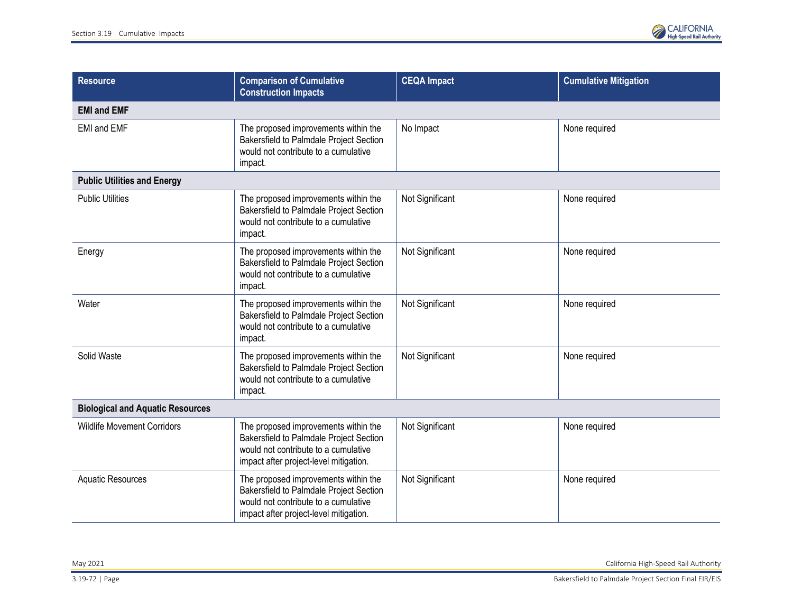

| <b>Resource</b>                         | <b>Comparison of Cumulative</b><br><b>Construction Impacts</b>                                                                                                    | <b>CEQA Impact</b> | <b>Cumulative Mitigation</b> |  |  |
|-----------------------------------------|-------------------------------------------------------------------------------------------------------------------------------------------------------------------|--------------------|------------------------------|--|--|
| <b>EMI and EMF</b>                      |                                                                                                                                                                   |                    |                              |  |  |
| <b>EMI and EMF</b>                      | The proposed improvements within the<br>Bakersfield to Palmdale Project Section<br>would not contribute to a cumulative<br>impact.                                | No Impact          | None required                |  |  |
| <b>Public Utilities and Energy</b>      |                                                                                                                                                                   |                    |                              |  |  |
| <b>Public Utilities</b>                 | The proposed improvements within the<br>Bakersfield to Palmdale Project Section<br>would not contribute to a cumulative<br>impact.                                | Not Significant    | None required                |  |  |
| Energy                                  | The proposed improvements within the<br>Bakersfield to Palmdale Project Section<br>would not contribute to a cumulative<br>impact.                                | Not Significant    | None required                |  |  |
| Water                                   | The proposed improvements within the<br>Bakersfield to Palmdale Project Section<br>would not contribute to a cumulative<br>impact.                                | Not Significant    | None required                |  |  |
| Solid Waste                             | The proposed improvements within the<br>Bakersfield to Palmdale Project Section<br>would not contribute to a cumulative<br>impact.                                | Not Significant    | None required                |  |  |
| <b>Biological and Aquatic Resources</b> |                                                                                                                                                                   |                    |                              |  |  |
| <b>Wildlife Movement Corridors</b>      | The proposed improvements within the<br>Bakersfield to Palmdale Project Section<br>would not contribute to a cumulative<br>impact after project-level mitigation. | Not Significant    | None required                |  |  |
| <b>Aquatic Resources</b>                | The proposed improvements within the<br>Bakersfield to Palmdale Project Section<br>would not contribute to a cumulative<br>impact after project-level mitigation. | Not Significant    | None required                |  |  |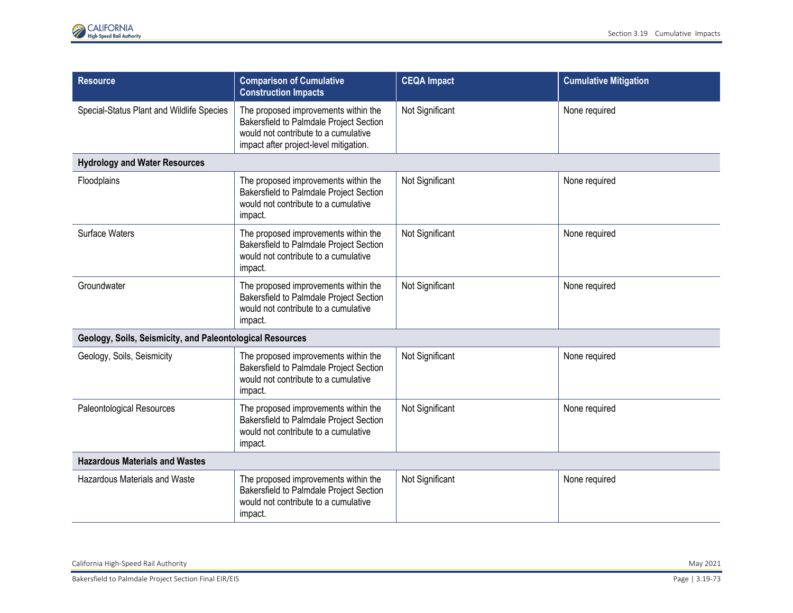| <b>Resource</b>                                           | <b>Comparison of Cumulative</b><br><b>Construction Impacts</b>                                                                                                    | <b>CEQA Impact</b> | <b>Cumulative Mitigation</b> |
|-----------------------------------------------------------|-------------------------------------------------------------------------------------------------------------------------------------------------------------------|--------------------|------------------------------|
| Special-Status Plant and Wildlife Species                 | The proposed improvements within the<br>Bakersfield to Palmdale Project Section<br>would not contribute to a cumulative<br>impact after project-level mitigation. | Not Significant    | None required                |
| <b>Hydrology and Water Resources</b>                      |                                                                                                                                                                   |                    |                              |
| Floodplains                                               | The proposed improvements within the<br>Bakersfield to Palmdale Project Section<br>would not contribute to a cumulative<br>impact.                                | Not Significant    | None required                |
| Surface Waters                                            | The proposed improvements within the<br>Bakersfield to Palmdale Project Section<br>would not contribute to a cumulative<br>impact.                                | Not Significant    | None required                |
| Groundwater                                               | The proposed improvements within the<br>Bakersfield to Palmdale Project Section<br>would not contribute to a cumulative<br>impact.                                | Not Significant    | None required                |
| Geology, Soils, Seismicity, and Paleontological Resources |                                                                                                                                                                   |                    |                              |
| Geology, Soils, Seismicity                                | The proposed improvements within the<br>Bakersfield to Palmdale Project Section<br>would not contribute to a cumulative<br>impact.                                | Not Significant    | None required                |
| Paleontological Resources                                 | The proposed improvements within the<br>Bakersfield to Palmdale Project Section<br>would not contribute to a cumulative<br>impact.                                | Not Significant    | None required                |
| <b>Hazardous Materials and Wastes</b>                     |                                                                                                                                                                   |                    |                              |
| <b>Hazardous Materials and Waste</b>                      | The proposed improvements within the<br>Bakersfield to Palmdale Project Section<br>would not contribute to a cumulative<br>impact.                                | Not Significant    | None required                |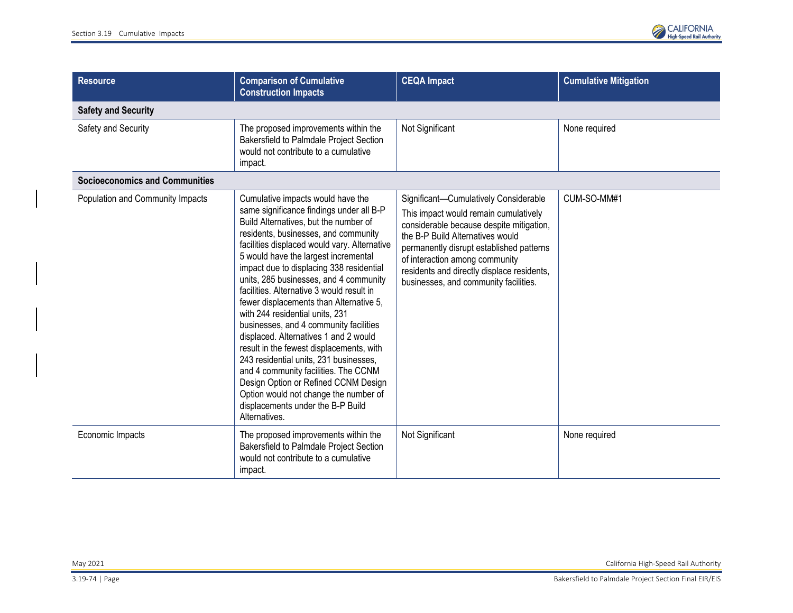

| <b>Resource</b>                       | <b>Comparison of Cumulative</b><br><b>Construction Impacts</b>                                                                                                                                                                                                                                                                                                                                                                                                                                                                                                                                                                                                                                                                                                                                                                  | <b>CEQA Impact</b>                                                                                                                                                                                                                                                                                                                  | <b>Cumulative Mitigation</b> |  |  |
|---------------------------------------|---------------------------------------------------------------------------------------------------------------------------------------------------------------------------------------------------------------------------------------------------------------------------------------------------------------------------------------------------------------------------------------------------------------------------------------------------------------------------------------------------------------------------------------------------------------------------------------------------------------------------------------------------------------------------------------------------------------------------------------------------------------------------------------------------------------------------------|-------------------------------------------------------------------------------------------------------------------------------------------------------------------------------------------------------------------------------------------------------------------------------------------------------------------------------------|------------------------------|--|--|
| <b>Safety and Security</b>            |                                                                                                                                                                                                                                                                                                                                                                                                                                                                                                                                                                                                                                                                                                                                                                                                                                 |                                                                                                                                                                                                                                                                                                                                     |                              |  |  |
| Safety and Security                   | The proposed improvements within the<br>Bakersfield to Palmdale Project Section<br>would not contribute to a cumulative<br>impact.                                                                                                                                                                                                                                                                                                                                                                                                                                                                                                                                                                                                                                                                                              | Not Significant                                                                                                                                                                                                                                                                                                                     | None required                |  |  |
| <b>Socioeconomics and Communities</b> |                                                                                                                                                                                                                                                                                                                                                                                                                                                                                                                                                                                                                                                                                                                                                                                                                                 |                                                                                                                                                                                                                                                                                                                                     |                              |  |  |
| Population and Community Impacts      | Cumulative impacts would have the<br>same significance findings under all B-P<br>Build Alternatives, but the number of<br>residents, businesses, and community<br>facilities displaced would vary. Alternative<br>5 would have the largest incremental<br>impact due to displacing 338 residential<br>units, 285 businesses, and 4 community<br>facilities. Alternative 3 would result in<br>fewer displacements than Alternative 5,<br>with 244 residential units, 231<br>businesses, and 4 community facilities<br>displaced. Alternatives 1 and 2 would<br>result in the fewest displacements, with<br>243 residential units, 231 businesses,<br>and 4 community facilities. The CCNM<br>Design Option or Refined CCNM Design<br>Option would not change the number of<br>displacements under the B-P Build<br>Alternatives. | Significant-Cumulatively Considerable<br>This impact would remain cumulatively<br>considerable because despite mitigation,<br>the B-P Build Alternatives would<br>permanently disrupt established patterns<br>of interaction among community<br>residents and directly displace residents,<br>businesses, and community facilities. | CUM-SO-MM#1                  |  |  |
| Economic Impacts                      | The proposed improvements within the<br>Bakersfield to Palmdale Project Section<br>would not contribute to a cumulative<br>impact.                                                                                                                                                                                                                                                                                                                                                                                                                                                                                                                                                                                                                                                                                              | Not Significant                                                                                                                                                                                                                                                                                                                     | None required                |  |  |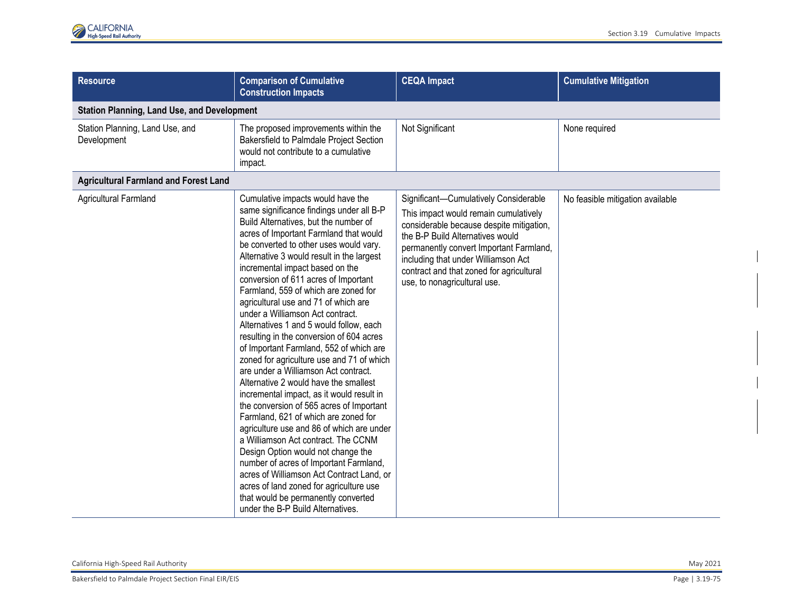| <b>Resource</b>                                | <b>Comparison of Cumulative</b><br><b>Construction Impacts</b>                                                                                                                                                                                                                                                                                                                                                                                                                                                                                                                                                                                                                                                                                                                                                                                                                                                                                                                                                                                                                                                                                                                                  | <b>CEQA Impact</b>                                                                                                                                                                                                                                                                                                           | <b>Cumulative Mitigation</b>     |  |  |
|------------------------------------------------|-------------------------------------------------------------------------------------------------------------------------------------------------------------------------------------------------------------------------------------------------------------------------------------------------------------------------------------------------------------------------------------------------------------------------------------------------------------------------------------------------------------------------------------------------------------------------------------------------------------------------------------------------------------------------------------------------------------------------------------------------------------------------------------------------------------------------------------------------------------------------------------------------------------------------------------------------------------------------------------------------------------------------------------------------------------------------------------------------------------------------------------------------------------------------------------------------|------------------------------------------------------------------------------------------------------------------------------------------------------------------------------------------------------------------------------------------------------------------------------------------------------------------------------|----------------------------------|--|--|
|                                                | <b>Station Planning, Land Use, and Development</b>                                                                                                                                                                                                                                                                                                                                                                                                                                                                                                                                                                                                                                                                                                                                                                                                                                                                                                                                                                                                                                                                                                                                              |                                                                                                                                                                                                                                                                                                                              |                                  |  |  |
| Station Planning, Land Use, and<br>Development | The proposed improvements within the<br>Bakersfield to Palmdale Project Section<br>would not contribute to a cumulative<br>impact.                                                                                                                                                                                                                                                                                                                                                                                                                                                                                                                                                                                                                                                                                                                                                                                                                                                                                                                                                                                                                                                              | Not Significant                                                                                                                                                                                                                                                                                                              | None required                    |  |  |
| <b>Agricultural Farmland and Forest Land</b>   |                                                                                                                                                                                                                                                                                                                                                                                                                                                                                                                                                                                                                                                                                                                                                                                                                                                                                                                                                                                                                                                                                                                                                                                                 |                                                                                                                                                                                                                                                                                                                              |                                  |  |  |
| Agricultural Farmland                          | Cumulative impacts would have the<br>same significance findings under all B-P<br>Build Alternatives, but the number of<br>acres of Important Farmland that would<br>be converted to other uses would vary.<br>Alternative 3 would result in the largest<br>incremental impact based on the<br>conversion of 611 acres of Important<br>Farmland, 559 of which are zoned for<br>agricultural use and 71 of which are<br>under a Williamson Act contract.<br>Alternatives 1 and 5 would follow, each<br>resulting in the conversion of 604 acres<br>of Important Farmland, 552 of which are<br>zoned for agriculture use and 71 of which<br>are under a Williamson Act contract.<br>Alternative 2 would have the smallest<br>incremental impact, as it would result in<br>the conversion of 565 acres of Important<br>Farmland, 621 of which are zoned for<br>agriculture use and 86 of which are under<br>a Williamson Act contract. The CCNM<br>Design Option would not change the<br>number of acres of Important Farmland,<br>acres of Williamson Act Contract Land, or<br>acres of land zoned for agriculture use<br>that would be permanently converted<br>under the B-P Build Alternatives. | Significant-Cumulatively Considerable<br>This impact would remain cumulatively<br>considerable because despite mitigation,<br>the B-P Build Alternatives would<br>permanently convert Important Farmland,<br>including that under Williamson Act<br>contract and that zoned for agricultural<br>use, to nonagricultural use. | No feasible mitigation available |  |  |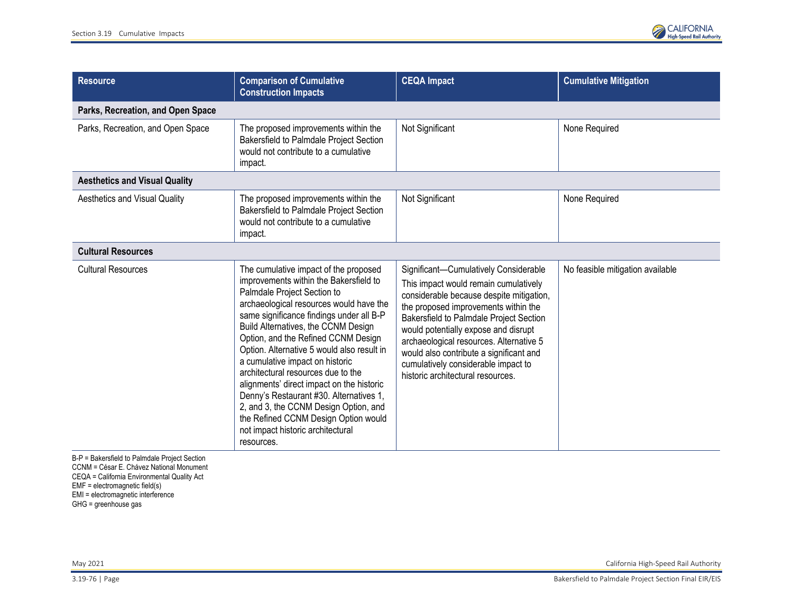

| <b>Resource</b>                      | <b>Comparison of Cumulative</b><br><b>Construction Impacts</b>                                                                                                                                                                                                                                                                                                                                                                                                                                                                                                                                                                         | <b>CEQA Impact</b>                                                                                                                                                                                                                                                                                                                                                                                                      | <b>Cumulative Mitigation</b>     |
|--------------------------------------|----------------------------------------------------------------------------------------------------------------------------------------------------------------------------------------------------------------------------------------------------------------------------------------------------------------------------------------------------------------------------------------------------------------------------------------------------------------------------------------------------------------------------------------------------------------------------------------------------------------------------------------|-------------------------------------------------------------------------------------------------------------------------------------------------------------------------------------------------------------------------------------------------------------------------------------------------------------------------------------------------------------------------------------------------------------------------|----------------------------------|
| Parks, Recreation, and Open Space    |                                                                                                                                                                                                                                                                                                                                                                                                                                                                                                                                                                                                                                        |                                                                                                                                                                                                                                                                                                                                                                                                                         |                                  |
| Parks, Recreation, and Open Space    | The proposed improvements within the<br>Bakersfield to Palmdale Project Section<br>would not contribute to a cumulative<br>impact.                                                                                                                                                                                                                                                                                                                                                                                                                                                                                                     | Not Significant                                                                                                                                                                                                                                                                                                                                                                                                         | None Required                    |
| <b>Aesthetics and Visual Quality</b> |                                                                                                                                                                                                                                                                                                                                                                                                                                                                                                                                                                                                                                        |                                                                                                                                                                                                                                                                                                                                                                                                                         |                                  |
| Aesthetics and Visual Quality        | The proposed improvements within the<br>Bakersfield to Palmdale Project Section<br>would not contribute to a cumulative<br>impact.                                                                                                                                                                                                                                                                                                                                                                                                                                                                                                     | Not Significant                                                                                                                                                                                                                                                                                                                                                                                                         | None Required                    |
| <b>Cultural Resources</b>            |                                                                                                                                                                                                                                                                                                                                                                                                                                                                                                                                                                                                                                        |                                                                                                                                                                                                                                                                                                                                                                                                                         |                                  |
| <b>Cultural Resources</b>            | The cumulative impact of the proposed<br>improvements within the Bakersfield to<br>Palmdale Project Section to<br>archaeological resources would have the<br>same significance findings under all B-P<br>Build Alternatives, the CCNM Design<br>Option, and the Refined CCNM Design<br>Option. Alternative 5 would also result in<br>a cumulative impact on historic<br>architectural resources due to the<br>alignments' direct impact on the historic<br>Denny's Restaurant #30. Alternatives 1,<br>2, and 3, the CCNM Design Option, and<br>the Refined CCNM Design Option would<br>not impact historic architectural<br>resources. | Significant-Cumulatively Considerable<br>This impact would remain cumulatively<br>considerable because despite mitigation,<br>the proposed improvements within the<br>Bakersfield to Palmdale Project Section<br>would potentially expose and disrupt<br>archaeological resources. Alternative 5<br>would also contribute a significant and<br>cumulatively considerable impact to<br>historic architectural resources. | No feasible mitigation available |

B-P = Bakersfield to Palmdale Project Section CCNM = César E. Chávez National Monument CEQA = California Environmental Quality Act EMF = electromagnetic field(s) EMI = electromagnetic interference GHG = greenhouse gas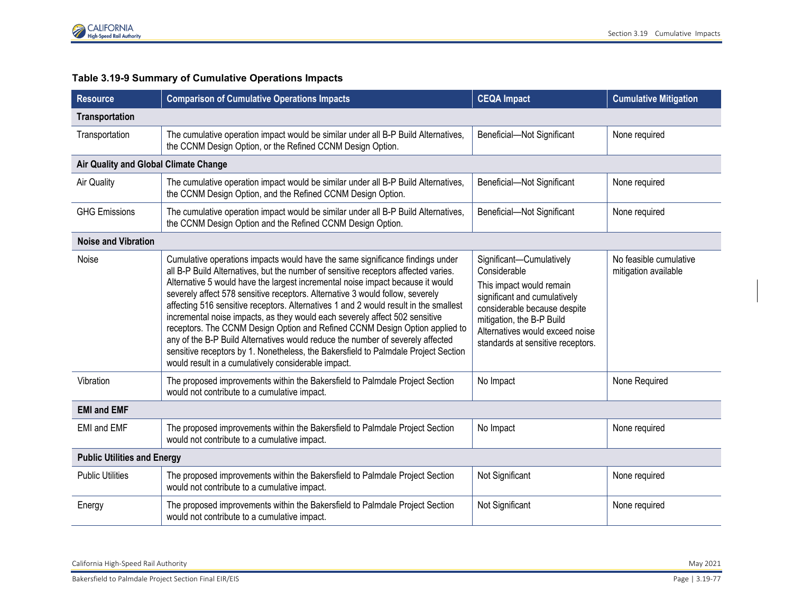

## **Table 3.19-9 Summary of Cumulative Operations Impacts**

| <b>Resource</b>                       | <b>Comparison of Cumulative Operations Impacts</b>                                                                                                                                                                                                                                                                                                                                                                                                                                                                                                                                                                                                                                                                                                                                                                          | <b>CEQA Impact</b>                                                                                                                                                                                                                        | <b>Cumulative Mitigation</b>                   |  |
|---------------------------------------|-----------------------------------------------------------------------------------------------------------------------------------------------------------------------------------------------------------------------------------------------------------------------------------------------------------------------------------------------------------------------------------------------------------------------------------------------------------------------------------------------------------------------------------------------------------------------------------------------------------------------------------------------------------------------------------------------------------------------------------------------------------------------------------------------------------------------------|-------------------------------------------------------------------------------------------------------------------------------------------------------------------------------------------------------------------------------------------|------------------------------------------------|--|
| Transportation                        |                                                                                                                                                                                                                                                                                                                                                                                                                                                                                                                                                                                                                                                                                                                                                                                                                             |                                                                                                                                                                                                                                           |                                                |  |
| Transportation                        | The cumulative operation impact would be similar under all B-P Build Alternatives,<br>the CCNM Design Option, or the Refined CCNM Design Option.                                                                                                                                                                                                                                                                                                                                                                                                                                                                                                                                                                                                                                                                            | Beneficial-Not Significant                                                                                                                                                                                                                | None required                                  |  |
| Air Quality and Global Climate Change |                                                                                                                                                                                                                                                                                                                                                                                                                                                                                                                                                                                                                                                                                                                                                                                                                             |                                                                                                                                                                                                                                           |                                                |  |
| <b>Air Quality</b>                    | The cumulative operation impact would be similar under all B-P Build Alternatives,<br>the CCNM Design Option, and the Refined CCNM Design Option.                                                                                                                                                                                                                                                                                                                                                                                                                                                                                                                                                                                                                                                                           | Beneficial-Not Significant                                                                                                                                                                                                                | None required                                  |  |
| <b>GHG Emissions</b>                  | The cumulative operation impact would be similar under all B-P Build Alternatives,<br>the CCNM Design Option and the Refined CCNM Design Option.                                                                                                                                                                                                                                                                                                                                                                                                                                                                                                                                                                                                                                                                            | Beneficial-Not Significant                                                                                                                                                                                                                | None required                                  |  |
| <b>Noise and Vibration</b>            |                                                                                                                                                                                                                                                                                                                                                                                                                                                                                                                                                                                                                                                                                                                                                                                                                             |                                                                                                                                                                                                                                           |                                                |  |
| Noise                                 | Cumulative operations impacts would have the same significance findings under<br>all B-P Build Alternatives, but the number of sensitive receptors affected varies.<br>Alternative 5 would have the largest incremental noise impact because it would<br>severely affect 578 sensitive receptors. Alternative 3 would follow, severely<br>affecting 516 sensitive receptors. Alternatives 1 and 2 would result in the smallest<br>incremental noise impacts, as they would each severely affect 502 sensitive<br>receptors. The CCNM Design Option and Refined CCNM Design Option applied to<br>any of the B-P Build Alternatives would reduce the number of severely affected<br>sensitive receptors by 1. Nonetheless, the Bakersfield to Palmdale Project Section<br>would result in a cumulatively considerable impact. | Significant-Cumulatively<br>Considerable<br>This impact would remain<br>significant and cumulatively<br>considerable because despite<br>mitigation, the B-P Build<br>Alternatives would exceed noise<br>standards at sensitive receptors. | No feasible cumulative<br>mitigation available |  |
| Vibration                             | The proposed improvements within the Bakersfield to Palmdale Project Section<br>would not contribute to a cumulative impact.                                                                                                                                                                                                                                                                                                                                                                                                                                                                                                                                                                                                                                                                                                | No Impact                                                                                                                                                                                                                                 | None Required                                  |  |
| <b>EMI and EMF</b>                    |                                                                                                                                                                                                                                                                                                                                                                                                                                                                                                                                                                                                                                                                                                                                                                                                                             |                                                                                                                                                                                                                                           |                                                |  |
| <b>EMI and EMF</b>                    | The proposed improvements within the Bakersfield to Palmdale Project Section<br>would not contribute to a cumulative impact.                                                                                                                                                                                                                                                                                                                                                                                                                                                                                                                                                                                                                                                                                                | No Impact                                                                                                                                                                                                                                 | None required                                  |  |
| <b>Public Utilities and Energy</b>    |                                                                                                                                                                                                                                                                                                                                                                                                                                                                                                                                                                                                                                                                                                                                                                                                                             |                                                                                                                                                                                                                                           |                                                |  |
| <b>Public Utilities</b>               | The proposed improvements within the Bakersfield to Palmdale Project Section<br>would not contribute to a cumulative impact.                                                                                                                                                                                                                                                                                                                                                                                                                                                                                                                                                                                                                                                                                                | Not Significant                                                                                                                                                                                                                           | None required                                  |  |
| Energy                                | The proposed improvements within the Bakersfield to Palmdale Project Section<br>would not contribute to a cumulative impact.                                                                                                                                                                                                                                                                                                                                                                                                                                                                                                                                                                                                                                                                                                | Not Significant                                                                                                                                                                                                                           | None required                                  |  |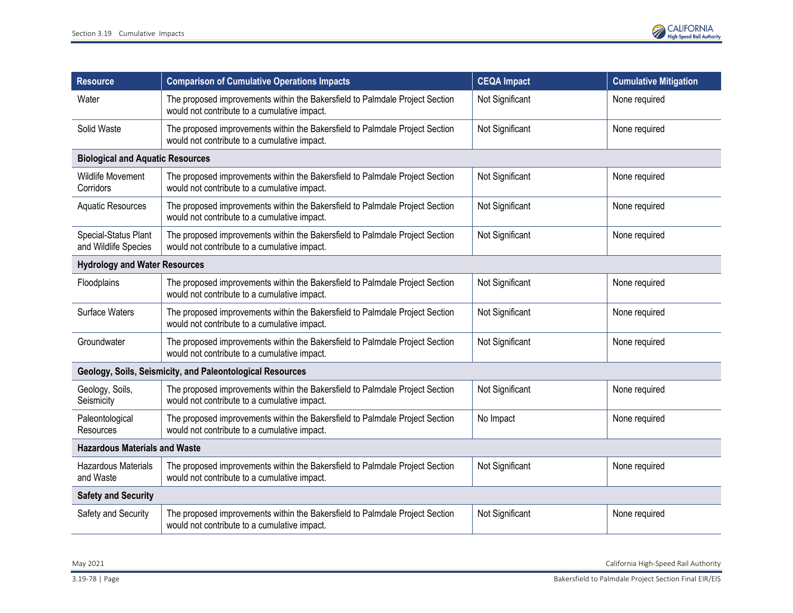

| <b>Resource</b>                                           | <b>Comparison of Cumulative Operations Impacts</b>                                                                           | <b>CEQA Impact</b> | <b>Cumulative Mitigation</b> |  |
|-----------------------------------------------------------|------------------------------------------------------------------------------------------------------------------------------|--------------------|------------------------------|--|
| Water                                                     | The proposed improvements within the Bakersfield to Palmdale Project Section<br>would not contribute to a cumulative impact. | Not Significant    | None required                |  |
| Solid Waste                                               | The proposed improvements within the Bakersfield to Palmdale Project Section<br>would not contribute to a cumulative impact. | Not Significant    | None required                |  |
| <b>Biological and Aquatic Resources</b>                   |                                                                                                                              |                    |                              |  |
| Wildlife Movement<br>Corridors                            | The proposed improvements within the Bakersfield to Palmdale Project Section<br>would not contribute to a cumulative impact. | Not Significant    | None required                |  |
| <b>Aquatic Resources</b>                                  | The proposed improvements within the Bakersfield to Palmdale Project Section<br>would not contribute to a cumulative impact. | Not Significant    | None required                |  |
| Special-Status Plant<br>and Wildlife Species              | The proposed improvements within the Bakersfield to Palmdale Project Section<br>would not contribute to a cumulative impact. | Not Significant    | None required                |  |
| <b>Hydrology and Water Resources</b>                      |                                                                                                                              |                    |                              |  |
| Floodplains                                               | The proposed improvements within the Bakersfield to Palmdale Project Section<br>would not contribute to a cumulative impact. | Not Significant    | None required                |  |
| <b>Surface Waters</b>                                     | The proposed improvements within the Bakersfield to Palmdale Project Section<br>would not contribute to a cumulative impact. | Not Significant    | None required                |  |
| Groundwater                                               | The proposed improvements within the Bakersfield to Palmdale Project Section<br>would not contribute to a cumulative impact. | Not Significant    | None required                |  |
| Geology, Soils, Seismicity, and Paleontological Resources |                                                                                                                              |                    |                              |  |
| Geology, Soils,<br>Seismicity                             | The proposed improvements within the Bakersfield to Palmdale Project Section<br>would not contribute to a cumulative impact. | Not Significant    | None required                |  |
| Paleontological<br>Resources                              | The proposed improvements within the Bakersfield to Palmdale Project Section<br>would not contribute to a cumulative impact. | No Impact          | None required                |  |
| <b>Hazardous Materials and Waste</b>                      |                                                                                                                              |                    |                              |  |
| <b>Hazardous Materials</b><br>and Waste                   | The proposed improvements within the Bakersfield to Palmdale Project Section<br>would not contribute to a cumulative impact. | Not Significant    | None required                |  |
| <b>Safety and Security</b>                                |                                                                                                                              |                    |                              |  |
| Safety and Security                                       | The proposed improvements within the Bakersfield to Palmdale Project Section<br>would not contribute to a cumulative impact. | Not Significant    | None required                |  |

May 2021 California High-Speed Rail Authority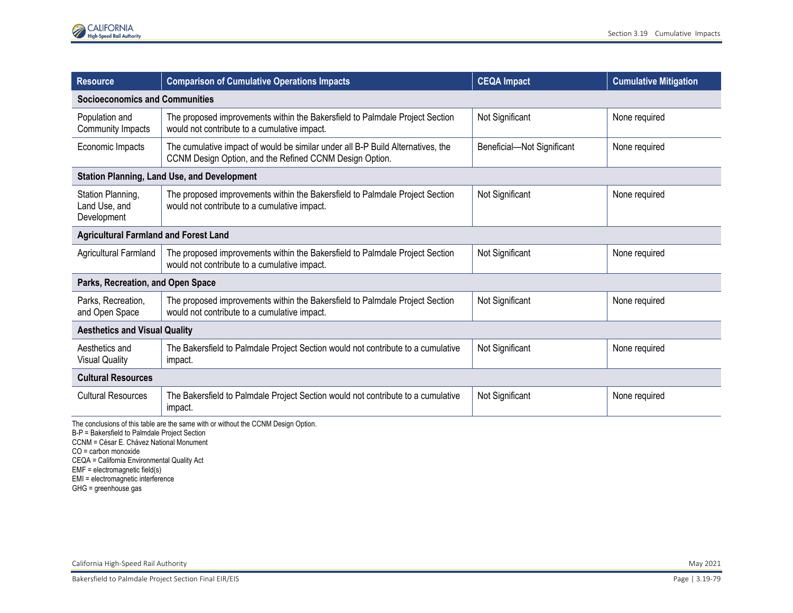| <b>Resource</b>                                                                                                                     | <b>Comparison of Cumulative Operations Impacts</b>                                                                                         | <b>CEQA Impact</b>         | <b>Cumulative Mitigation</b> |
|-------------------------------------------------------------------------------------------------------------------------------------|--------------------------------------------------------------------------------------------------------------------------------------------|----------------------------|------------------------------|
| <b>Socioeconomics and Communities</b>                                                                                               |                                                                                                                                            |                            |                              |
| Population and<br>Community Impacts                                                                                                 | The proposed improvements within the Bakersfield to Palmdale Project Section<br>would not contribute to a cumulative impact.               | Not Significant            | None required                |
| Economic Impacts                                                                                                                    | The cumulative impact of would be similar under all B-P Build Alternatives, the<br>CCNM Design Option, and the Refined CCNM Design Option. | Beneficial-Not Significant | None required                |
|                                                                                                                                     | <b>Station Planning, Land Use, and Development</b>                                                                                         |                            |                              |
| Station Planning,<br>Land Use, and<br>Development                                                                                   | The proposed improvements within the Bakersfield to Palmdale Project Section<br>would not contribute to a cumulative impact.               | Not Significant            | None required                |
| <b>Agricultural Farmland and Forest Land</b>                                                                                        |                                                                                                                                            |                            |                              |
| Agricultural Farmland                                                                                                               | The proposed improvements within the Bakersfield to Palmdale Project Section<br>would not contribute to a cumulative impact.               | Not Significant            | None required                |
| Parks, Recreation, and Open Space                                                                                                   |                                                                                                                                            |                            |                              |
| Parks, Recreation,<br>and Open Space                                                                                                | The proposed improvements within the Bakersfield to Palmdale Project Section<br>would not contribute to a cumulative impact.               | Not Significant            | None required                |
| <b>Aesthetics and Visual Quality</b>                                                                                                |                                                                                                                                            |                            |                              |
| Aesthetics and<br><b>Visual Quality</b>                                                                                             | The Bakersfield to Palmdale Project Section would not contribute to a cumulative<br>impact.                                                | Not Significant            | None required                |
| <b>Cultural Resources</b>                                                                                                           |                                                                                                                                            |                            |                              |
| <b>Cultural Resources</b>                                                                                                           | The Bakersfield to Palmdale Project Section would not contribute to a cumulative<br>impact.                                                | Not Significant            | None required                |
| The conclusions of this table are the same with or without the CCNM Design Option.<br>B-P = Bakersfield to Palmdale Project Section |                                                                                                                                            |                            |                              |

CCNM = César E. Chávez National Monument

CO = carbon monoxide

CEQA = California Environmental Quality Act

EMF = electromagnetic field(s)

EMI = electromagnetic interference

GHG = greenhouse gas